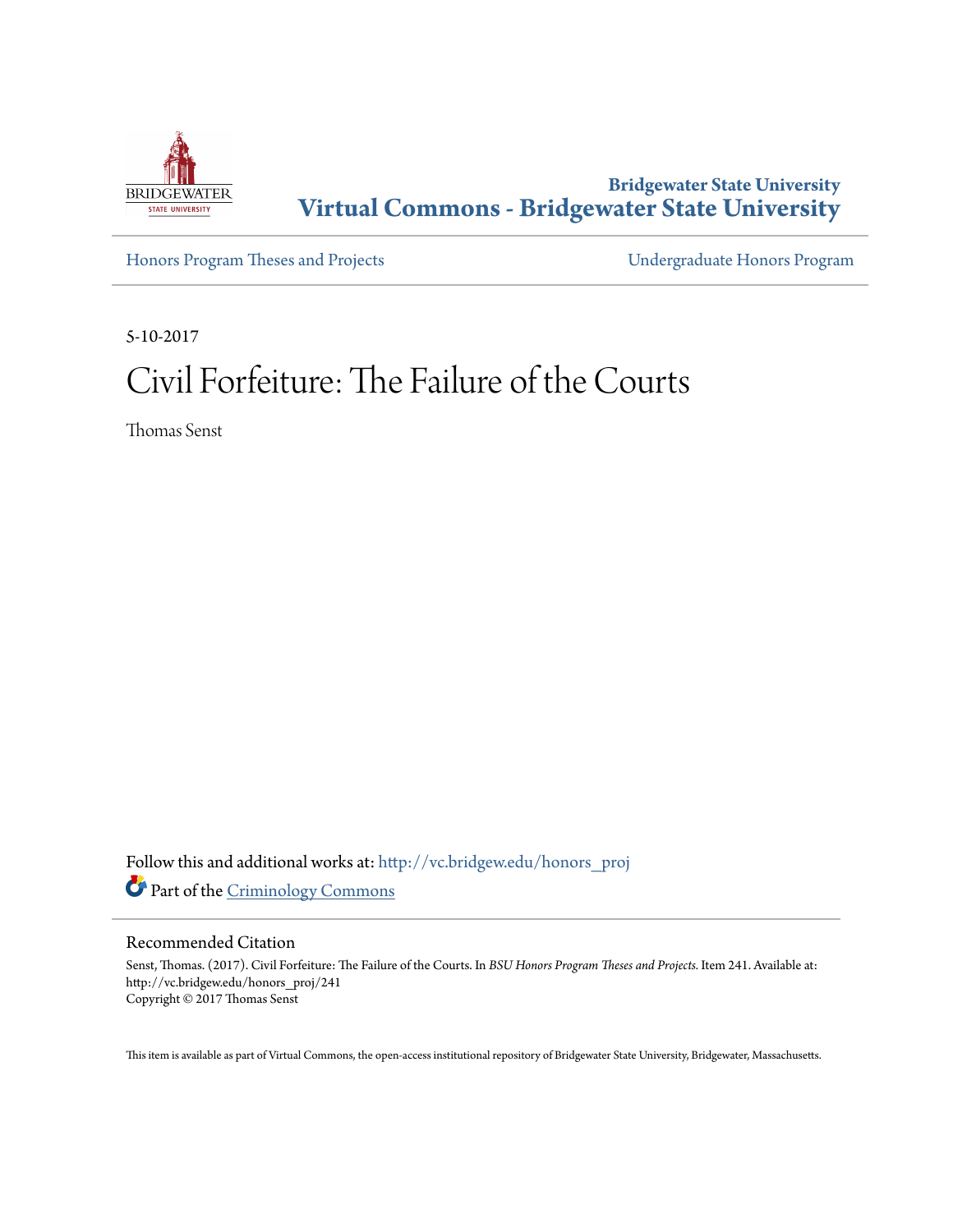

# **Bridgewater State University [Virtual Commons - Bridgewater State University](http://vc.bridgew.edu?utm_source=vc.bridgew.edu%2Fhonors_proj%2F241&utm_medium=PDF&utm_campaign=PDFCoverPages)**

[Honors Program Theses and Projects](http://vc.bridgew.edu/honors_proj?utm_source=vc.bridgew.edu%2Fhonors_proj%2F241&utm_medium=PDF&utm_campaign=PDFCoverPages) [Undergraduate Honors Program](http://vc.bridgew.edu/honors?utm_source=vc.bridgew.edu%2Fhonors_proj%2F241&utm_medium=PDF&utm_campaign=PDFCoverPages)

5-10-2017

# Civil Forfeiture: The Failure of the Courts

Thomas Senst

Follow this and additional works at: [http://vc.bridgew.edu/honors\\_proj](http://vc.bridgew.edu/honors_proj?utm_source=vc.bridgew.edu%2Fhonors_proj%2F241&utm_medium=PDF&utm_campaign=PDFCoverPages) Part of the [Criminology Commons](http://network.bepress.com/hgg/discipline/417?utm_source=vc.bridgew.edu%2Fhonors_proj%2F241&utm_medium=PDF&utm_campaign=PDFCoverPages)

#### Recommended Citation

Senst, Thomas. (2017). Civil Forfeiture: The Failure of the Courts. In *BSU Honors Program Theses and Projects.* Item 241. Available at: http://vc.bridgew.edu/honors\_proj/241 Copyright © 2017 Thomas Senst

This item is available as part of Virtual Commons, the open-access institutional repository of Bridgewater State University, Bridgewater, Massachusetts.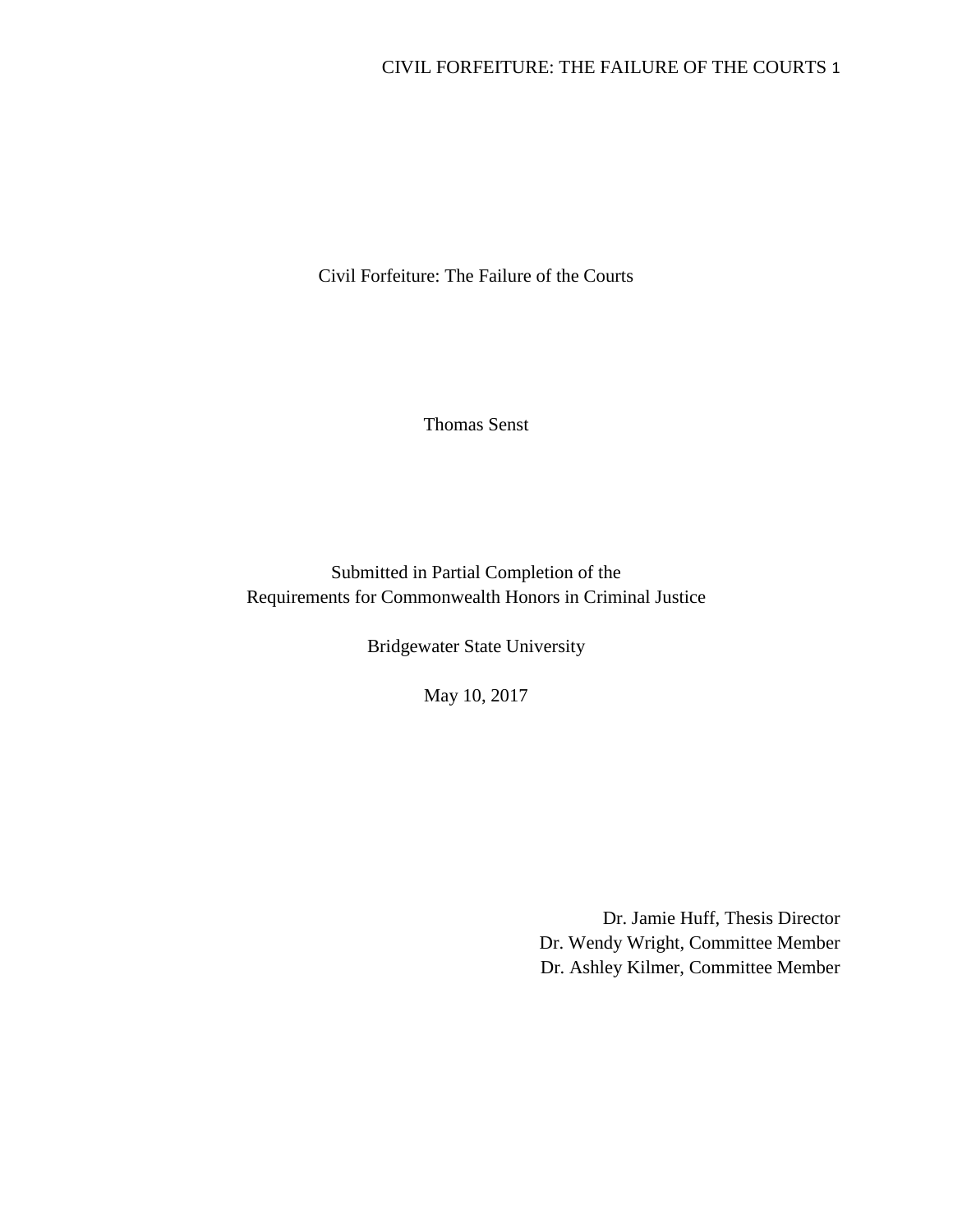# CIVIL FORFEITURE: THE FAILURE OF THE COURTS 1

Civil Forfeiture: The Failure of the Courts

Thomas Senst

Submitted in Partial Completion of the Requirements for Commonwealth Honors in Criminal Justice

Bridgewater State University

May 10, 2017

Dr. Jamie Huff, Thesis Director Dr. Wendy Wright, Committee Member Dr. Ashley Kilmer, Committee Member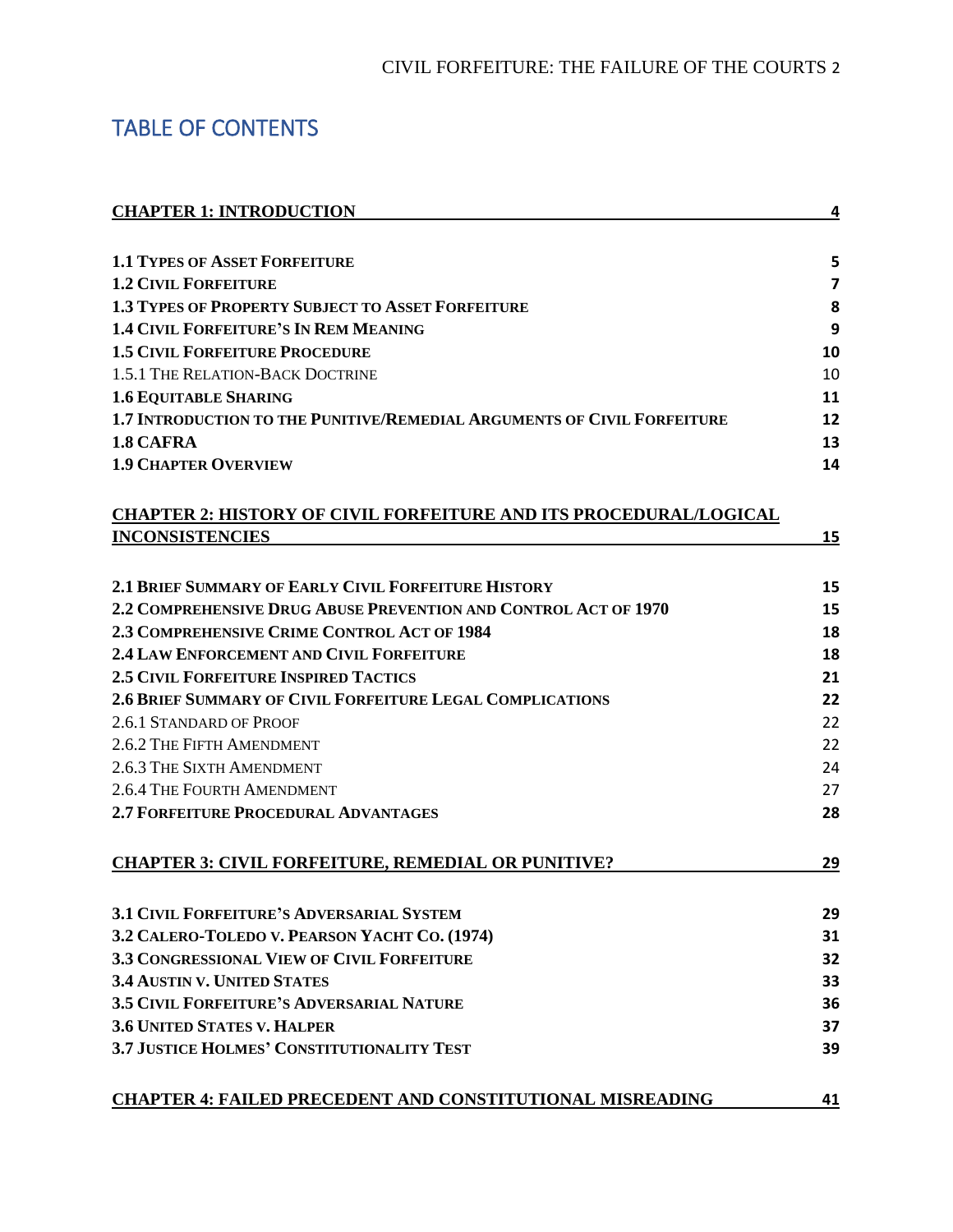# TABLE OF CONTENTS

| <b>CHAPTER 1: INTRODUCTION</b>                                           | 4                       |
|--------------------------------------------------------------------------|-------------------------|
|                                                                          |                         |
| <b>1.1 TYPES OF ASSET FORFEITURE</b>                                     | 5                       |
| <b>1.2 CIVIL FORFEITURE</b>                                              | $\overline{\mathbf{z}}$ |
| <b>1.3 TYPES OF PROPERTY SUBJECT TO ASSET FORFEITURE</b>                 | 8                       |
| <b>1.4 CIVIL FORFEITURE'S IN REM MEANING</b>                             | 9                       |
| <b>1.5 CIVIL FORFEITURE PROCEDURE</b>                                    | 10                      |
| 1.5.1 THE RELATION-BACK DOCTRINE                                         | 10                      |
| <b>1.6 EQUITABLE SHARING</b>                                             | 11                      |
| 1.7 INTRODUCTION TO THE PUNITIVE/REMEDIAL ARGUMENTS OF CIVIL FORFEITURE  | 12                      |
| 1.8 CAFRA                                                                | 13                      |
| <b>1.9 CHAPTER OVERVIEW</b>                                              | 14                      |
| <b>CHAPTER 2: HISTORY OF CIVIL FORFEITURE AND ITS PROCEDURAL/LOGICAL</b> |                         |
| <b>INCONSISTENCIES</b>                                                   | 15                      |
|                                                                          |                         |
| <b>2.1 BRIEF SUMMARY OF EARLY CIVIL FORFEITURE HISTORY</b>               | 15                      |
| 2.2 COMPREHENSIVE DRUG ABUSE PREVENTION AND CONTROL ACT OF 1970          | 15                      |
| <b>2.3 COMPREHENSIVE CRIME CONTROL ACT OF 1984</b>                       | 18                      |
| <b>2.4 LAW ENFORCEMENT AND CIVIL FORFEITURE</b>                          | 18                      |
| <b>2.5 CIVIL FORFEITURE INSPIRED TACTICS</b>                             | 21                      |
| 2.6 BRIEF SUMMARY OF CIVIL FORFEITURE LEGAL COMPLICATIONS                | 22                      |
| 2.6.1 STANDARD OF PROOF                                                  | 22                      |
| 2.6.2 THE FIFTH AMENDMENT                                                | 22                      |
| 2.6.3 THE SIXTH AMENDMENT                                                | 24                      |
| 2.6.4 THE FOURTH AMENDMENT                                               | 27                      |
| <b>2.7 FORFEITURE PROCEDURAL ADVANTAGES</b>                              | 28                      |
| <b>CHAPTER 3: CIVIL FORFEITURE, REMEDIAL OR PUNITIVE?</b>                | 29                      |
| <b>3.1 CIVIL FORFEITURE'S ADVERSARIAL SYSTEM</b>                         | 29                      |
| 3.2 CALERO-TOLEDO V. PEARSON YACHT CO. (1974)                            | 31                      |
| <b>3.3 CONGRESSIONAL VIEW OF CIVIL FORFEITURE</b>                        | 32                      |
| <b>3.4 AUSTIN V. UNITED STATES</b>                                       | 33                      |
| <b>3.5 CIVIL FORFEITURE'S ADVERSARIAL NATURE</b>                         | 36                      |
| <b>3.6 UNITED STATES V. HALPER</b>                                       | 37                      |
| <b>3.7 JUSTICE HOLMES' CONSTITUTIONALITY TEST</b>                        | 39                      |
| <b>CHAPTER 4: FAILED PRECEDENT AND CONSTITUTIONAL MISREADING</b>         | 41                      |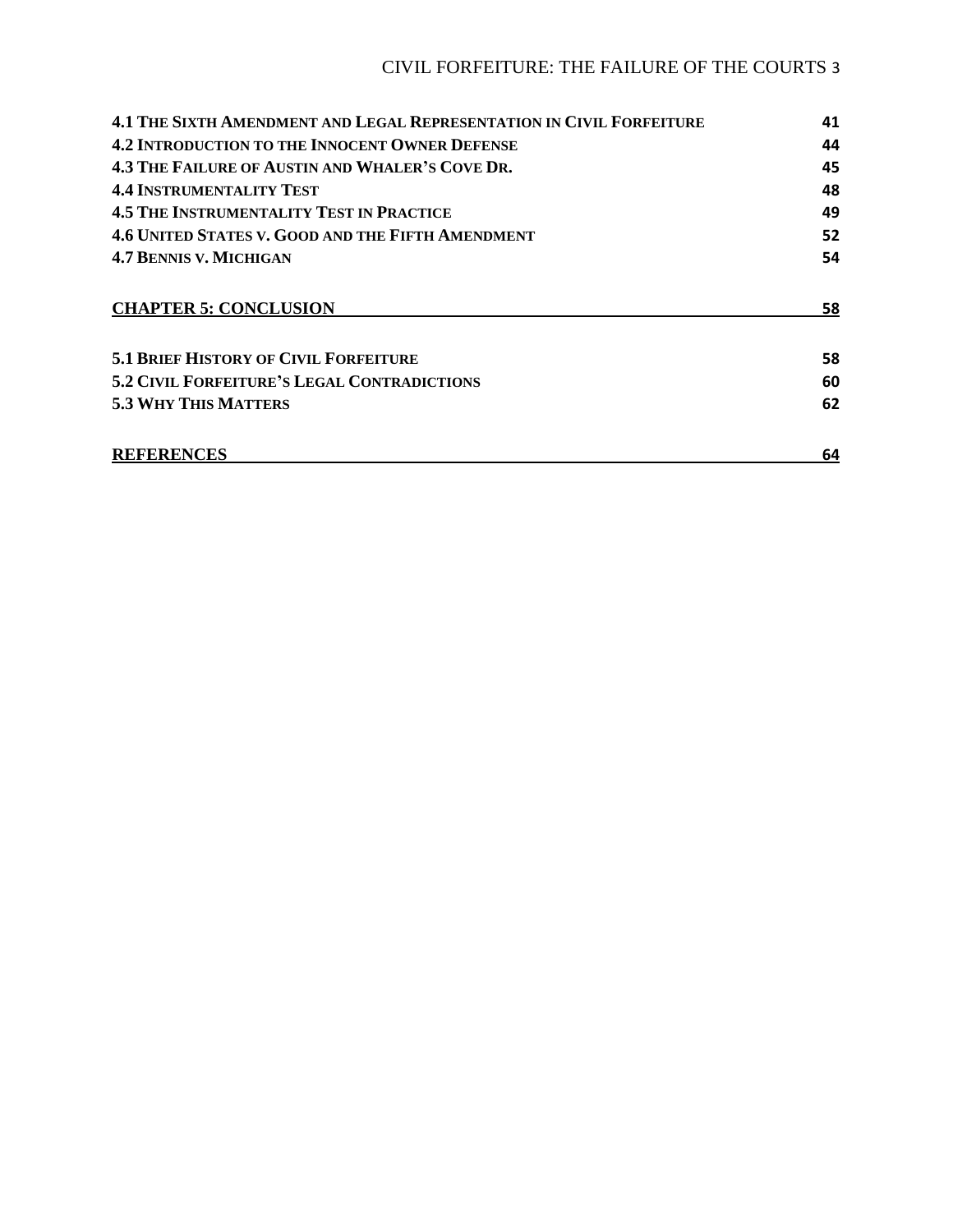# CIVIL FORFEITURE: THE FAILURE OF THE COURTS 3

| <b>4.1 THE SIXTH AMENDMENT AND LEGAL REPRESENTATION IN CIVIL FORFEITURE</b> | 41 |
|-----------------------------------------------------------------------------|----|
| <b>4.2 INTRODUCTION TO THE INNOCENT OWNER DEFENSE</b>                       | 44 |
| <b>4.3 THE FAILURE OF AUSTIN AND WHALER'S COVE DR.</b>                      | 45 |
| <b>4.4 INSTRUMENTALITY TEST</b>                                             | 48 |
| <b>4.5 THE INSTRUMENTALITY TEST IN PRACTICE</b>                             | 49 |
| <b>4.6 UNITED STATES V. GOOD AND THE FIFTH AMENDMENT</b>                    | 52 |
| <b>4.7 BENNIS V. MICHIGAN</b>                                               | 54 |
| <b>CHAPTER 5: CONCLUSION</b>                                                | 58 |
| <b>5.1 BRIEF HISTORY OF CIVIL FORFEITURE</b>                                | 58 |
| <b>5.2 CIVIL FORFEITURE'S LEGAL CONTRADICTIONS</b>                          | 60 |
| <b>5.3 WHY THIS MATTERS</b>                                                 | 62 |
| <b>REFERENCES</b>                                                           | 64 |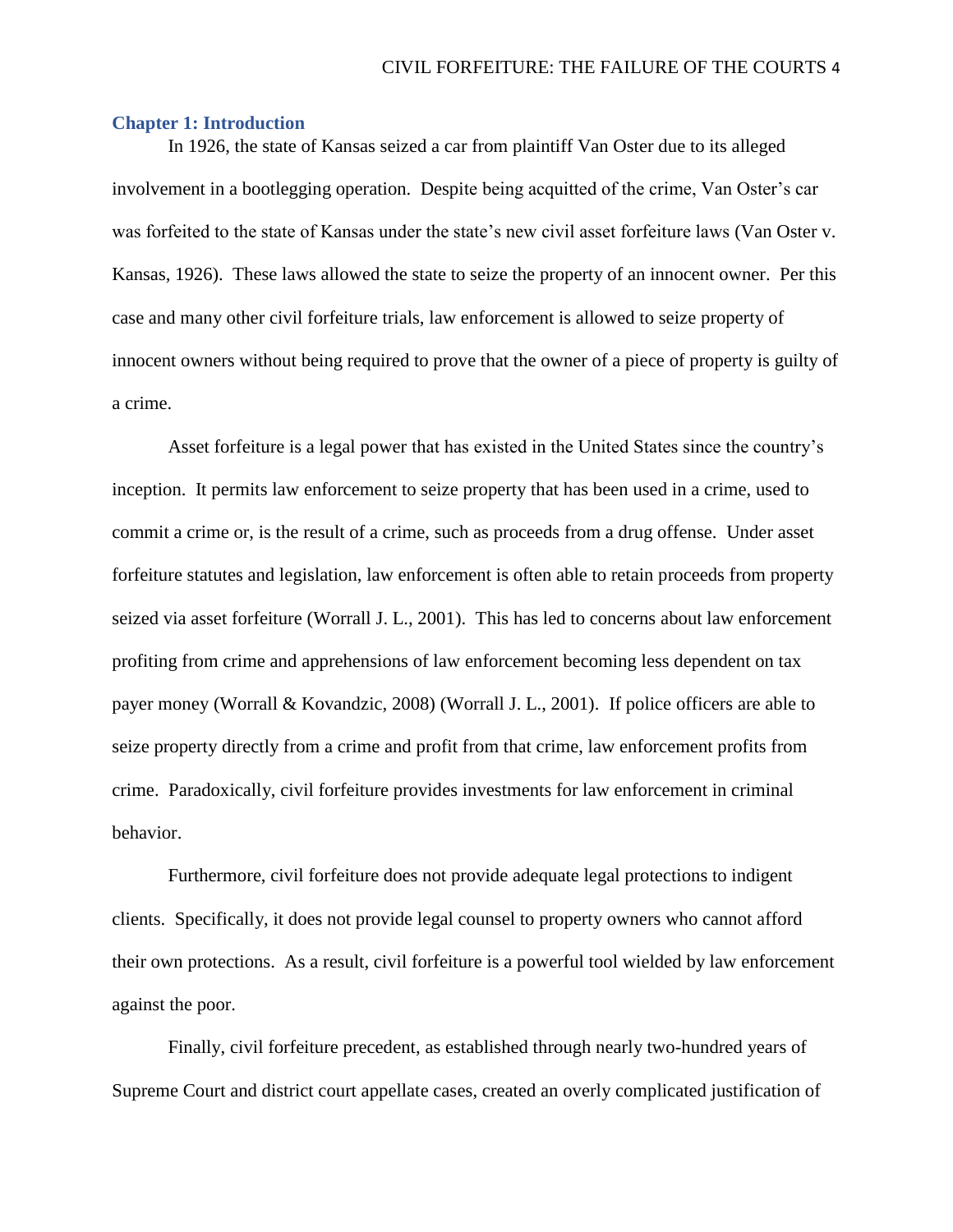# <span id="page-4-0"></span>**Chapter 1: Introduction**

In 1926, the state of Kansas seized a car from plaintiff Van Oster due to its alleged involvement in a bootlegging operation. Despite being acquitted of the crime, Van Oster's car was forfeited to the state of Kansas under the state's new civil asset forfeiture laws (Van Oster v. Kansas, 1926). These laws allowed the state to seize the property of an innocent owner. Per this case and many other civil forfeiture trials, law enforcement is allowed to seize property of innocent owners without being required to prove that the owner of a piece of property is guilty of a crime.

Asset forfeiture is a legal power that has existed in the United States since the country's inception. It permits law enforcement to seize property that has been used in a crime, used to commit a crime or, is the result of a crime, such as proceeds from a drug offense. Under asset forfeiture statutes and legislation, law enforcement is often able to retain proceeds from property seized via asset forfeiture (Worrall J. L., 2001). This has led to concerns about law enforcement profiting from crime and apprehensions of law enforcement becoming less dependent on tax payer money (Worrall & Kovandzic, 2008) (Worrall J. L., 2001). If police officers are able to seize property directly from a crime and profit from that crime, law enforcement profits from crime. Paradoxically, civil forfeiture provides investments for law enforcement in criminal behavior.

Furthermore, civil forfeiture does not provide adequate legal protections to indigent clients. Specifically, it does not provide legal counsel to property owners who cannot afford their own protections. As a result, civil forfeiture is a powerful tool wielded by law enforcement against the poor.

Finally, civil forfeiture precedent, as established through nearly two-hundred years of Supreme Court and district court appellate cases, created an overly complicated justification of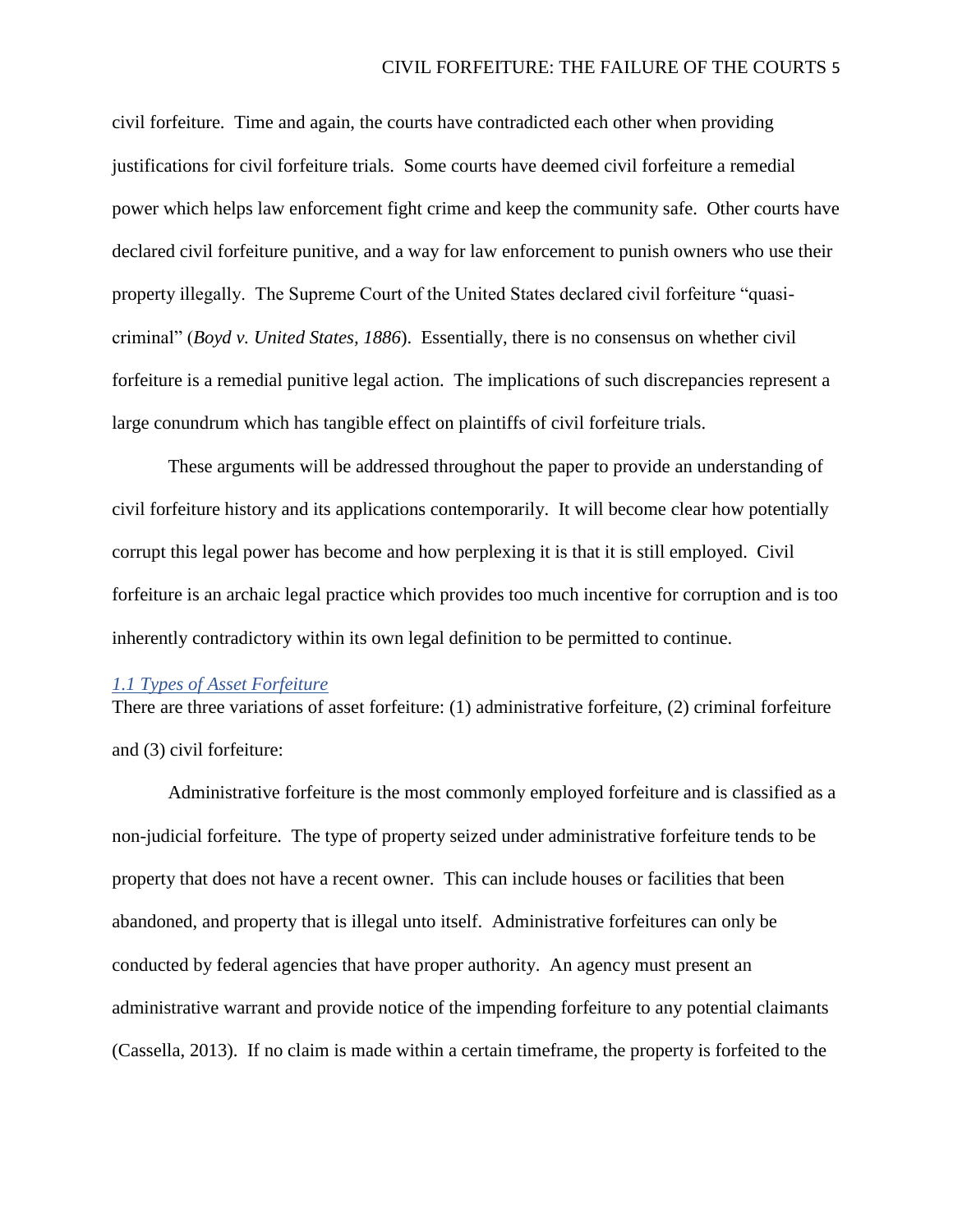civil forfeiture. Time and again, the courts have contradicted each other when providing justifications for civil forfeiture trials. Some courts have deemed civil forfeiture a remedial power which helps law enforcement fight crime and keep the community safe. Other courts have declared civil forfeiture punitive, and a way for law enforcement to punish owners who use their property illegally. The Supreme Court of the United States declared civil forfeiture "quasicriminal" (*Boyd v. United States, 1886*). Essentially, there is no consensus on whether civil forfeiture is a remedial punitive legal action. The implications of such discrepancies represent a large conundrum which has tangible effect on plaintiffs of civil forfeiture trials.

These arguments will be addressed throughout the paper to provide an understanding of civil forfeiture history and its applications contemporarily. It will become clear how potentially corrupt this legal power has become and how perplexing it is that it is still employed. Civil forfeiture is an archaic legal practice which provides too much incentive for corruption and is too inherently contradictory within its own legal definition to be permitted to continue.

# <span id="page-5-0"></span>*1.1 Types of Asset Forfeiture*

There are three variations of asset forfeiture: (1) administrative forfeiture, (2) criminal forfeiture and (3) civil forfeiture:

Administrative forfeiture is the most commonly employed forfeiture and is classified as a non-judicial forfeiture. The type of property seized under administrative forfeiture tends to be property that does not have a recent owner. This can include houses or facilities that been abandoned, and property that is illegal unto itself. Administrative forfeitures can only be conducted by federal agencies that have proper authority. An agency must present an administrative warrant and provide notice of the impending forfeiture to any potential claimants (Cassella, 2013). If no claim is made within a certain timeframe, the property is forfeited to the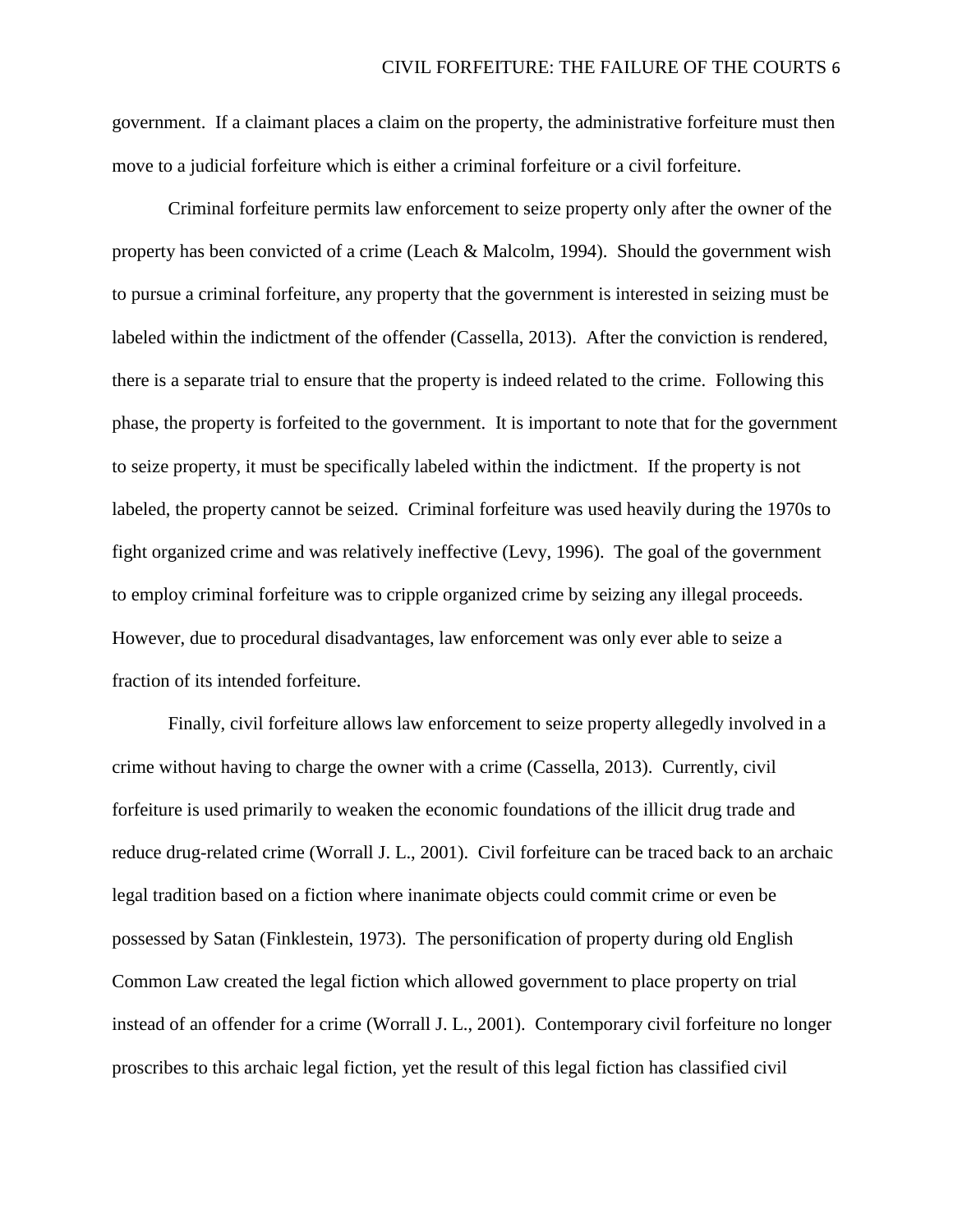government. If a claimant places a claim on the property, the administrative forfeiture must then move to a judicial forfeiture which is either a criminal forfeiture or a civil forfeiture.

Criminal forfeiture permits law enforcement to seize property only after the owner of the property has been convicted of a crime (Leach & Malcolm, 1994). Should the government wish to pursue a criminal forfeiture, any property that the government is interested in seizing must be labeled within the indictment of the offender (Cassella, 2013). After the conviction is rendered, there is a separate trial to ensure that the property is indeed related to the crime. Following this phase, the property is forfeited to the government. It is important to note that for the government to seize property, it must be specifically labeled within the indictment. If the property is not labeled, the property cannot be seized. Criminal forfeiture was used heavily during the 1970s to fight organized crime and was relatively ineffective (Levy, 1996). The goal of the government to employ criminal forfeiture was to cripple organized crime by seizing any illegal proceeds. However, due to procedural disadvantages, law enforcement was only ever able to seize a fraction of its intended forfeiture.

Finally, civil forfeiture allows law enforcement to seize property allegedly involved in a crime without having to charge the owner with a crime (Cassella, 2013). Currently, civil forfeiture is used primarily to weaken the economic foundations of the illicit drug trade and reduce drug-related crime (Worrall J. L., 2001). Civil forfeiture can be traced back to an archaic legal tradition based on a fiction where inanimate objects could commit crime or even be possessed by Satan (Finklestein, 1973). The personification of property during old English Common Law created the legal fiction which allowed government to place property on trial instead of an offender for a crime (Worrall J. L., 2001). Contemporary civil forfeiture no longer proscribes to this archaic legal fiction, yet the result of this legal fiction has classified civil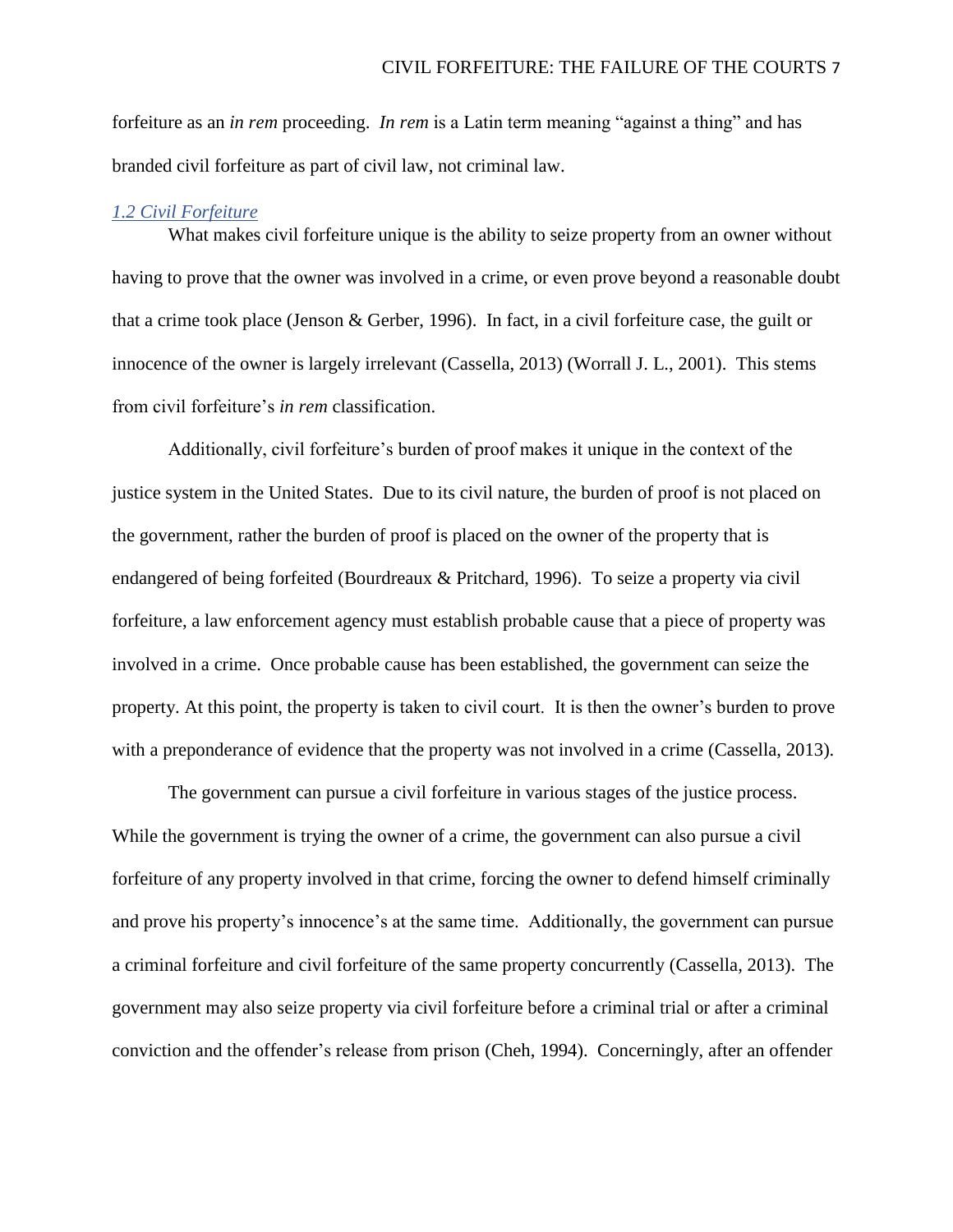forfeiture as an *in rem* proceeding. *In rem* is a Latin term meaning "against a thing" and has branded civil forfeiture as part of civil law, not criminal law.

#### <span id="page-7-0"></span>*1.2 Civil Forfeiture*

What makes civil forfeiture unique is the ability to seize property from an owner without having to prove that the owner was involved in a crime, or even prove beyond a reasonable doubt that a crime took place (Jenson & Gerber, 1996). In fact, in a civil forfeiture case, the guilt or innocence of the owner is largely irrelevant (Cassella, 2013) (Worrall J. L., 2001). This stems from civil forfeiture's *in rem* classification.

Additionally, civil forfeiture's burden of proof makes it unique in the context of the justice system in the United States. Due to its civil nature, the burden of proof is not placed on the government, rather the burden of proof is placed on the owner of the property that is endangered of being forfeited (Bourdreaux & Pritchard, 1996). To seize a property via civil forfeiture, a law enforcement agency must establish probable cause that a piece of property was involved in a crime. Once probable cause has been established, the government can seize the property. At this point, the property is taken to civil court. It is then the owner's burden to prove with a preponderance of evidence that the property was not involved in a crime (Cassella, 2013).

The government can pursue a civil forfeiture in various stages of the justice process. While the government is trying the owner of a crime, the government can also pursue a civil forfeiture of any property involved in that crime, forcing the owner to defend himself criminally and prove his property's innocence's at the same time. Additionally, the government can pursue a criminal forfeiture and civil forfeiture of the same property concurrently (Cassella, 2013). The government may also seize property via civil forfeiture before a criminal trial or after a criminal conviction and the offender's release from prison (Cheh, 1994). Concerningly, after an offender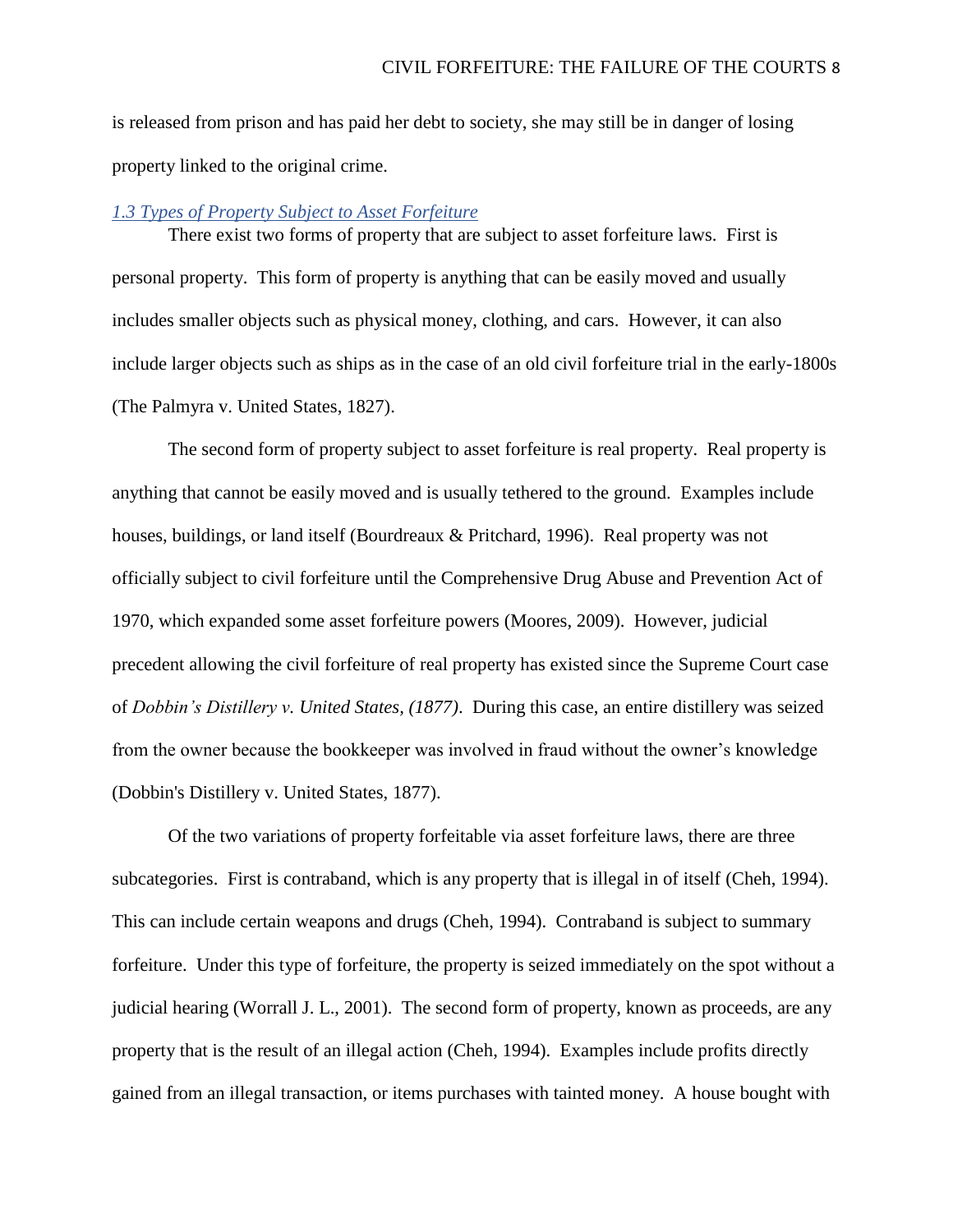is released from prison and has paid her debt to society, she may still be in danger of losing property linked to the original crime.

#### <span id="page-8-0"></span>*1.3 Types of Property Subject to Asset Forfeiture*

There exist two forms of property that are subject to asset forfeiture laws. First is personal property. This form of property is anything that can be easily moved and usually includes smaller objects such as physical money, clothing, and cars. However, it can also include larger objects such as ships as in the case of an old civil forfeiture trial in the early-1800s (The Palmyra v. United States, 1827).

The second form of property subject to asset forfeiture is real property. Real property is anything that cannot be easily moved and is usually tethered to the ground. Examples include houses, buildings, or land itself (Bourdreaux & Pritchard, 1996). Real property was not officially subject to civil forfeiture until the Comprehensive Drug Abuse and Prevention Act of 1970, which expanded some asset forfeiture powers (Moores, 2009). However, judicial precedent allowing the civil forfeiture of real property has existed since the Supreme Court case of *Dobbin's Distillery v. United States, (1877)*. During this case, an entire distillery was seized from the owner because the bookkeeper was involved in fraud without the owner's knowledge (Dobbin's Distillery v. United States, 1877).

Of the two variations of property forfeitable via asset forfeiture laws, there are three subcategories. First is contraband, which is any property that is illegal in of itself (Cheh, 1994). This can include certain weapons and drugs (Cheh, 1994). Contraband is subject to summary forfeiture. Under this type of forfeiture, the property is seized immediately on the spot without a judicial hearing (Worrall J. L., 2001). The second form of property, known as proceeds, are any property that is the result of an illegal action (Cheh, 1994). Examples include profits directly gained from an illegal transaction, or items purchases with tainted money. A house bought with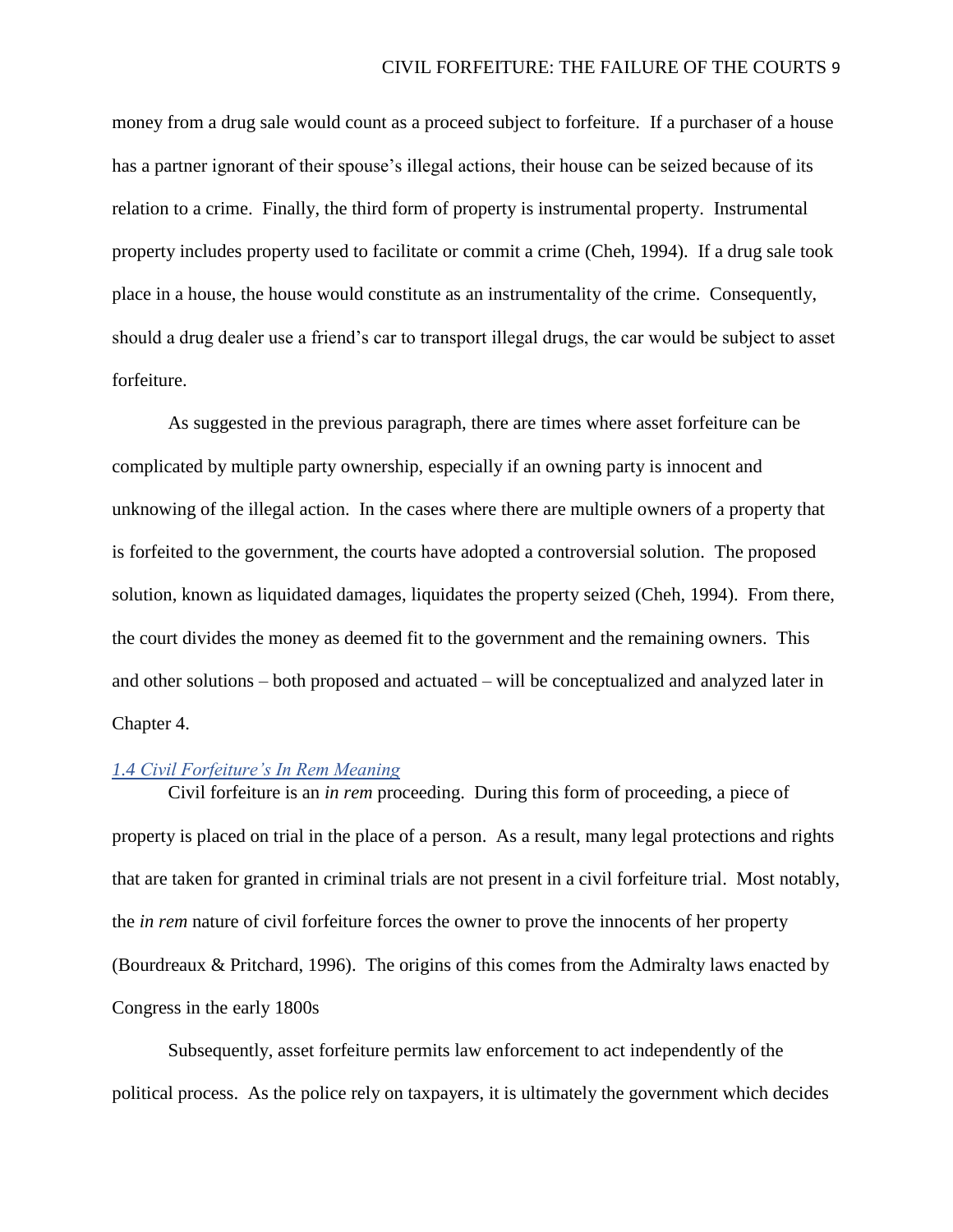money from a drug sale would count as a proceed subject to forfeiture. If a purchaser of a house has a partner ignorant of their spouse's illegal actions, their house can be seized because of its relation to a crime. Finally, the third form of property is instrumental property. Instrumental property includes property used to facilitate or commit a crime (Cheh, 1994). If a drug sale took place in a house, the house would constitute as an instrumentality of the crime. Consequently, should a drug dealer use a friend's car to transport illegal drugs, the car would be subject to asset forfeiture.

As suggested in the previous paragraph, there are times where asset forfeiture can be complicated by multiple party ownership, especially if an owning party is innocent and unknowing of the illegal action. In the cases where there are multiple owners of a property that is forfeited to the government, the courts have adopted a controversial solution. The proposed solution, known as liquidated damages, liquidates the property seized (Cheh, 1994). From there, the court divides the money as deemed fit to the government and the remaining owners. This and other solutions – both proposed and actuated – will be conceptualized and analyzed later in Chapter 4.

# <span id="page-9-0"></span>*1.4 Civil Forfeiture's In Rem Meaning*

Civil forfeiture is an *in rem* proceeding. During this form of proceeding, a piece of property is placed on trial in the place of a person. As a result, many legal protections and rights that are taken for granted in criminal trials are not present in a civil forfeiture trial. Most notably, the *in rem* nature of civil forfeiture forces the owner to prove the innocents of her property (Bourdreaux & Pritchard, 1996). The origins of this comes from the Admiralty laws enacted by Congress in the early 1800s

Subsequently, asset forfeiture permits law enforcement to act independently of the political process. As the police rely on taxpayers, it is ultimately the government which decides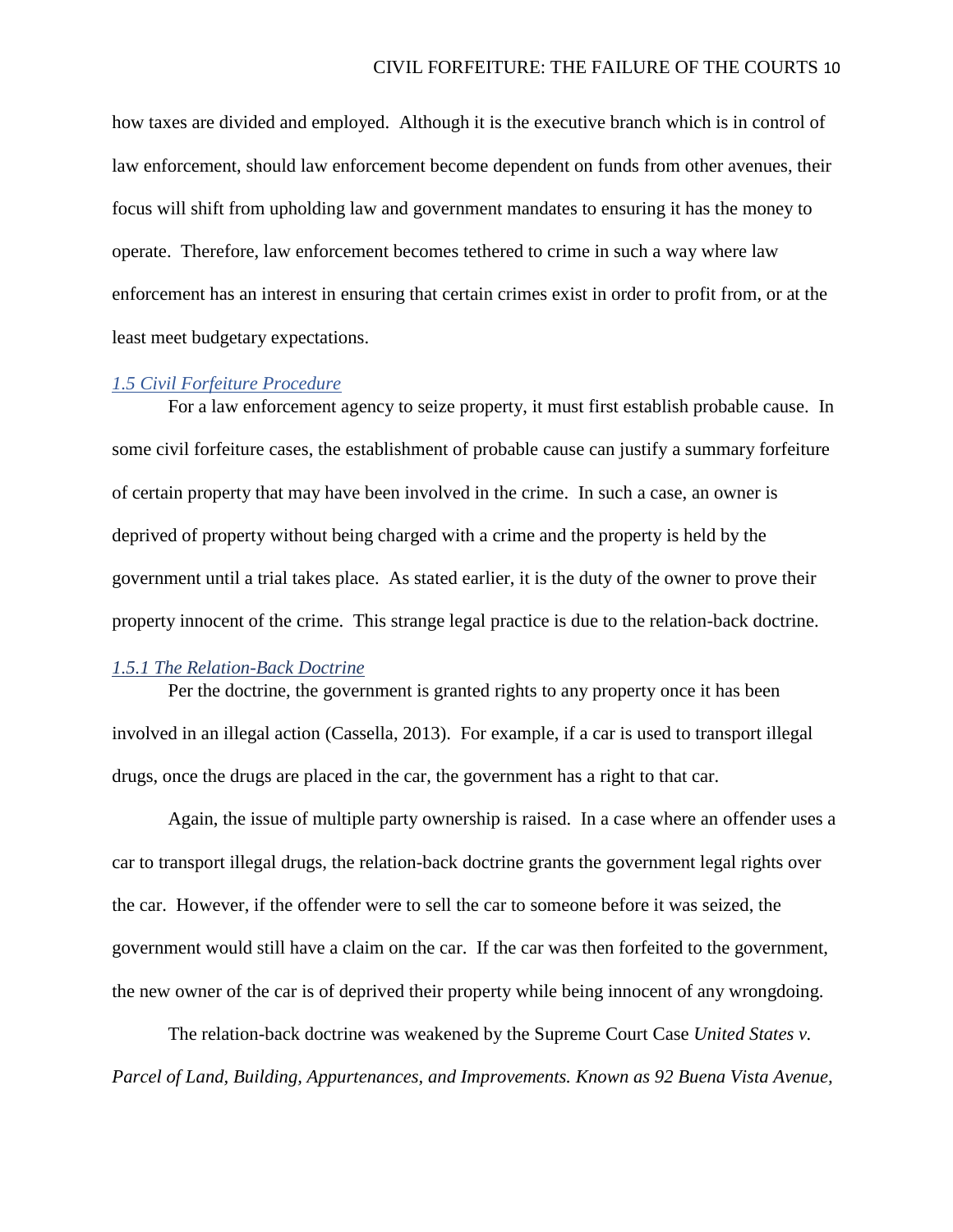how taxes are divided and employed. Although it is the executive branch which is in control of law enforcement, should law enforcement become dependent on funds from other avenues, their focus will shift from upholding law and government mandates to ensuring it has the money to operate. Therefore, law enforcement becomes tethered to crime in such a way where law enforcement has an interest in ensuring that certain crimes exist in order to profit from, or at the least meet budgetary expectations.

# <span id="page-10-0"></span>*1.5 Civil Forfeiture Procedure*

For a law enforcement agency to seize property, it must first establish probable cause. In some civil forfeiture cases, the establishment of probable cause can justify a summary forfeiture of certain property that may have been involved in the crime. In such a case, an owner is deprived of property without being charged with a crime and the property is held by the government until a trial takes place. As stated earlier, it is the duty of the owner to prove their property innocent of the crime. This strange legal practice is due to the relation-back doctrine.

# <span id="page-10-1"></span>*1.5.1 The Relation-Back Doctrine*

Per the doctrine, the government is granted rights to any property once it has been involved in an illegal action (Cassella, 2013). For example, if a car is used to transport illegal drugs, once the drugs are placed in the car, the government has a right to that car.

Again, the issue of multiple party ownership is raised. In a case where an offender uses a car to transport illegal drugs, the relation-back doctrine grants the government legal rights over the car. However, if the offender were to sell the car to someone before it was seized, the government would still have a claim on the car. If the car was then forfeited to the government, the new owner of the car is of deprived their property while being innocent of any wrongdoing.

The relation-back doctrine was weakened by the Supreme Court Case *United States v. Parcel of Land, Building, Appurtenances, and Improvements. Known as 92 Buena Vista Avenue,*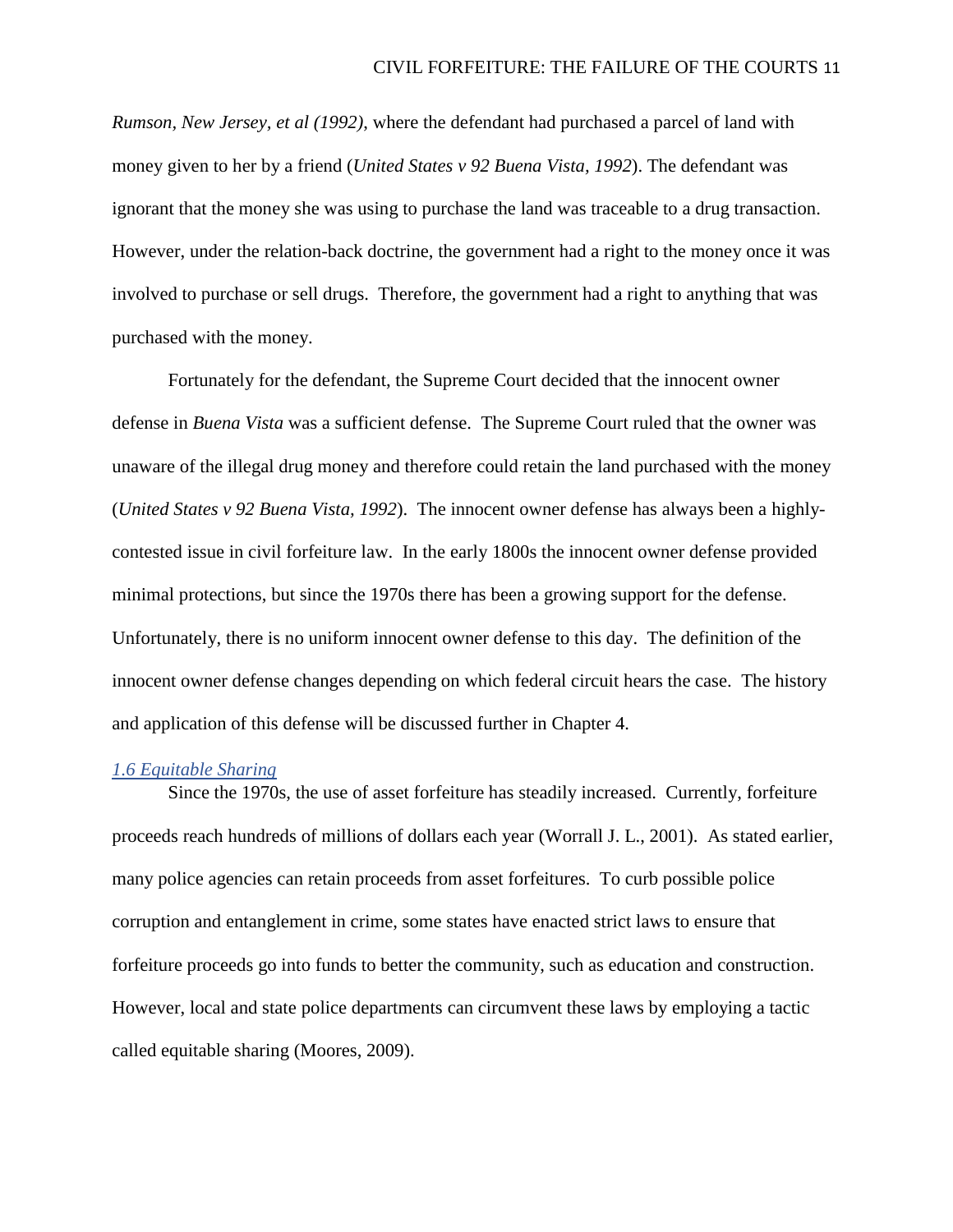*Rumson, New Jersey, et al (1992)*, where the defendant had purchased a parcel of land with money given to her by a friend (*United States v 92 Buena Vista, 1992*). The defendant was ignorant that the money she was using to purchase the land was traceable to a drug transaction. However, under the relation-back doctrine, the government had a right to the money once it was involved to purchase or sell drugs. Therefore, the government had a right to anything that was purchased with the money.

Fortunately for the defendant, the Supreme Court decided that the innocent owner defense in *Buena Vista* was a sufficient defense. The Supreme Court ruled that the owner was unaware of the illegal drug money and therefore could retain the land purchased with the money (*United States v 92 Buena Vista, 1992*). The innocent owner defense has always been a highlycontested issue in civil forfeiture law. In the early 1800s the innocent owner defense provided minimal protections, but since the 1970s there has been a growing support for the defense. Unfortunately, there is no uniform innocent owner defense to this day. The definition of the innocent owner defense changes depending on which federal circuit hears the case. The history and application of this defense will be discussed further in Chapter 4.

#### <span id="page-11-0"></span>*1.6 Equitable Sharing*

Since the 1970s, the use of asset forfeiture has steadily increased. Currently, forfeiture proceeds reach hundreds of millions of dollars each year (Worrall J. L., 2001). As stated earlier, many police agencies can retain proceeds from asset forfeitures. To curb possible police corruption and entanglement in crime, some states have enacted strict laws to ensure that forfeiture proceeds go into funds to better the community, such as education and construction. However, local and state police departments can circumvent these laws by employing a tactic called equitable sharing (Moores, 2009).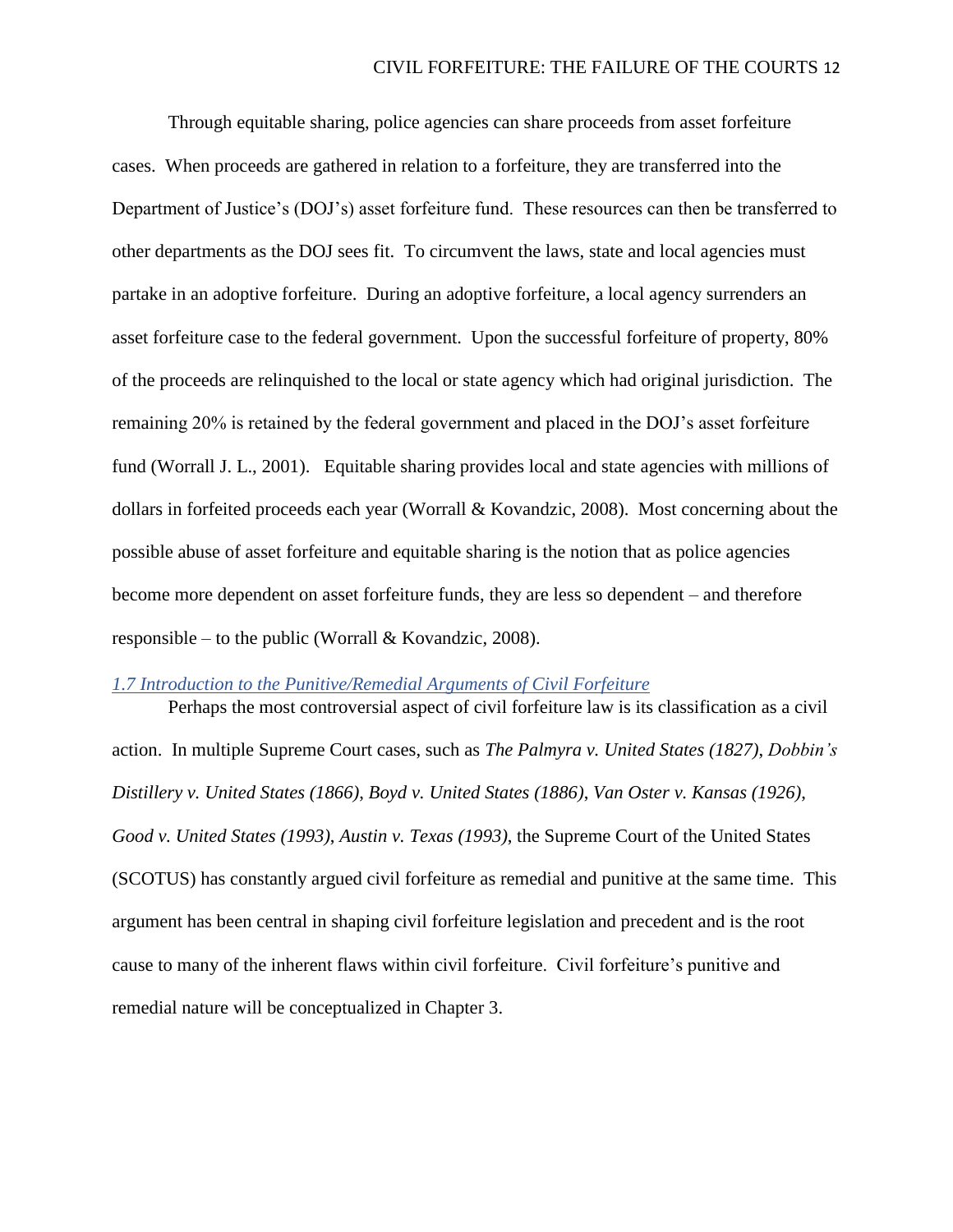Through equitable sharing, police agencies can share proceeds from asset forfeiture cases. When proceeds are gathered in relation to a forfeiture, they are transferred into the Department of Justice's (DOJ's) asset forfeiture fund. These resources can then be transferred to other departments as the DOJ sees fit. To circumvent the laws, state and local agencies must partake in an adoptive forfeiture. During an adoptive forfeiture, a local agency surrenders an asset forfeiture case to the federal government. Upon the successful forfeiture of property, 80% of the proceeds are relinquished to the local or state agency which had original jurisdiction. The remaining 20% is retained by the federal government and placed in the DOJ's asset forfeiture fund (Worrall J. L., 2001). Equitable sharing provides local and state agencies with millions of dollars in forfeited proceeds each year (Worrall & Kovandzic, 2008). Most concerning about the possible abuse of asset forfeiture and equitable sharing is the notion that as police agencies become more dependent on asset forfeiture funds, they are less so dependent – and therefore responsible – to the public (Worrall & Kovandzic, 2008).

# <span id="page-12-0"></span>*1.7 Introduction to the Punitive/Remedial Arguments of Civil Forfeiture*

Perhaps the most controversial aspect of civil forfeiture law is its classification as a civil action. In multiple Supreme Court cases, such as *The Palmyra v. United States (1827)*, *Dobbin's Distillery v. United States (1866)*, *Boyd v. United States (1886)*, *Van Oster v. Kansas (1926)*, *Good v. United States (1993)*, *Austin v. Texas (1993)*, the Supreme Court of the United States (SCOTUS) has constantly argued civil forfeiture as remedial and punitive at the same time. This argument has been central in shaping civil forfeiture legislation and precedent and is the root cause to many of the inherent flaws within civil forfeiture. Civil forfeiture's punitive and remedial nature will be conceptualized in Chapter 3.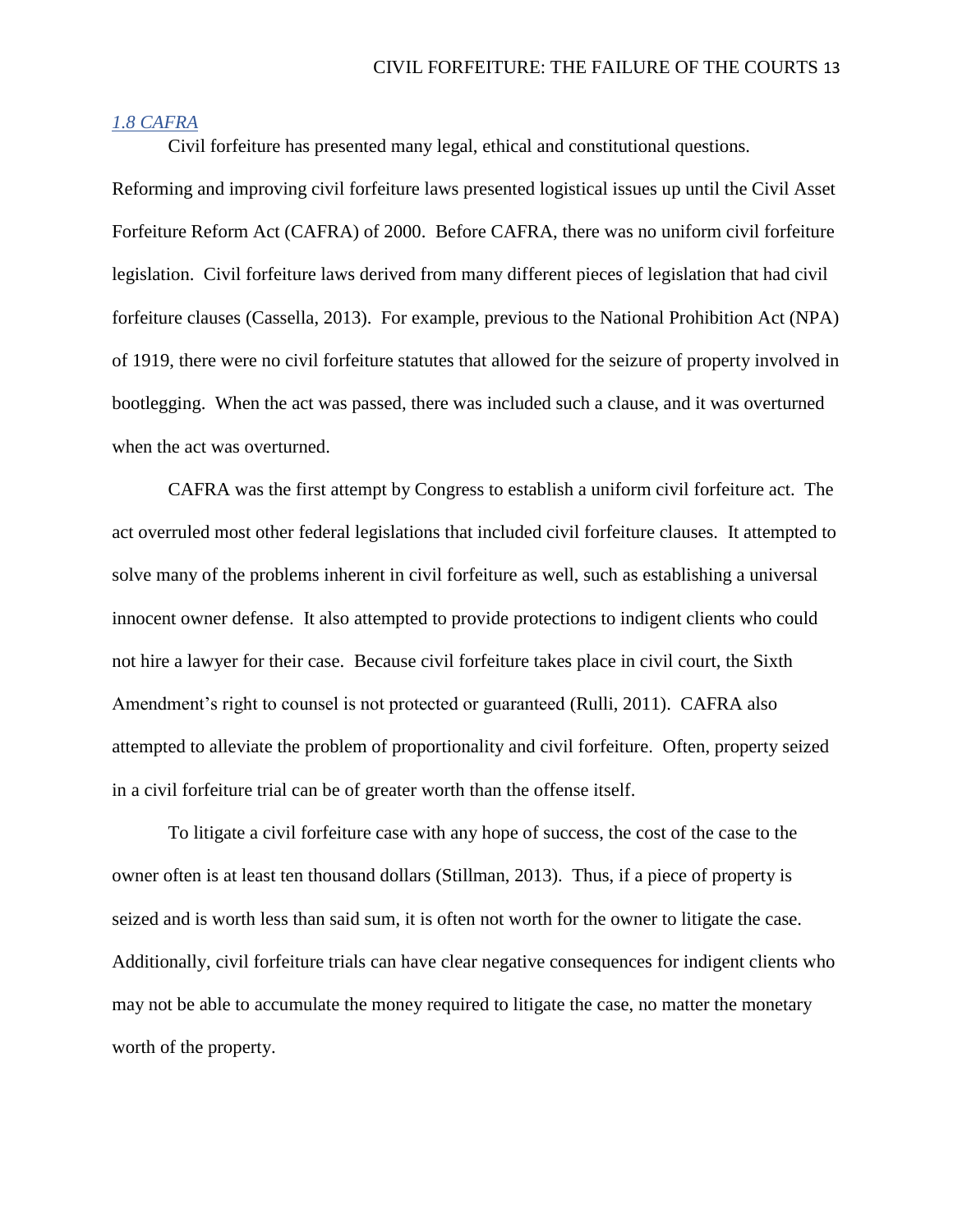# <span id="page-13-0"></span>*1.8 CAFRA*

Civil forfeiture has presented many legal, ethical and constitutional questions.

Reforming and improving civil forfeiture laws presented logistical issues up until the Civil Asset Forfeiture Reform Act (CAFRA) of 2000. Before CAFRA, there was no uniform civil forfeiture legislation. Civil forfeiture laws derived from many different pieces of legislation that had civil forfeiture clauses (Cassella, 2013). For example, previous to the National Prohibition Act (NPA) of 1919, there were no civil forfeiture statutes that allowed for the seizure of property involved in bootlegging. When the act was passed, there was included such a clause, and it was overturned when the act was overturned.

CAFRA was the first attempt by Congress to establish a uniform civil forfeiture act. The act overruled most other federal legislations that included civil forfeiture clauses. It attempted to solve many of the problems inherent in civil forfeiture as well, such as establishing a universal innocent owner defense. It also attempted to provide protections to indigent clients who could not hire a lawyer for their case. Because civil forfeiture takes place in civil court, the Sixth Amendment's right to counsel is not protected or guaranteed (Rulli, 2011). CAFRA also attempted to alleviate the problem of proportionality and civil forfeiture. Often, property seized in a civil forfeiture trial can be of greater worth than the offense itself.

To litigate a civil forfeiture case with any hope of success, the cost of the case to the owner often is at least ten thousand dollars (Stillman, 2013). Thus, if a piece of property is seized and is worth less than said sum, it is often not worth for the owner to litigate the case. Additionally, civil forfeiture trials can have clear negative consequences for indigent clients who may not be able to accumulate the money required to litigate the case, no matter the monetary worth of the property.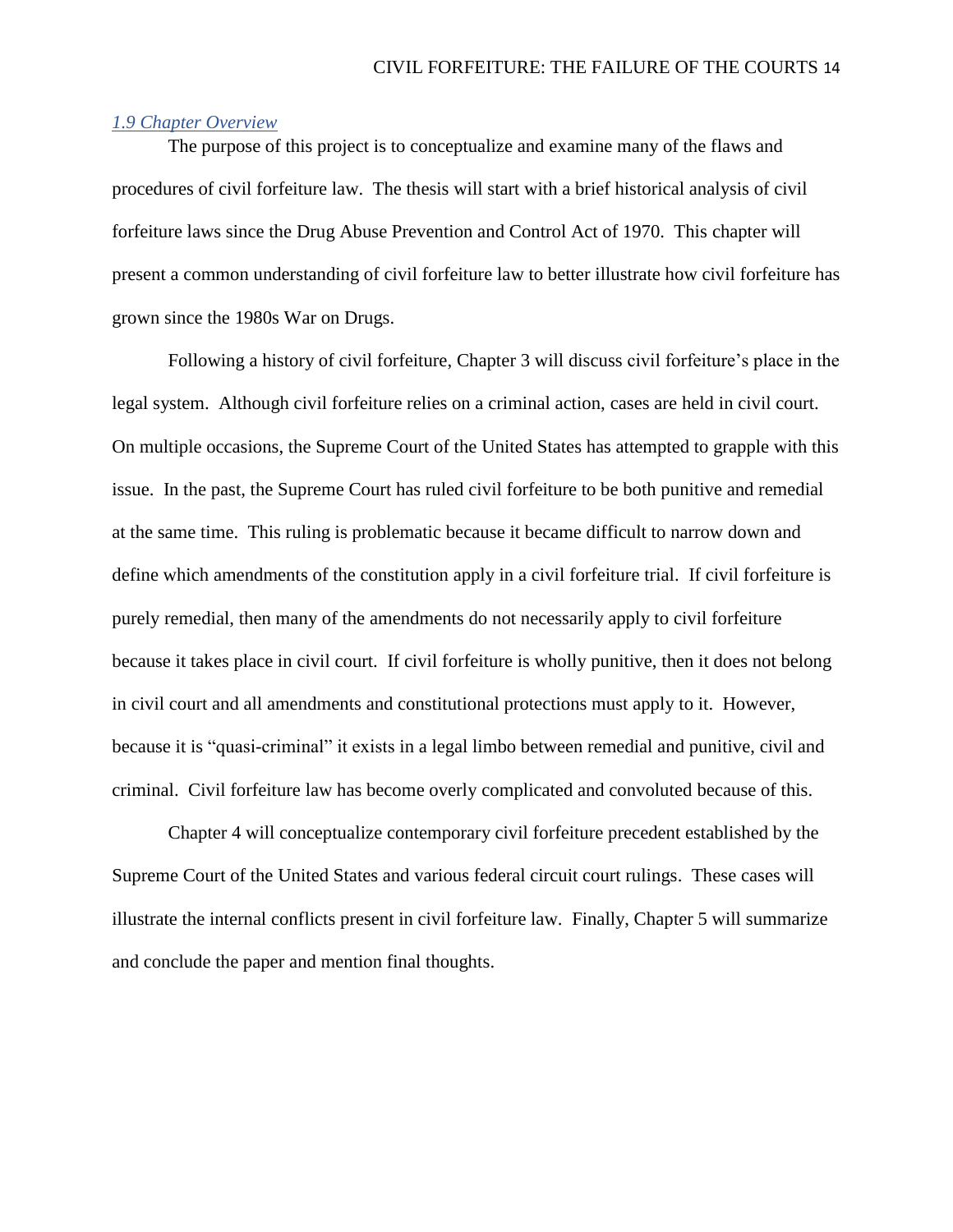# <span id="page-14-0"></span>*1.9 Chapter Overview*

The purpose of this project is to conceptualize and examine many of the flaws and procedures of civil forfeiture law. The thesis will start with a brief historical analysis of civil forfeiture laws since the Drug Abuse Prevention and Control Act of 1970. This chapter will present a common understanding of civil forfeiture law to better illustrate how civil forfeiture has grown since the 1980s War on Drugs.

Following a history of civil forfeiture, Chapter 3 will discuss civil forfeiture's place in the legal system. Although civil forfeiture relies on a criminal action, cases are held in civil court. On multiple occasions, the Supreme Court of the United States has attempted to grapple with this issue. In the past, the Supreme Court has ruled civil forfeiture to be both punitive and remedial at the same time. This ruling is problematic because it became difficult to narrow down and define which amendments of the constitution apply in a civil forfeiture trial. If civil forfeiture is purely remedial, then many of the amendments do not necessarily apply to civil forfeiture because it takes place in civil court. If civil forfeiture is wholly punitive, then it does not belong in civil court and all amendments and constitutional protections must apply to it. However, because it is "quasi-criminal" it exists in a legal limbo between remedial and punitive, civil and criminal. Civil forfeiture law has become overly complicated and convoluted because of this.

Chapter 4 will conceptualize contemporary civil forfeiture precedent established by the Supreme Court of the United States and various federal circuit court rulings. These cases will illustrate the internal conflicts present in civil forfeiture law. Finally, Chapter 5 will summarize and conclude the paper and mention final thoughts.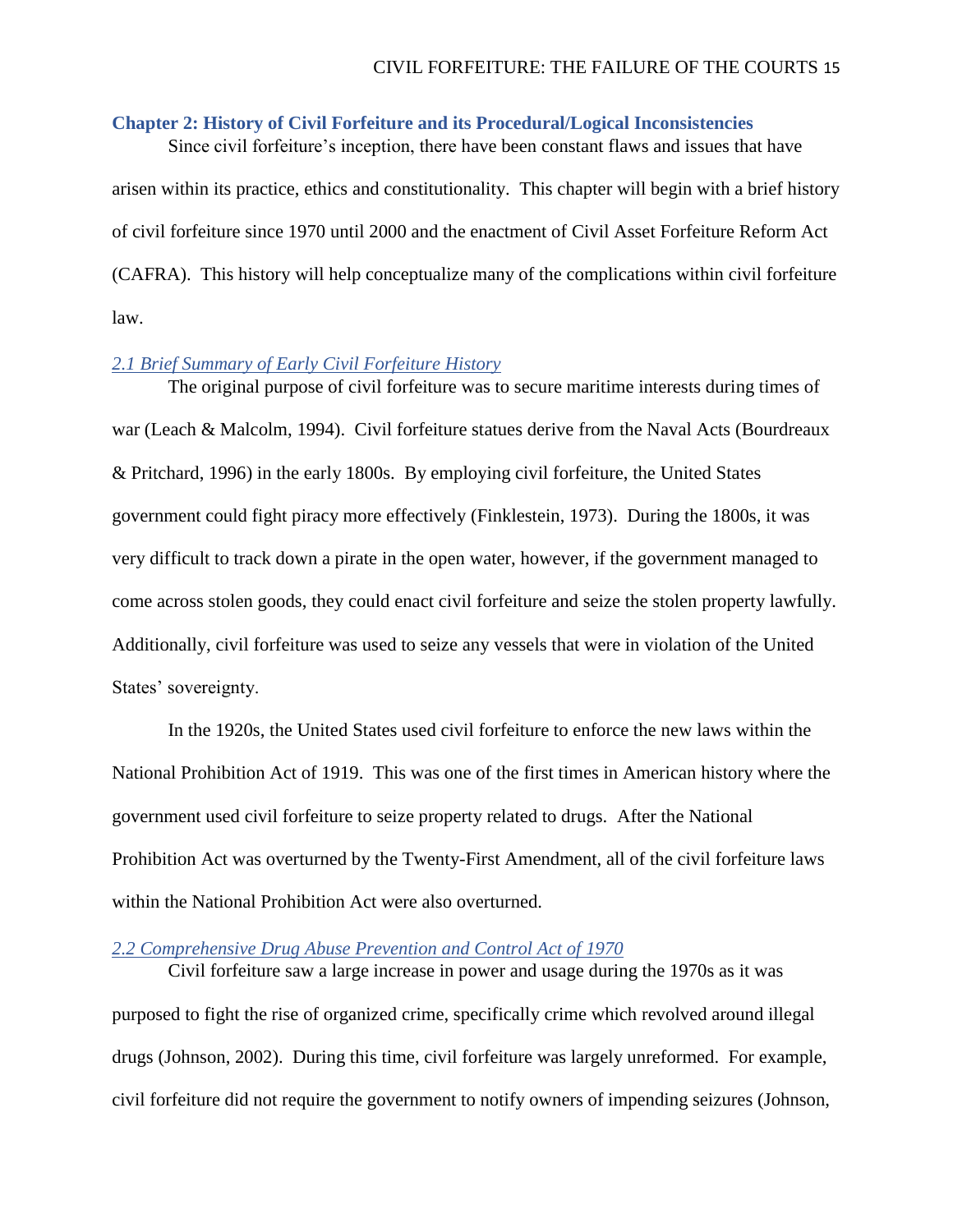# <span id="page-15-0"></span>**Chapter 2: History of Civil Forfeiture and its Procedural/Logical Inconsistencies**

Since civil forfeiture's inception, there have been constant flaws and issues that have arisen within its practice, ethics and constitutionality. This chapter will begin with a brief history of civil forfeiture since 1970 until 2000 and the enactment of Civil Asset Forfeiture Reform Act (CAFRA). This history will help conceptualize many of the complications within civil forfeiture law.

# <span id="page-15-1"></span>*2.1 Brief Summary of Early Civil Forfeiture History*

The original purpose of civil forfeiture was to secure maritime interests during times of war (Leach & Malcolm, 1994). Civil forfeiture statues derive from the Naval Acts (Bourdreaux & Pritchard, 1996) in the early 1800s. By employing civil forfeiture, the United States government could fight piracy more effectively (Finklestein, 1973). During the 1800s, it was very difficult to track down a pirate in the open water, however, if the government managed to come across stolen goods, they could enact civil forfeiture and seize the stolen property lawfully. Additionally, civil forfeiture was used to seize any vessels that were in violation of the United States' sovereignty.

In the 1920s, the United States used civil forfeiture to enforce the new laws within the National Prohibition Act of 1919. This was one of the first times in American history where the government used civil forfeiture to seize property related to drugs. After the National Prohibition Act was overturned by the Twenty-First Amendment, all of the civil forfeiture laws within the National Prohibition Act were also overturned.

# <span id="page-15-2"></span>*2.2 Comprehensive Drug Abuse Prevention and Control Act of 1970*

Civil forfeiture saw a large increase in power and usage during the 1970s as it was purposed to fight the rise of organized crime, specifically crime which revolved around illegal drugs (Johnson, 2002). During this time, civil forfeiture was largely unreformed. For example, civil forfeiture did not require the government to notify owners of impending seizures (Johnson,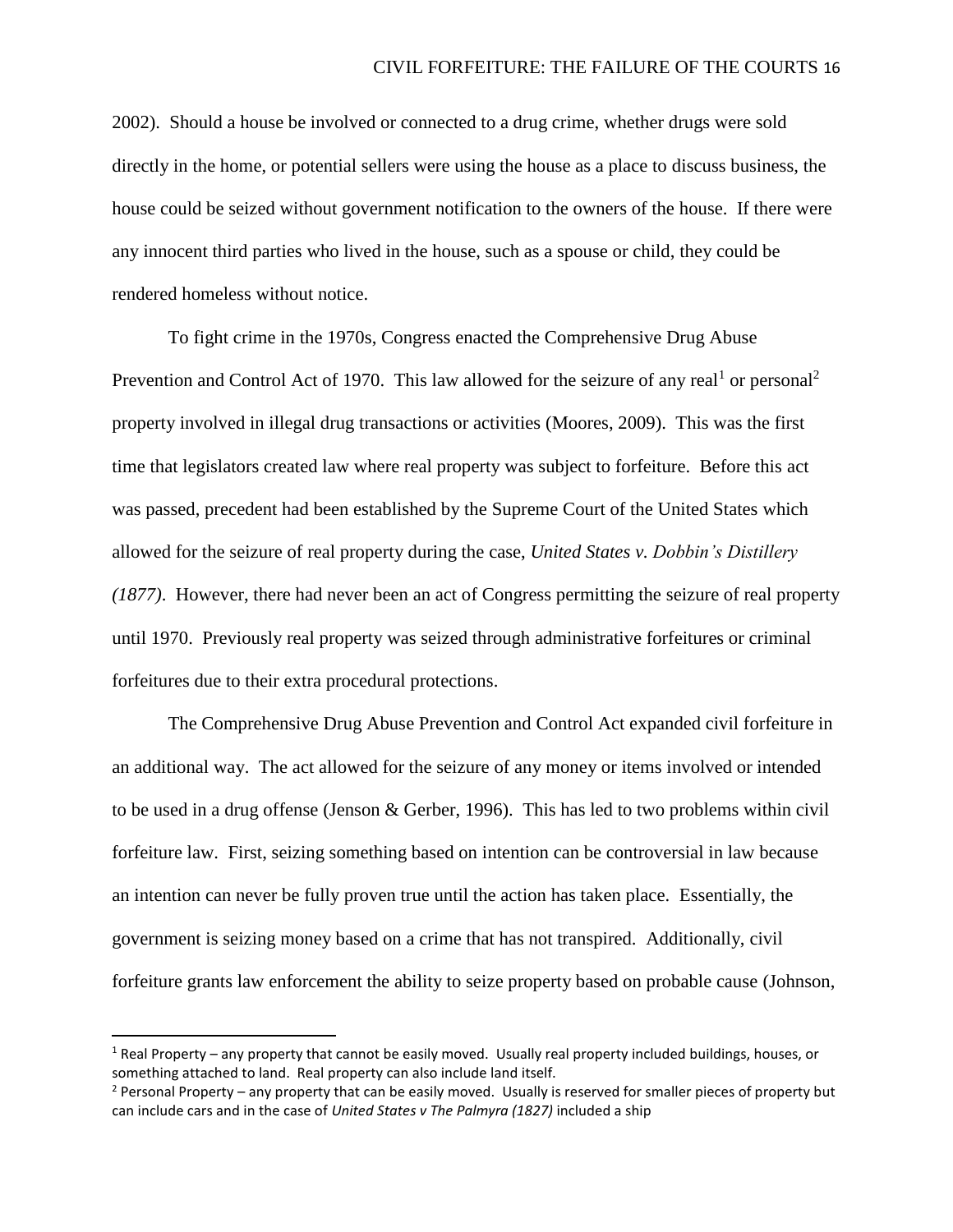2002). Should a house be involved or connected to a drug crime, whether drugs were sold directly in the home, or potential sellers were using the house as a place to discuss business, the house could be seized without government notification to the owners of the house. If there were any innocent third parties who lived in the house, such as a spouse or child, they could be rendered homeless without notice.

To fight crime in the 1970s, Congress enacted the Comprehensive Drug Abuse Prevention and Control Act of 1970. This law allowed for the seizure of any real<sup>1</sup> or personal<sup>2</sup> property involved in illegal drug transactions or activities (Moores, 2009). This was the first time that legislators created law where real property was subject to forfeiture. Before this act was passed, precedent had been established by the Supreme Court of the United States which allowed for the seizure of real property during the case, *United States v. Dobbin's Distillery (1877)*. However, there had never been an act of Congress permitting the seizure of real property until 1970. Previously real property was seized through administrative forfeitures or criminal forfeitures due to their extra procedural protections.

The Comprehensive Drug Abuse Prevention and Control Act expanded civil forfeiture in an additional way. The act allowed for the seizure of any money or items involved or intended to be used in a drug offense (Jenson & Gerber, 1996). This has led to two problems within civil forfeiture law. First, seizing something based on intention can be controversial in law because an intention can never be fully proven true until the action has taken place. Essentially, the government is seizing money based on a crime that has not transpired. Additionally, civil forfeiture grants law enforcement the ability to seize property based on probable cause (Johnson,

 $\overline{a}$ 

 $1$  Real Property – any property that cannot be easily moved. Usually real property included buildings, houses, or something attached to land. Real property can also include land itself.

 $2$  Personal Property – any property that can be easily moved. Usually is reserved for smaller pieces of property but can include cars and in the case of *United States v The Palmyra (1827)* included a ship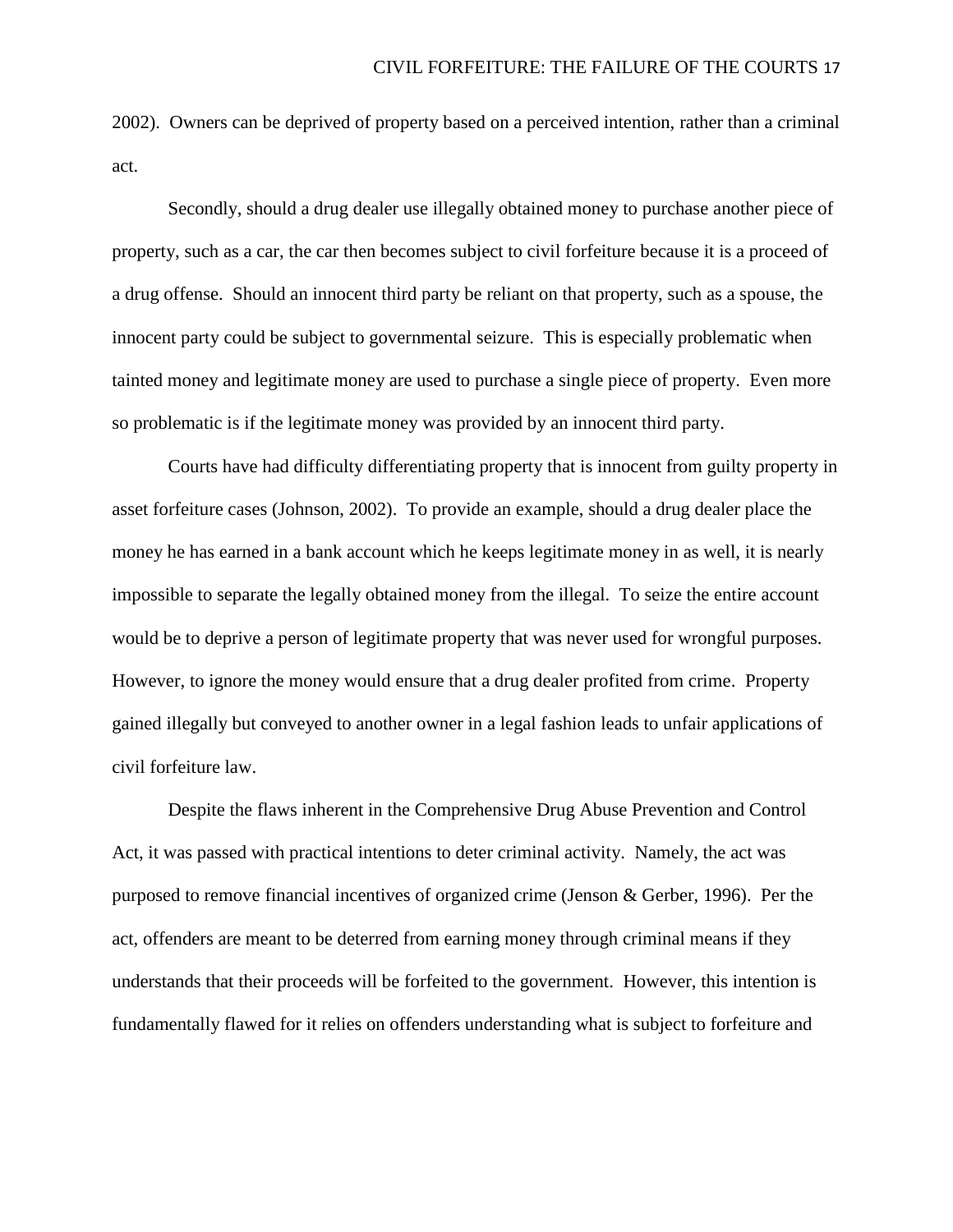2002). Owners can be deprived of property based on a perceived intention, rather than a criminal act.

Secondly, should a drug dealer use illegally obtained money to purchase another piece of property, such as a car, the car then becomes subject to civil forfeiture because it is a proceed of a drug offense. Should an innocent third party be reliant on that property, such as a spouse, the innocent party could be subject to governmental seizure. This is especially problematic when tainted money and legitimate money are used to purchase a single piece of property. Even more so problematic is if the legitimate money was provided by an innocent third party.

Courts have had difficulty differentiating property that is innocent from guilty property in asset forfeiture cases (Johnson, 2002). To provide an example, should a drug dealer place the money he has earned in a bank account which he keeps legitimate money in as well, it is nearly impossible to separate the legally obtained money from the illegal. To seize the entire account would be to deprive a person of legitimate property that was never used for wrongful purposes. However, to ignore the money would ensure that a drug dealer profited from crime. Property gained illegally but conveyed to another owner in a legal fashion leads to unfair applications of civil forfeiture law.

Despite the flaws inherent in the Comprehensive Drug Abuse Prevention and Control Act, it was passed with practical intentions to deter criminal activity. Namely, the act was purposed to remove financial incentives of organized crime (Jenson & Gerber, 1996). Per the act, offenders are meant to be deterred from earning money through criminal means if they understands that their proceeds will be forfeited to the government. However, this intention is fundamentally flawed for it relies on offenders understanding what is subject to forfeiture and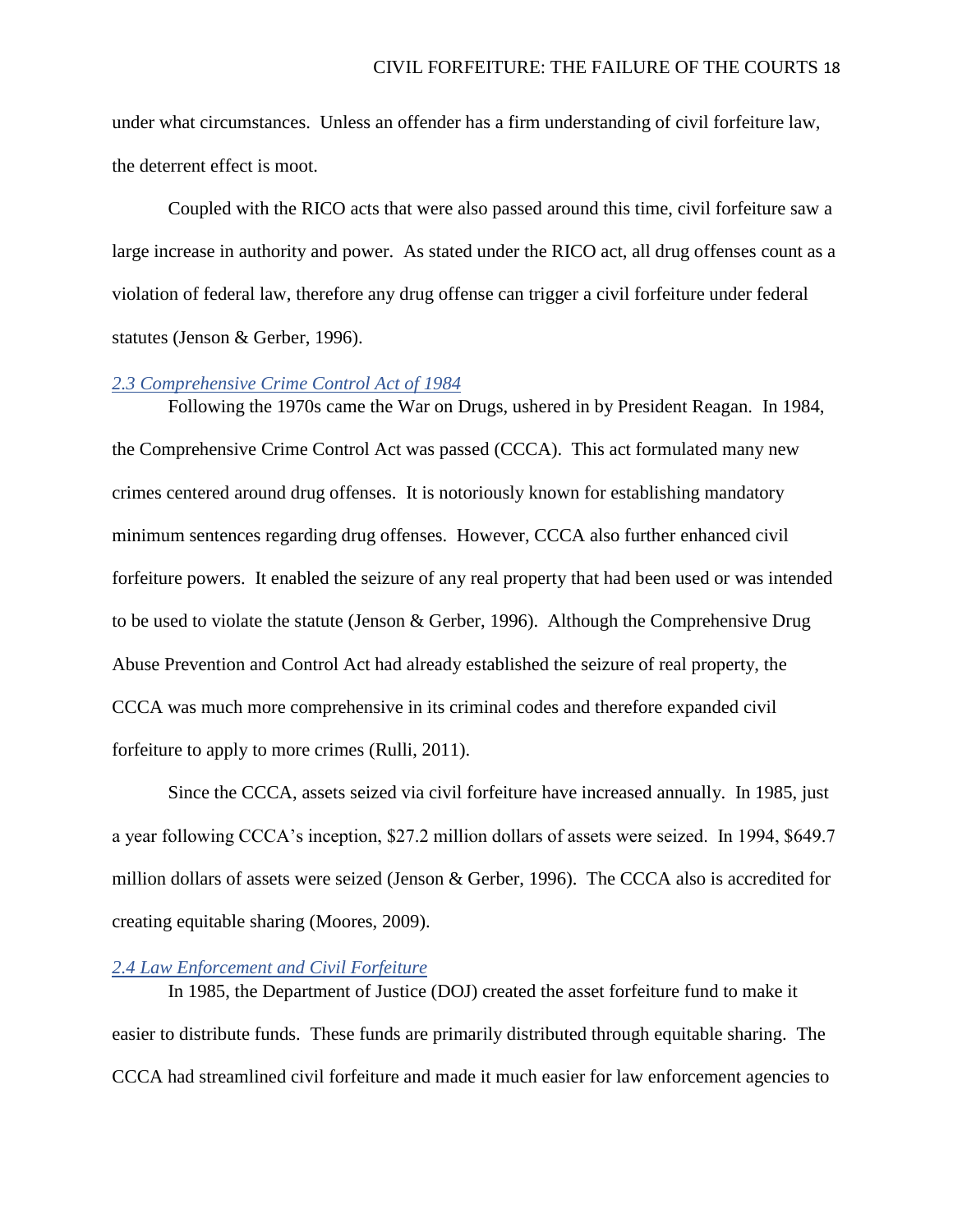under what circumstances. Unless an offender has a firm understanding of civil forfeiture law, the deterrent effect is moot.

Coupled with the RICO acts that were also passed around this time, civil forfeiture saw a large increase in authority and power. As stated under the RICO act, all drug offenses count as a violation of federal law, therefore any drug offense can trigger a civil forfeiture under federal statutes (Jenson & Gerber, 1996).

# <span id="page-18-0"></span>*2.3 Comprehensive Crime Control Act of 1984*

Following the 1970s came the War on Drugs, ushered in by President Reagan. In 1984, the Comprehensive Crime Control Act was passed (CCCA). This act formulated many new crimes centered around drug offenses. It is notoriously known for establishing mandatory minimum sentences regarding drug offenses. However, CCCA also further enhanced civil forfeiture powers. It enabled the seizure of any real property that had been used or was intended to be used to violate the statute (Jenson & Gerber, 1996). Although the Comprehensive Drug Abuse Prevention and Control Act had already established the seizure of real property, the CCCA was much more comprehensive in its criminal codes and therefore expanded civil forfeiture to apply to more crimes (Rulli, 2011).

Since the CCCA, assets seized via civil forfeiture have increased annually. In 1985, just a year following CCCA's inception, \$27.2 million dollars of assets were seized. In 1994, \$649.7 million dollars of assets were seized (Jenson & Gerber, 1996). The CCCA also is accredited for creating equitable sharing (Moores, 2009).

# <span id="page-18-1"></span>*2.4 Law Enforcement and Civil Forfeiture*

In 1985, the Department of Justice (DOJ) created the asset forfeiture fund to make it easier to distribute funds. These funds are primarily distributed through equitable sharing. The CCCA had streamlined civil forfeiture and made it much easier for law enforcement agencies to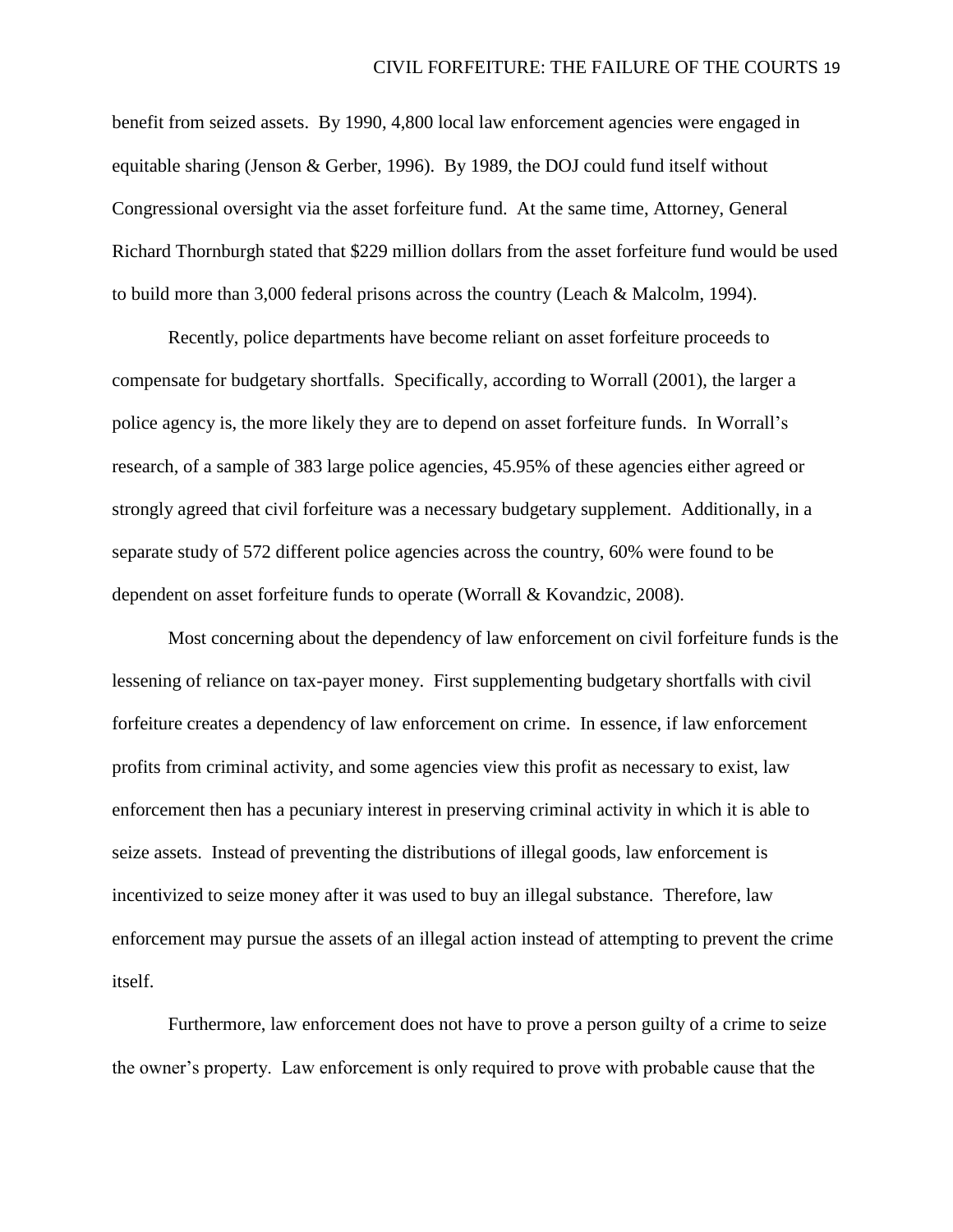# CIVIL FORFEITURE: THE FAILURE OF THE COURTS 19

benefit from seized assets. By 1990, 4,800 local law enforcement agencies were engaged in equitable sharing (Jenson & Gerber, 1996). By 1989, the DOJ could fund itself without Congressional oversight via the asset forfeiture fund. At the same time, Attorney, General Richard Thornburgh stated that \$229 million dollars from the asset forfeiture fund would be used to build more than 3,000 federal prisons across the country (Leach & Malcolm, 1994).

Recently, police departments have become reliant on asset forfeiture proceeds to compensate for budgetary shortfalls. Specifically, according to Worrall (2001), the larger a police agency is, the more likely they are to depend on asset forfeiture funds. In Worrall's research, of a sample of 383 large police agencies, 45.95% of these agencies either agreed or strongly agreed that civil forfeiture was a necessary budgetary supplement. Additionally, in a separate study of 572 different police agencies across the country, 60% were found to be dependent on asset forfeiture funds to operate (Worrall & Kovandzic, 2008).

Most concerning about the dependency of law enforcement on civil forfeiture funds is the lessening of reliance on tax-payer money. First supplementing budgetary shortfalls with civil forfeiture creates a dependency of law enforcement on crime. In essence, if law enforcement profits from criminal activity, and some agencies view this profit as necessary to exist, law enforcement then has a pecuniary interest in preserving criminal activity in which it is able to seize assets. Instead of preventing the distributions of illegal goods, law enforcement is incentivized to seize money after it was used to buy an illegal substance. Therefore, law enforcement may pursue the assets of an illegal action instead of attempting to prevent the crime itself.

Furthermore, law enforcement does not have to prove a person guilty of a crime to seize the owner's property. Law enforcement is only required to prove with probable cause that the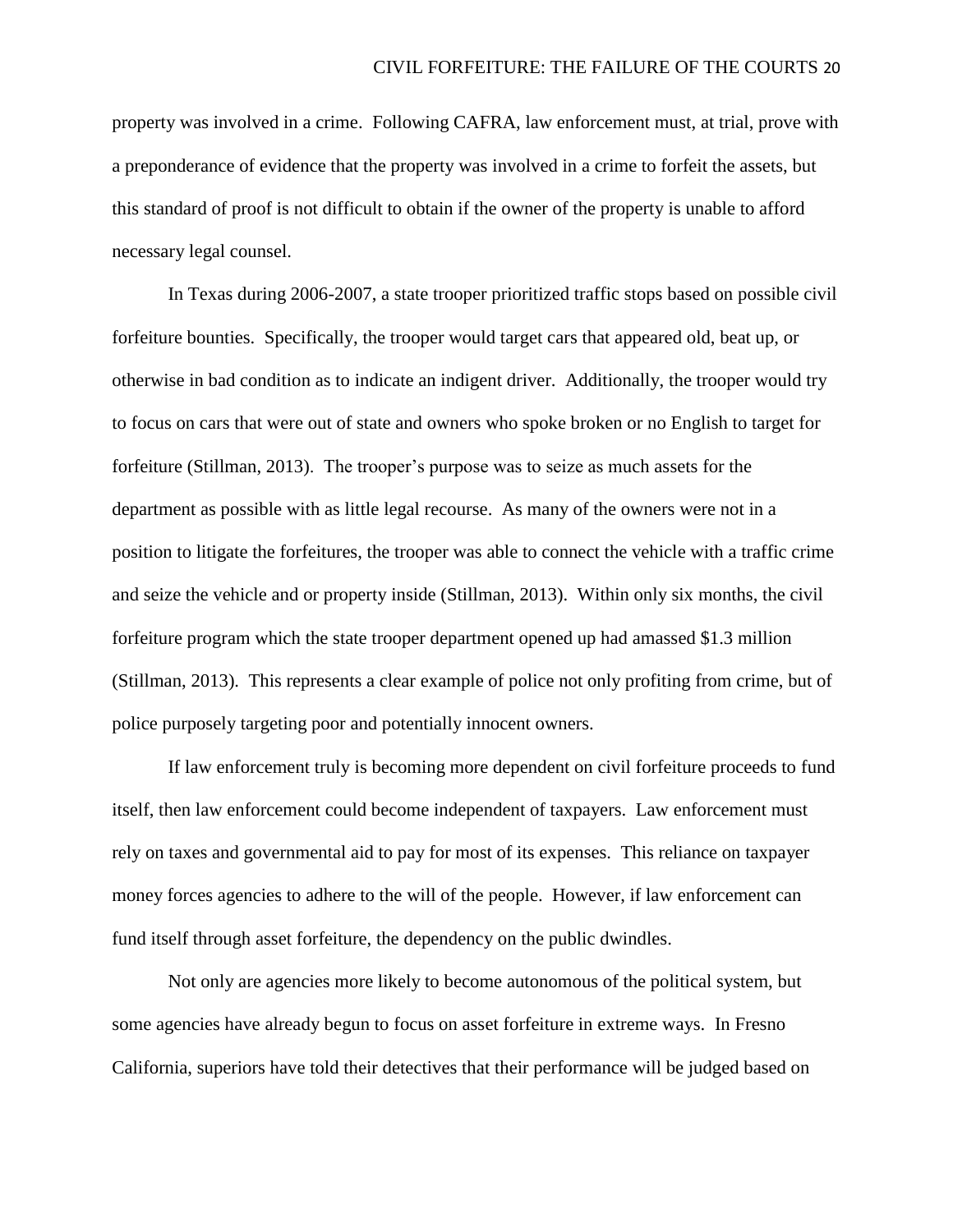property was involved in a crime. Following CAFRA, law enforcement must, at trial, prove with a preponderance of evidence that the property was involved in a crime to forfeit the assets, but this standard of proof is not difficult to obtain if the owner of the property is unable to afford necessary legal counsel.

In Texas during 2006-2007, a state trooper prioritized traffic stops based on possible civil forfeiture bounties. Specifically, the trooper would target cars that appeared old, beat up, or otherwise in bad condition as to indicate an indigent driver. Additionally, the trooper would try to focus on cars that were out of state and owners who spoke broken or no English to target for forfeiture (Stillman, 2013). The trooper's purpose was to seize as much assets for the department as possible with as little legal recourse. As many of the owners were not in a position to litigate the forfeitures, the trooper was able to connect the vehicle with a traffic crime and seize the vehicle and or property inside (Stillman, 2013). Within only six months, the civil forfeiture program which the state trooper department opened up had amassed \$1.3 million (Stillman, 2013). This represents a clear example of police not only profiting from crime, but of police purposely targeting poor and potentially innocent owners.

If law enforcement truly is becoming more dependent on civil forfeiture proceeds to fund itself, then law enforcement could become independent of taxpayers. Law enforcement must rely on taxes and governmental aid to pay for most of its expenses. This reliance on taxpayer money forces agencies to adhere to the will of the people. However, if law enforcement can fund itself through asset forfeiture, the dependency on the public dwindles.

Not only are agencies more likely to become autonomous of the political system, but some agencies have already begun to focus on asset forfeiture in extreme ways. In Fresno California, superiors have told their detectives that their performance will be judged based on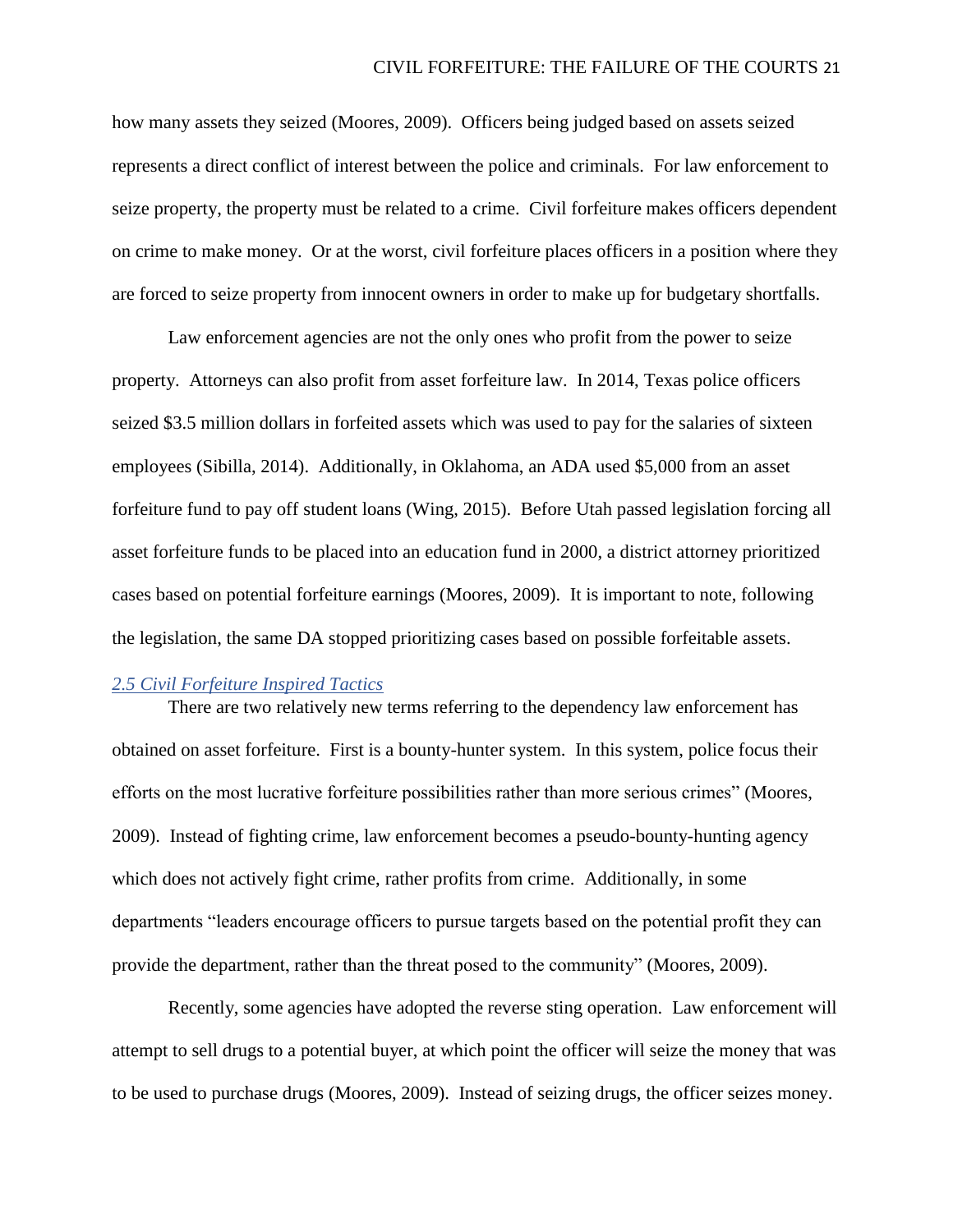how many assets they seized (Moores, 2009). Officers being judged based on assets seized represents a direct conflict of interest between the police and criminals. For law enforcement to seize property, the property must be related to a crime. Civil forfeiture makes officers dependent on crime to make money. Or at the worst, civil forfeiture places officers in a position where they are forced to seize property from innocent owners in order to make up for budgetary shortfalls.

Law enforcement agencies are not the only ones who profit from the power to seize property. Attorneys can also profit from asset forfeiture law. In 2014, Texas police officers seized \$3.5 million dollars in forfeited assets which was used to pay for the salaries of sixteen employees (Sibilla, 2014). Additionally, in Oklahoma, an ADA used \$5,000 from an asset forfeiture fund to pay off student loans (Wing, 2015). Before Utah passed legislation forcing all asset forfeiture funds to be placed into an education fund in 2000, a district attorney prioritized cases based on potential forfeiture earnings (Moores, 2009). It is important to note, following the legislation, the same DA stopped prioritizing cases based on possible forfeitable assets.

# <span id="page-21-0"></span>*2.5 Civil Forfeiture Inspired Tactics*

There are two relatively new terms referring to the dependency law enforcement has obtained on asset forfeiture. First is a bounty-hunter system. In this system, police focus their efforts on the most lucrative forfeiture possibilities rather than more serious crimes" (Moores, 2009). Instead of fighting crime, law enforcement becomes a pseudo-bounty-hunting agency which does not actively fight crime, rather profits from crime. Additionally, in some departments "leaders encourage officers to pursue targets based on the potential profit they can provide the department, rather than the threat posed to the community" (Moores, 2009).

Recently, some agencies have adopted the reverse sting operation. Law enforcement will attempt to sell drugs to a potential buyer, at which point the officer will seize the money that was to be used to purchase drugs (Moores, 2009). Instead of seizing drugs, the officer seizes money.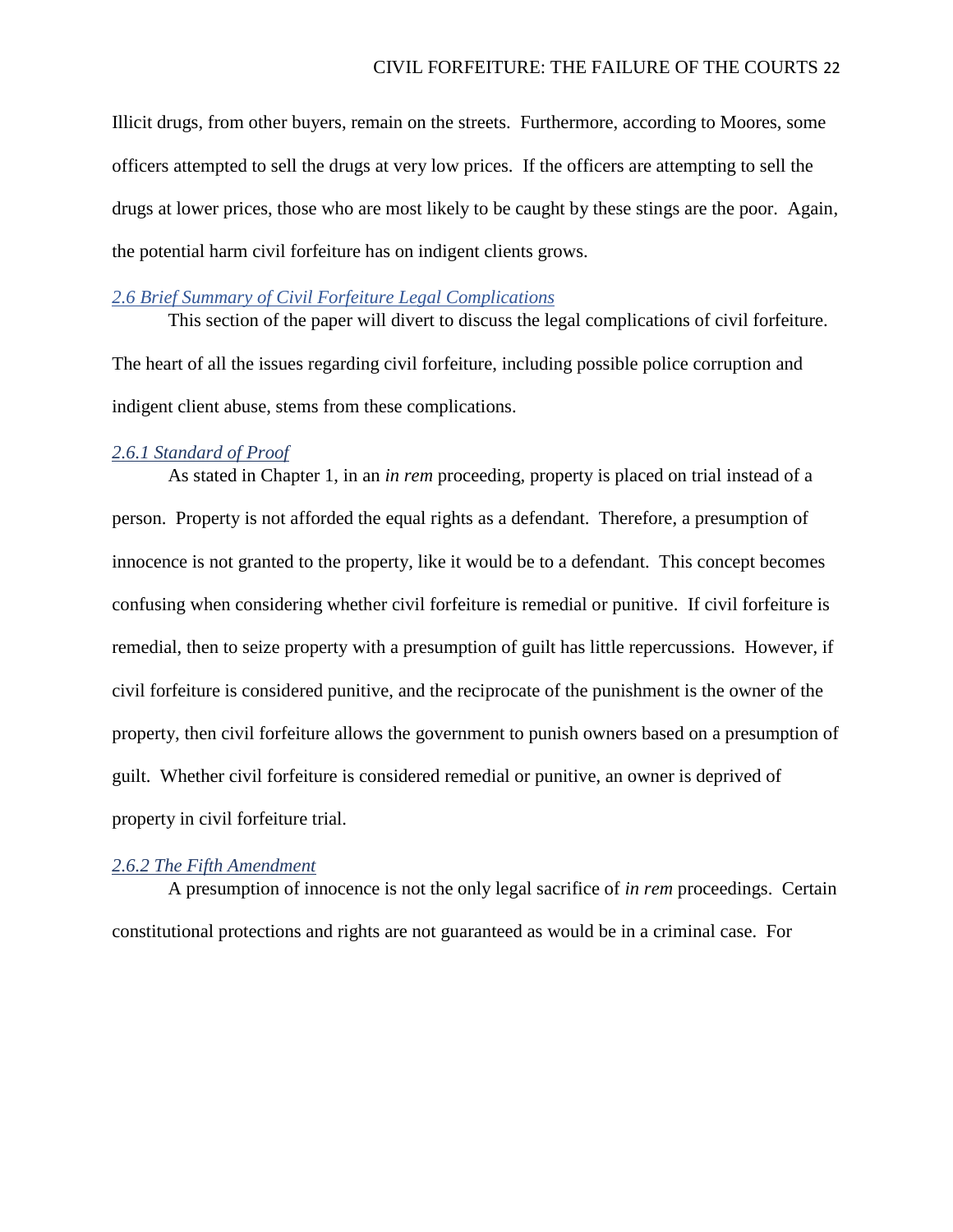Illicit drugs, from other buyers, remain on the streets. Furthermore, according to Moores, some officers attempted to sell the drugs at very low prices. If the officers are attempting to sell the drugs at lower prices, those who are most likely to be caught by these stings are the poor. Again, the potential harm civil forfeiture has on indigent clients grows.

# <span id="page-22-0"></span>*2.6 Brief Summary of Civil Forfeiture Legal Complications*

This section of the paper will divert to discuss the legal complications of civil forfeiture. The heart of all the issues regarding civil forfeiture, including possible police corruption and indigent client abuse, stems from these complications.

# <span id="page-22-1"></span>*2.6.1 Standard of Proof*

As stated in Chapter 1, in an *in rem* proceeding, property is placed on trial instead of a person. Property is not afforded the equal rights as a defendant. Therefore, a presumption of innocence is not granted to the property, like it would be to a defendant. This concept becomes confusing when considering whether civil forfeiture is remedial or punitive. If civil forfeiture is remedial, then to seize property with a presumption of guilt has little repercussions. However, if civil forfeiture is considered punitive, and the reciprocate of the punishment is the owner of the property, then civil forfeiture allows the government to punish owners based on a presumption of guilt. Whether civil forfeiture is considered remedial or punitive, an owner is deprived of property in civil forfeiture trial.

# <span id="page-22-2"></span>*2.6.2 The Fifth Amendment*

A presumption of innocence is not the only legal sacrifice of *in rem* proceedings. Certain constitutional protections and rights are not guaranteed as would be in a criminal case. For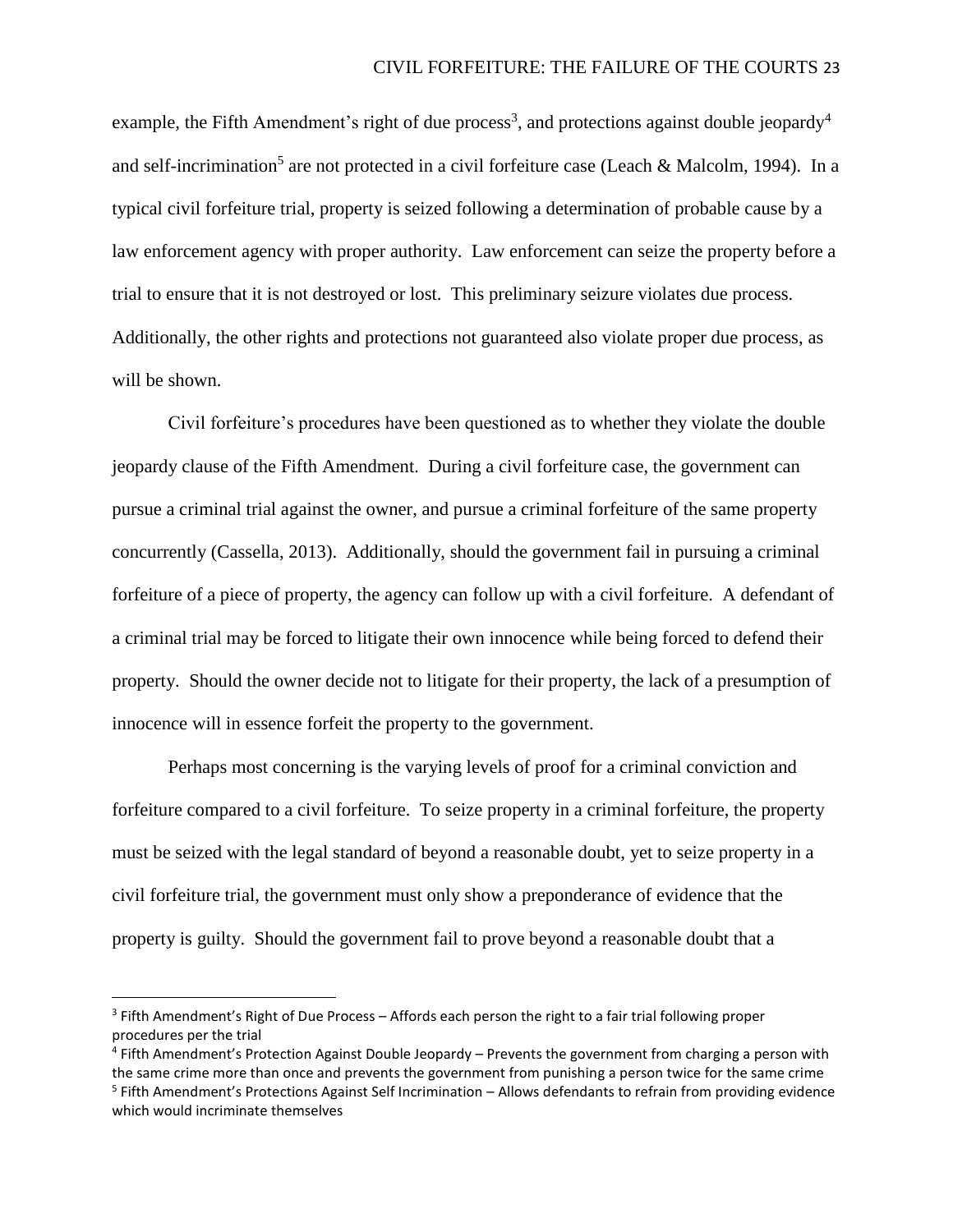example, the Fifth Amendment's right of due process<sup>3</sup>, and protections against double jeopardy<sup>4</sup> and self-incrimination<sup>5</sup> are not protected in a civil forfeiture case (Leach & Malcolm, 1994). In a typical civil forfeiture trial, property is seized following a determination of probable cause by a law enforcement agency with proper authority. Law enforcement can seize the property before a trial to ensure that it is not destroyed or lost. This preliminary seizure violates due process. Additionally, the other rights and protections not guaranteed also violate proper due process, as will be shown.

Civil forfeiture's procedures have been questioned as to whether they violate the double jeopardy clause of the Fifth Amendment. During a civil forfeiture case, the government can pursue a criminal trial against the owner, and pursue a criminal forfeiture of the same property concurrently (Cassella, 2013). Additionally, should the government fail in pursuing a criminal forfeiture of a piece of property, the agency can follow up with a civil forfeiture. A defendant of a criminal trial may be forced to litigate their own innocence while being forced to defend their property. Should the owner decide not to litigate for their property, the lack of a presumption of innocence will in essence forfeit the property to the government.

Perhaps most concerning is the varying levels of proof for a criminal conviction and forfeiture compared to a civil forfeiture. To seize property in a criminal forfeiture, the property must be seized with the legal standard of beyond a reasonable doubt, yet to seize property in a civil forfeiture trial, the government must only show a preponderance of evidence that the property is guilty. Should the government fail to prove beyond a reasonable doubt that a

 $\overline{a}$ 

<sup>&</sup>lt;sup>3</sup> Fifth Amendment's Right of Due Process – Affords each person the right to a fair trial following proper procedures per the trial

<sup>4</sup> Fifth Amendment's Protection Against Double Jeopardy – Prevents the government from charging a person with the same crime more than once and prevents the government from punishing a person twice for the same crime <sup>5</sup> Fifth Amendment's Protections Against Self Incrimination – Allows defendants to refrain from providing evidence which would incriminate themselves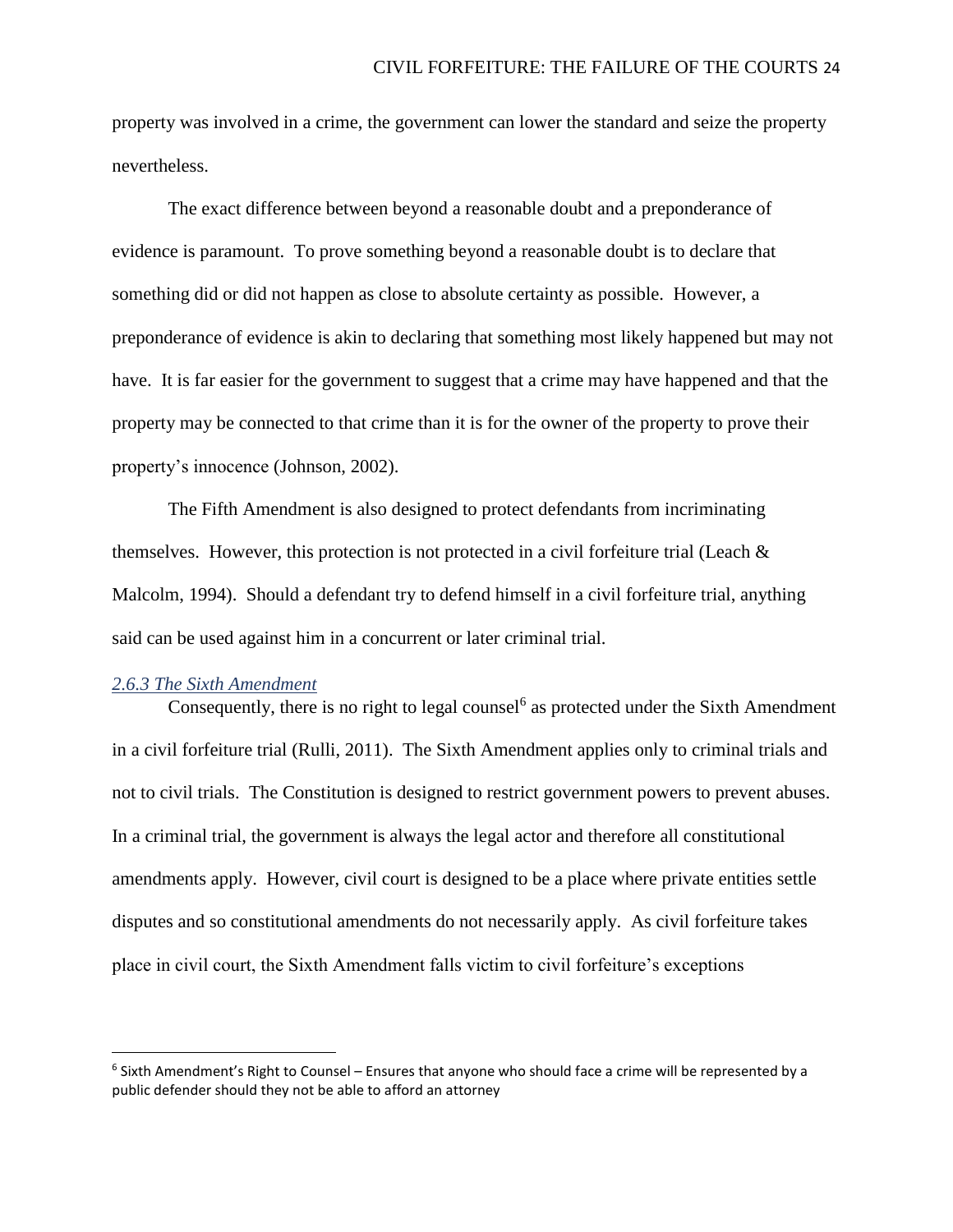property was involved in a crime, the government can lower the standard and seize the property nevertheless.

The exact difference between beyond a reasonable doubt and a preponderance of evidence is paramount. To prove something beyond a reasonable doubt is to declare that something did or did not happen as close to absolute certainty as possible. However, a preponderance of evidence is akin to declaring that something most likely happened but may not have. It is far easier for the government to suggest that a crime may have happened and that the property may be connected to that crime than it is for the owner of the property to prove their property's innocence (Johnson, 2002).

The Fifth Amendment is also designed to protect defendants from incriminating themselves. However, this protection is not protected in a civil forfeiture trial (Leach & Malcolm, 1994). Should a defendant try to defend himself in a civil forfeiture trial, anything said can be used against him in a concurrent or later criminal trial.

# <span id="page-24-0"></span>*2.6.3 The Sixth Amendment*

 $\overline{\phantom{a}}$ 

Consequently, there is no right to legal counsel<sup>6</sup> as protected under the Sixth Amendment in a civil forfeiture trial (Rulli, 2011). The Sixth Amendment applies only to criminal trials and not to civil trials. The Constitution is designed to restrict government powers to prevent abuses. In a criminal trial, the government is always the legal actor and therefore all constitutional amendments apply. However, civil court is designed to be a place where private entities settle disputes and so constitutional amendments do not necessarily apply. As civil forfeiture takes place in civil court, the Sixth Amendment falls victim to civil forfeiture's exceptions

<sup>6</sup> Sixth Amendment's Right to Counsel – Ensures that anyone who should face a crime will be represented by a public defender should they not be able to afford an attorney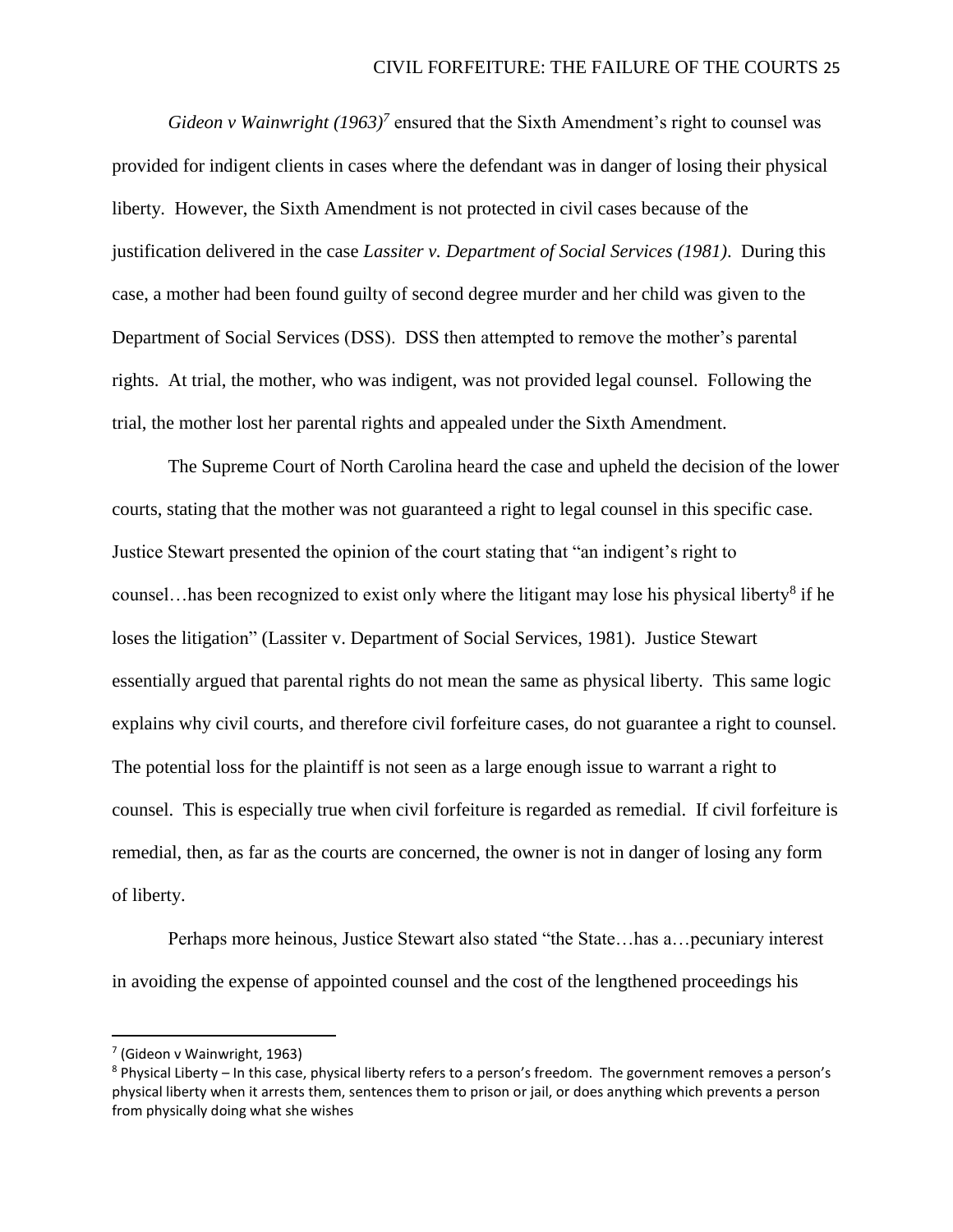*Gideon v Wainwright* (1963)<sup>7</sup> ensured that the Sixth Amendment's right to counsel was provided for indigent clients in cases where the defendant was in danger of losing their physical liberty. However, the Sixth Amendment is not protected in civil cases because of the justification delivered in the case *Lassiter v. Department of Social Services (1981)*. During this case, a mother had been found guilty of second degree murder and her child was given to the Department of Social Services (DSS). DSS then attempted to remove the mother's parental rights. At trial, the mother, who was indigent, was not provided legal counsel. Following the trial, the mother lost her parental rights and appealed under the Sixth Amendment.

The Supreme Court of North Carolina heard the case and upheld the decision of the lower courts, stating that the mother was not guaranteed a right to legal counsel in this specific case. Justice Stewart presented the opinion of the court stating that "an indigent's right to counsel... has been recognized to exist only where the litigant may lose his physical liberty<sup>8</sup> if he loses the litigation" (Lassiter v. Department of Social Services, 1981). Justice Stewart essentially argued that parental rights do not mean the same as physical liberty. This same logic explains why civil courts, and therefore civil forfeiture cases, do not guarantee a right to counsel. The potential loss for the plaintiff is not seen as a large enough issue to warrant a right to counsel. This is especially true when civil forfeiture is regarded as remedial. If civil forfeiture is remedial, then, as far as the courts are concerned, the owner is not in danger of losing any form of liberty.

Perhaps more heinous, Justice Stewart also stated "the State…has a…pecuniary interest in avoiding the expense of appointed counsel and the cost of the lengthened proceedings his

 $\overline{a}$ 

<sup>7</sup> (Gideon v Wainwright, 1963)

<sup>8</sup> Physical Liberty – In this case, physical liberty refers to a person's freedom. The government removes a person's physical liberty when it arrests them, sentences them to prison or jail, or does anything which prevents a person from physically doing what she wishes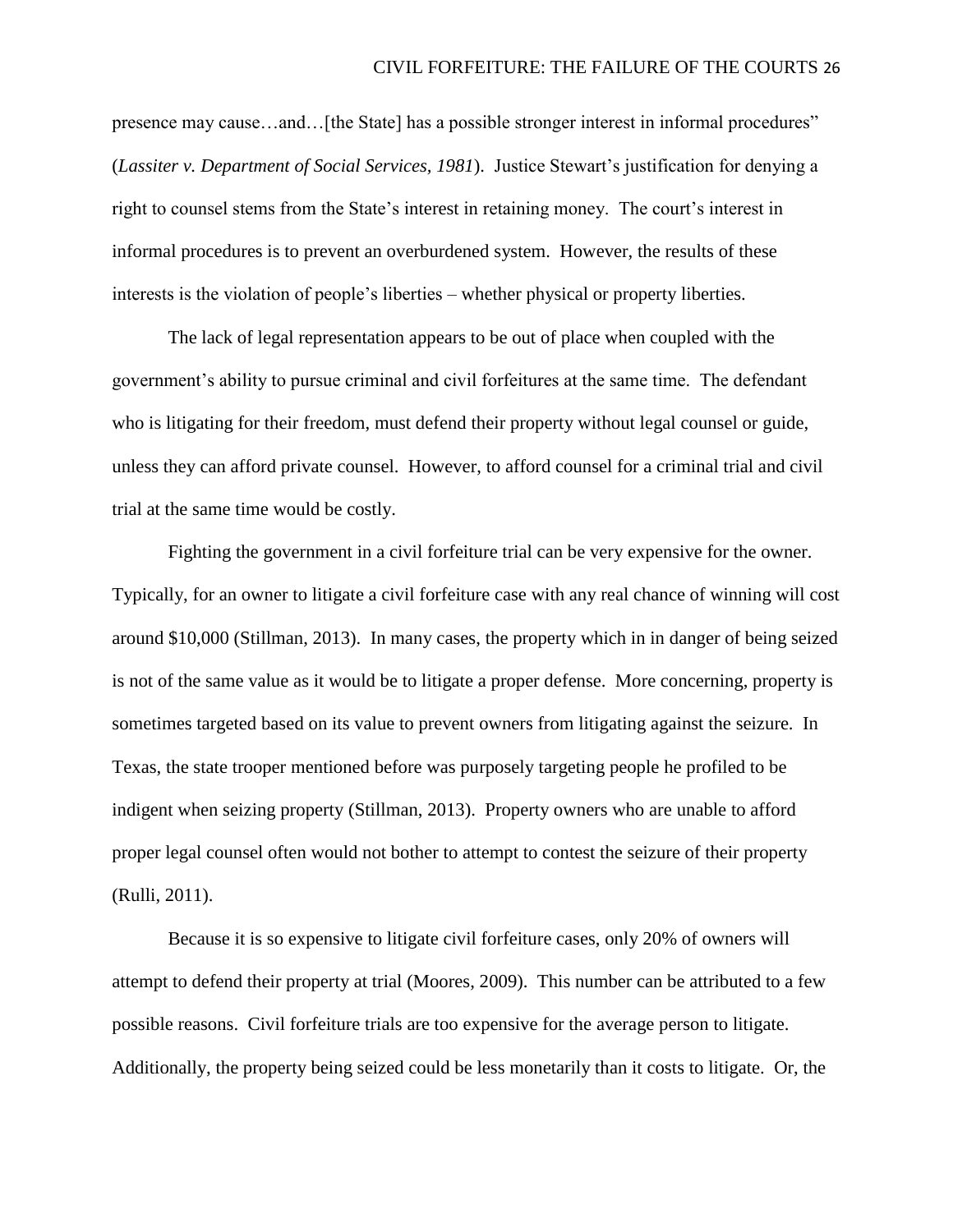presence may cause…and…[the State] has a possible stronger interest in informal procedures" (*Lassiter v. Department of Social Services, 1981*). Justice Stewart's justification for denying a right to counsel stems from the State's interest in retaining money. The court's interest in informal procedures is to prevent an overburdened system. However, the results of these interests is the violation of people's liberties – whether physical or property liberties.

The lack of legal representation appears to be out of place when coupled with the government's ability to pursue criminal and civil forfeitures at the same time. The defendant who is litigating for their freedom, must defend their property without legal counsel or guide, unless they can afford private counsel. However, to afford counsel for a criminal trial and civil trial at the same time would be costly.

Fighting the government in a civil forfeiture trial can be very expensive for the owner. Typically, for an owner to litigate a civil forfeiture case with any real chance of winning will cost around \$10,000 (Stillman, 2013). In many cases, the property which in in danger of being seized is not of the same value as it would be to litigate a proper defense. More concerning, property is sometimes targeted based on its value to prevent owners from litigating against the seizure. In Texas, the state trooper mentioned before was purposely targeting people he profiled to be indigent when seizing property (Stillman, 2013). Property owners who are unable to afford proper legal counsel often would not bother to attempt to contest the seizure of their property (Rulli, 2011).

Because it is so expensive to litigate civil forfeiture cases, only 20% of owners will attempt to defend their property at trial (Moores, 2009). This number can be attributed to a few possible reasons. Civil forfeiture trials are too expensive for the average person to litigate. Additionally, the property being seized could be less monetarily than it costs to litigate. Or, the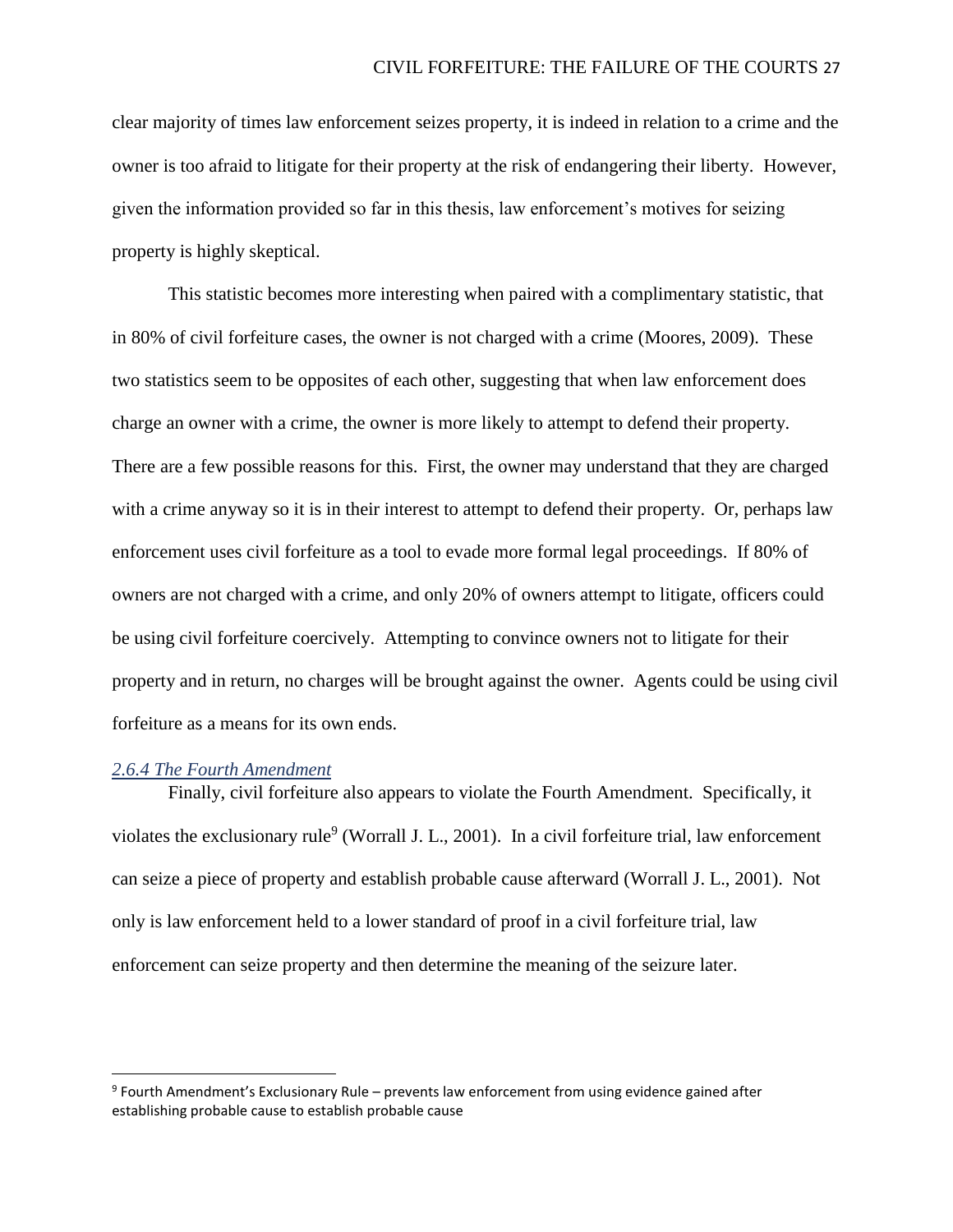clear majority of times law enforcement seizes property, it is indeed in relation to a crime and the owner is too afraid to litigate for their property at the risk of endangering their liberty. However, given the information provided so far in this thesis, law enforcement's motives for seizing property is highly skeptical.

This statistic becomes more interesting when paired with a complimentary statistic, that in 80% of civil forfeiture cases, the owner is not charged with a crime (Moores, 2009). These two statistics seem to be opposites of each other, suggesting that when law enforcement does charge an owner with a crime, the owner is more likely to attempt to defend their property. There are a few possible reasons for this. First, the owner may understand that they are charged with a crime anyway so it is in their interest to attempt to defend their property. Or, perhaps law enforcement uses civil forfeiture as a tool to evade more formal legal proceedings. If 80% of owners are not charged with a crime, and only 20% of owners attempt to litigate, officers could be using civil forfeiture coercively. Attempting to convince owners not to litigate for their property and in return, no charges will be brought against the owner. Agents could be using civil forfeiture as a means for its own ends.

#### <span id="page-27-0"></span>*2.6.4 The Fourth Amendment*

l

Finally, civil forfeiture also appears to violate the Fourth Amendment. Specifically, it violates the exclusionary rule<sup>9</sup> (Worrall J. L., 2001). In a civil forfeiture trial, law enforcement can seize a piece of property and establish probable cause afterward (Worrall J. L., 2001). Not only is law enforcement held to a lower standard of proof in a civil forfeiture trial, law enforcement can seize property and then determine the meaning of the seizure later.

<sup>&</sup>lt;sup>9</sup> Fourth Amendment's Exclusionary Rule – prevents law enforcement from using evidence gained after establishing probable cause to establish probable cause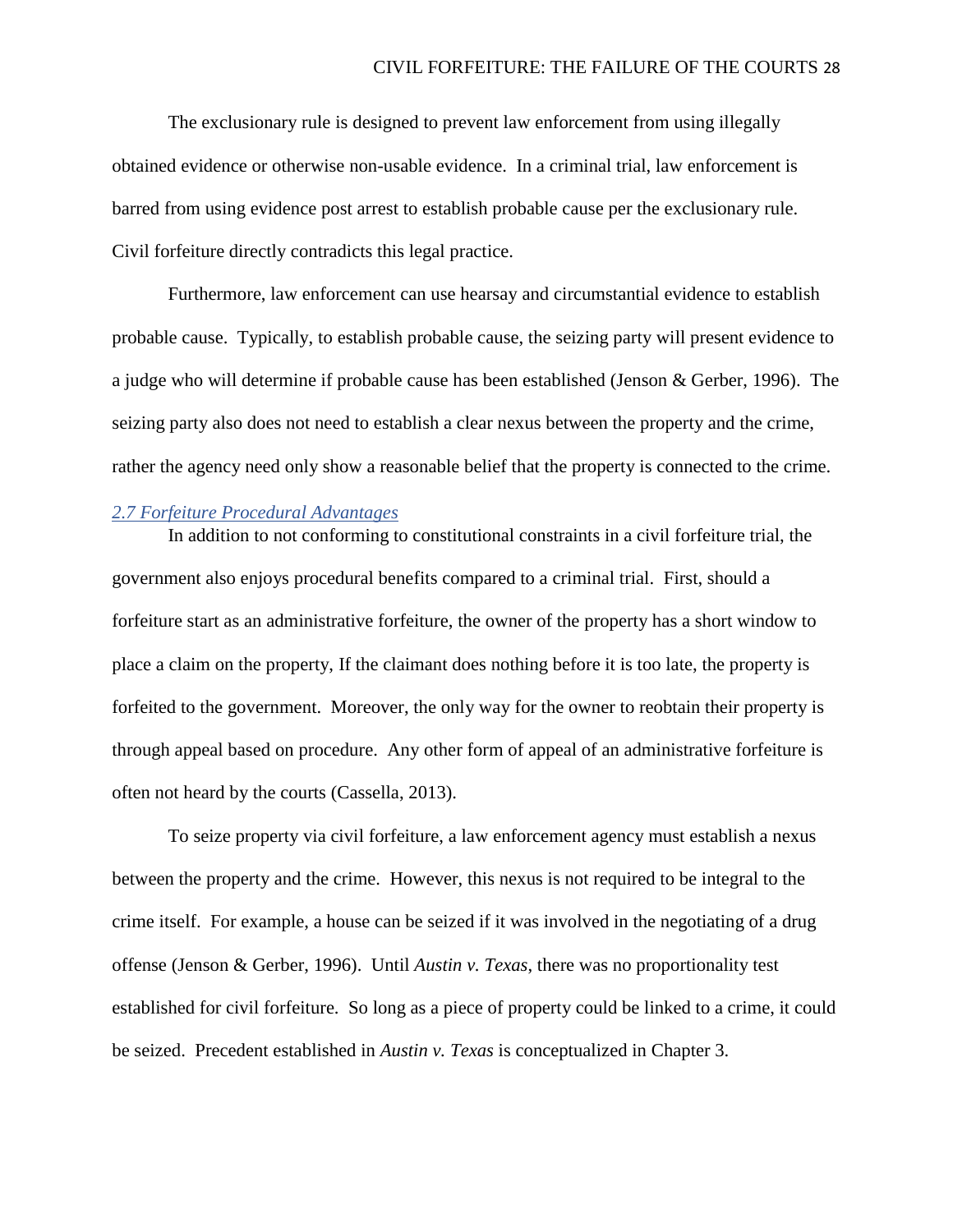The exclusionary rule is designed to prevent law enforcement from using illegally obtained evidence or otherwise non-usable evidence. In a criminal trial, law enforcement is barred from using evidence post arrest to establish probable cause per the exclusionary rule. Civil forfeiture directly contradicts this legal practice.

Furthermore, law enforcement can use hearsay and circumstantial evidence to establish probable cause. Typically, to establish probable cause, the seizing party will present evidence to a judge who will determine if probable cause has been established (Jenson & Gerber, 1996). The seizing party also does not need to establish a clear nexus between the property and the crime, rather the agency need only show a reasonable belief that the property is connected to the crime.

#### <span id="page-28-0"></span>*2.7 Forfeiture Procedural Advantages*

In addition to not conforming to constitutional constraints in a civil forfeiture trial, the government also enjoys procedural benefits compared to a criminal trial. First, should a forfeiture start as an administrative forfeiture, the owner of the property has a short window to place a claim on the property, If the claimant does nothing before it is too late, the property is forfeited to the government. Moreover, the only way for the owner to reobtain their property is through appeal based on procedure. Any other form of appeal of an administrative forfeiture is often not heard by the courts (Cassella, 2013).

To seize property via civil forfeiture, a law enforcement agency must establish a nexus between the property and the crime. However, this nexus is not required to be integral to the crime itself. For example, a house can be seized if it was involved in the negotiating of a drug offense (Jenson & Gerber, 1996). Until *Austin v. Texas*, there was no proportionality test established for civil forfeiture. So long as a piece of property could be linked to a crime, it could be seized. Precedent established in *Austin v. Texas* is conceptualized in Chapter 3.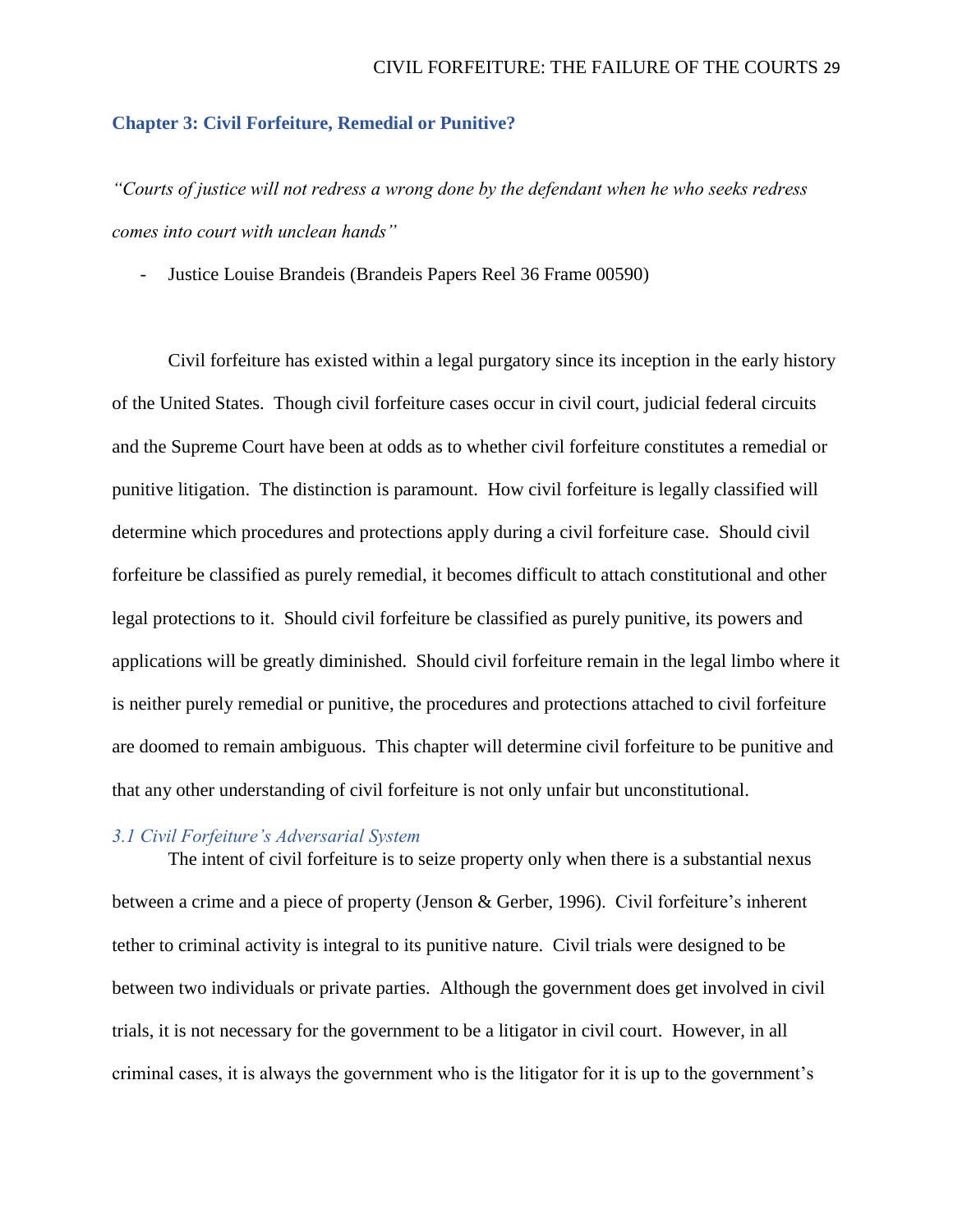# CIVIL FORFEITURE: THE FAILURE OF THE COURTS 29

# <span id="page-29-0"></span>**Chapter 3: Civil Forfeiture, Remedial or Punitive?**

*"Courts of justice will not redress a wrong done by the defendant when he who seeks redress comes into court with unclean hands"* 

- Justice Louise Brandeis (Brandeis Papers Reel 36 Frame 00590)

Civil forfeiture has existed within a legal purgatory since its inception in the early history of the United States. Though civil forfeiture cases occur in civil court, judicial federal circuits and the Supreme Court have been at odds as to whether civil forfeiture constitutes a remedial or punitive litigation. The distinction is paramount. How civil forfeiture is legally classified will determine which procedures and protections apply during a civil forfeiture case. Should civil forfeiture be classified as purely remedial, it becomes difficult to attach constitutional and other legal protections to it. Should civil forfeiture be classified as purely punitive, its powers and applications will be greatly diminished. Should civil forfeiture remain in the legal limbo where it is neither purely remedial or punitive, the procedures and protections attached to civil forfeiture are doomed to remain ambiguous. This chapter will determine civil forfeiture to be punitive and that any other understanding of civil forfeiture is not only unfair but unconstitutional.

# <span id="page-29-1"></span>*3.1 Civil Forfeiture's Adversarial System*

The intent of civil forfeiture is to seize property only when there is a substantial nexus between a crime and a piece of property (Jenson & Gerber, 1996). Civil forfeiture's inherent tether to criminal activity is integral to its punitive nature. Civil trials were designed to be between two individuals or private parties. Although the government does get involved in civil trials, it is not necessary for the government to be a litigator in civil court. However, in all criminal cases, it is always the government who is the litigator for it is up to the government's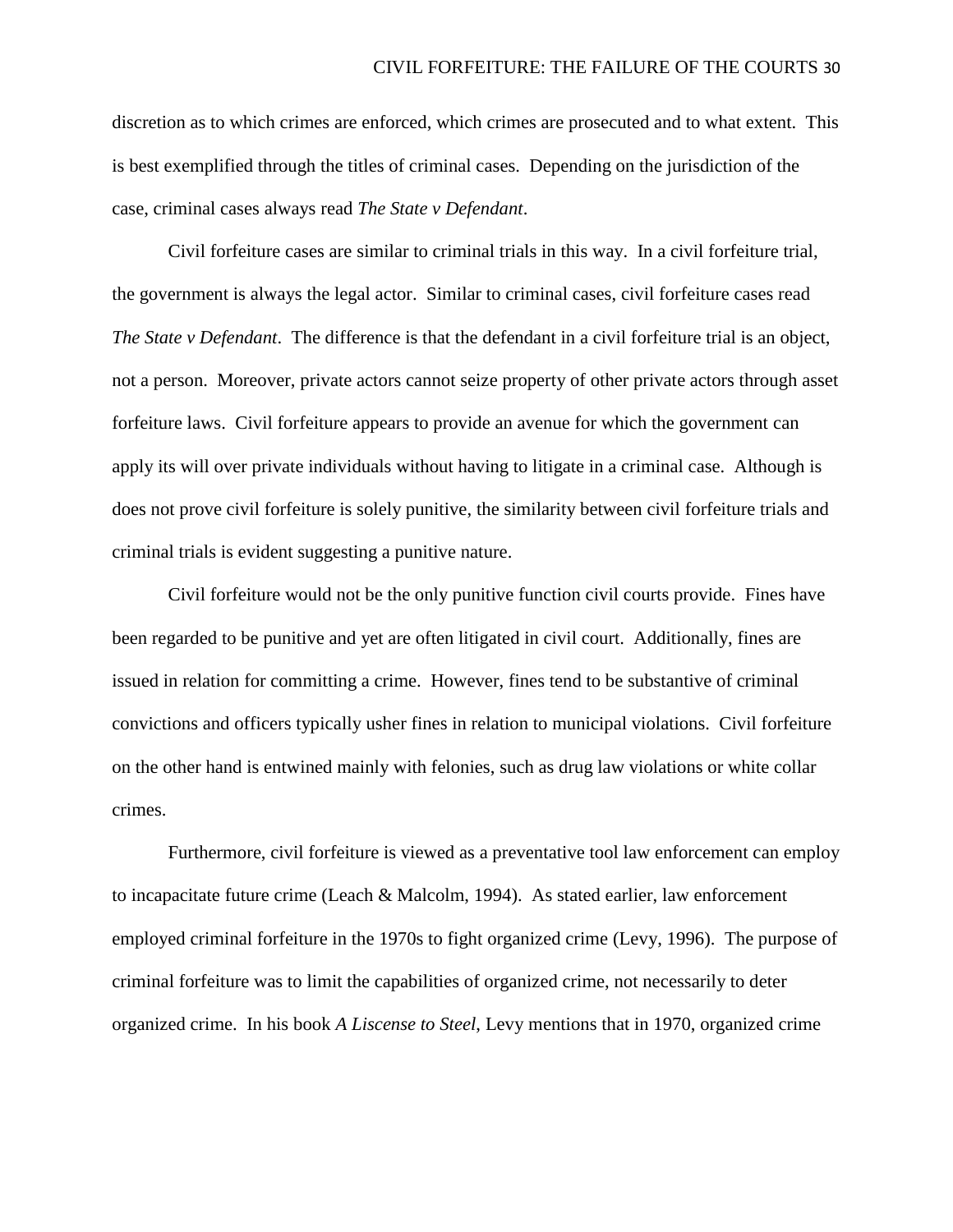discretion as to which crimes are enforced, which crimes are prosecuted and to what extent. This is best exemplified through the titles of criminal cases. Depending on the jurisdiction of the case, criminal cases always read *The State v Defendant*.

Civil forfeiture cases are similar to criminal trials in this way. In a civil forfeiture trial, the government is always the legal actor. Similar to criminal cases, civil forfeiture cases read *The State v Defendant*. The difference is that the defendant in a civil forfeiture trial is an object, not a person. Moreover, private actors cannot seize property of other private actors through asset forfeiture laws. Civil forfeiture appears to provide an avenue for which the government can apply its will over private individuals without having to litigate in a criminal case. Although is does not prove civil forfeiture is solely punitive, the similarity between civil forfeiture trials and criminal trials is evident suggesting a punitive nature.

Civil forfeiture would not be the only punitive function civil courts provide. Fines have been regarded to be punitive and yet are often litigated in civil court. Additionally, fines are issued in relation for committing a crime. However, fines tend to be substantive of criminal convictions and officers typically usher fines in relation to municipal violations. Civil forfeiture on the other hand is entwined mainly with felonies, such as drug law violations or white collar crimes.

Furthermore, civil forfeiture is viewed as a preventative tool law enforcement can employ to incapacitate future crime (Leach & Malcolm, 1994). As stated earlier, law enforcement employed criminal forfeiture in the 1970s to fight organized crime (Levy, 1996). The purpose of criminal forfeiture was to limit the capabilities of organized crime, not necessarily to deter organized crime. In his book *A Liscense to Steel*, Levy mentions that in 1970, organized crime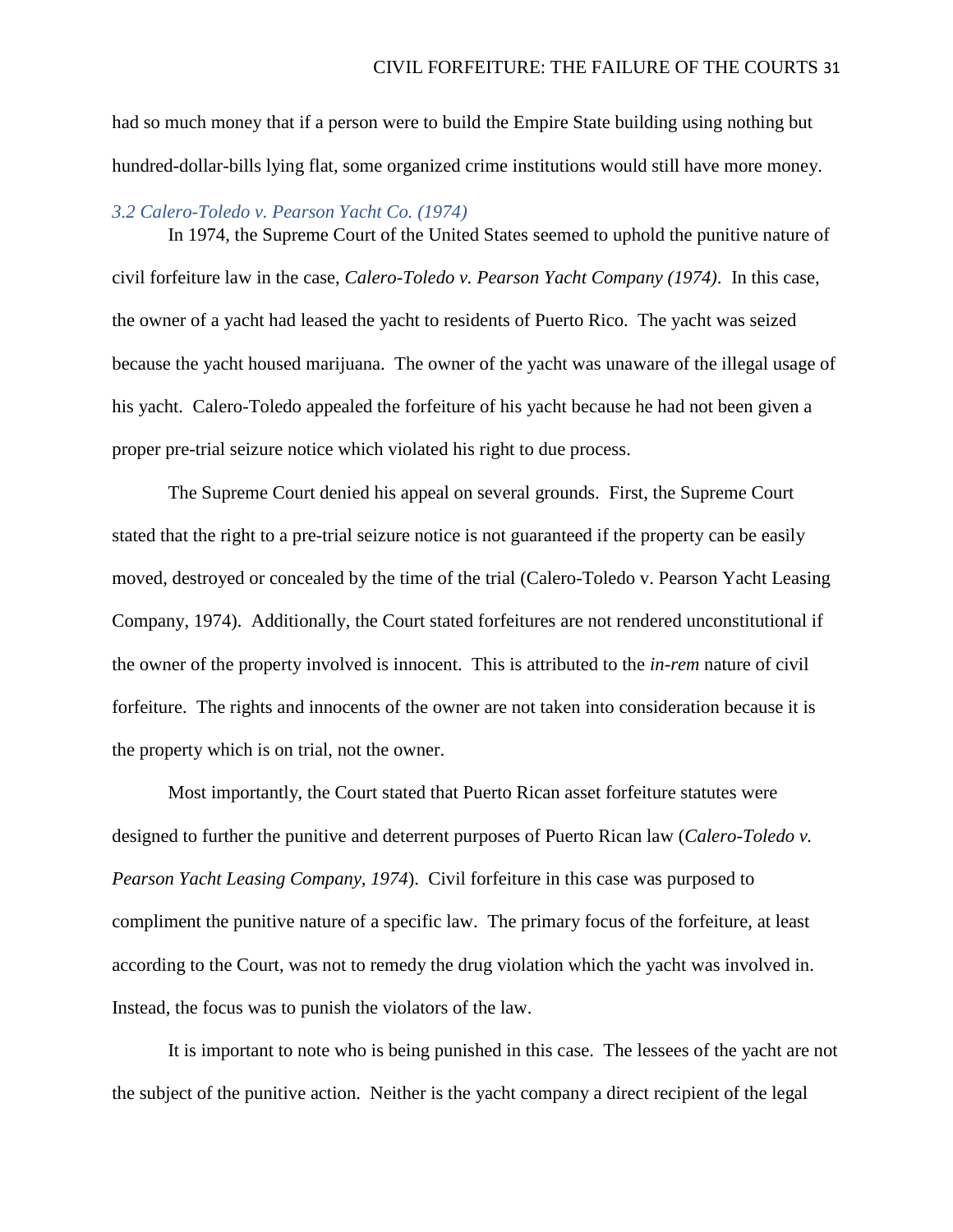had so much money that if a person were to build the Empire State building using nothing but hundred-dollar-bills lying flat, some organized crime institutions would still have more money.

#### <span id="page-31-0"></span>*3.2 Calero-Toledo v. Pearson Yacht Co. (1974)*

In 1974, the Supreme Court of the United States seemed to uphold the punitive nature of civil forfeiture law in the case, *Calero-Toledo v. Pearson Yacht Company (1974)*. In this case, the owner of a yacht had leased the yacht to residents of Puerto Rico. The yacht was seized because the yacht housed marijuana. The owner of the yacht was unaware of the illegal usage of his yacht. Calero-Toledo appealed the forfeiture of his yacht because he had not been given a proper pre-trial seizure notice which violated his right to due process.

The Supreme Court denied his appeal on several grounds. First, the Supreme Court stated that the right to a pre-trial seizure notice is not guaranteed if the property can be easily moved, destroyed or concealed by the time of the trial (Calero-Toledo v. Pearson Yacht Leasing Company, 1974). Additionally, the Court stated forfeitures are not rendered unconstitutional if the owner of the property involved is innocent. This is attributed to the *in-rem* nature of civil forfeiture. The rights and innocents of the owner are not taken into consideration because it is the property which is on trial, not the owner.

Most importantly, the Court stated that Puerto Rican asset forfeiture statutes were designed to further the punitive and deterrent purposes of Puerto Rican law (*Calero-Toledo v. Pearson Yacht Leasing Company, 1974*). Civil forfeiture in this case was purposed to compliment the punitive nature of a specific law. The primary focus of the forfeiture, at least according to the Court, was not to remedy the drug violation which the yacht was involved in. Instead, the focus was to punish the violators of the law.

It is important to note who is being punished in this case. The lessees of the yacht are not the subject of the punitive action. Neither is the yacht company a direct recipient of the legal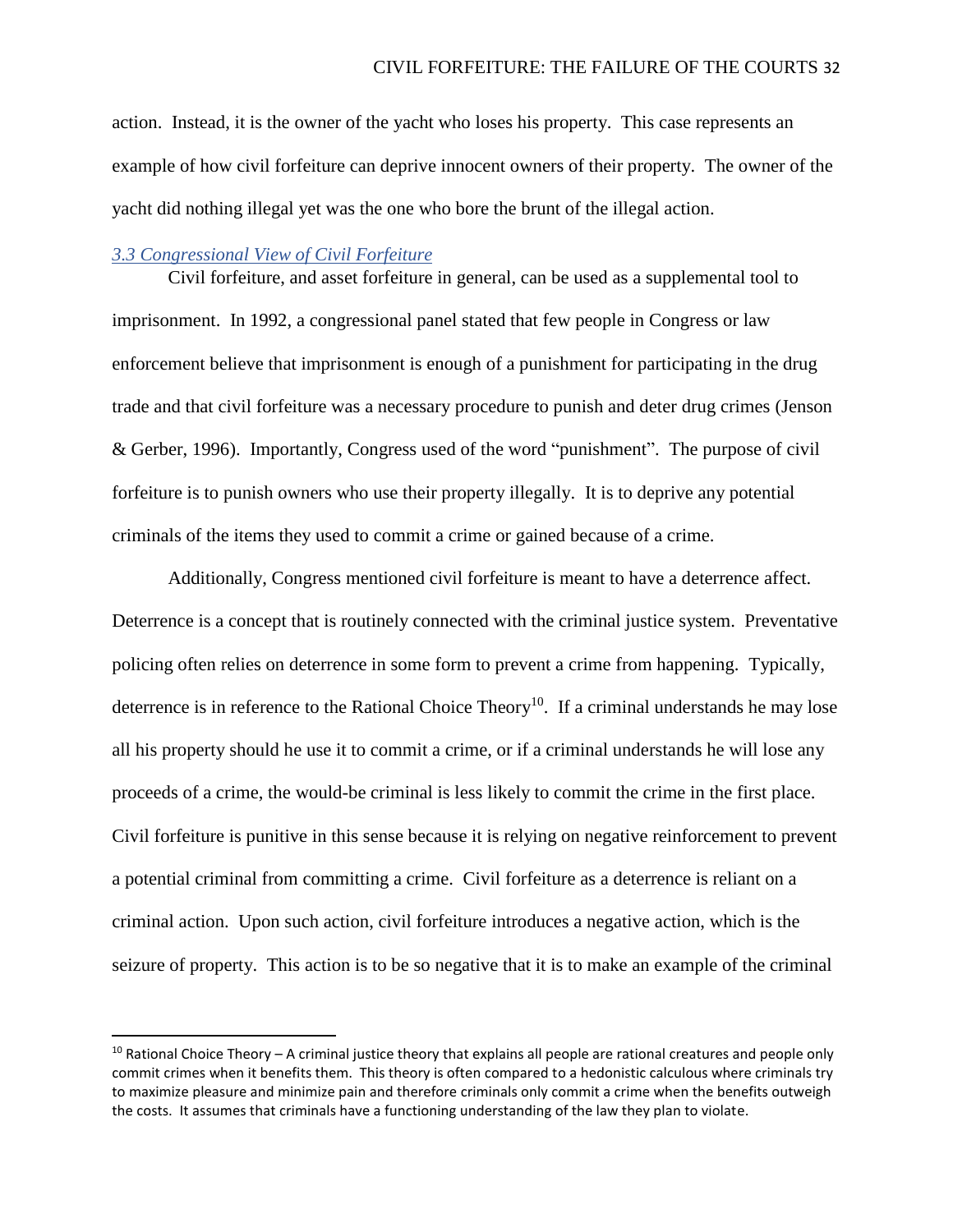action. Instead, it is the owner of the yacht who loses his property. This case represents an example of how civil forfeiture can deprive innocent owners of their property. The owner of the yacht did nothing illegal yet was the one who bore the brunt of the illegal action.

#### <span id="page-32-0"></span>*3.3 Congressional View of Civil Forfeiture*

 $\overline{a}$ 

Civil forfeiture, and asset forfeiture in general, can be used as a supplemental tool to imprisonment. In 1992, a congressional panel stated that few people in Congress or law enforcement believe that imprisonment is enough of a punishment for participating in the drug trade and that civil forfeiture was a necessary procedure to punish and deter drug crimes (Jenson & Gerber, 1996). Importantly, Congress used of the word "punishment". The purpose of civil forfeiture is to punish owners who use their property illegally. It is to deprive any potential criminals of the items they used to commit a crime or gained because of a crime.

Additionally, Congress mentioned civil forfeiture is meant to have a deterrence affect. Deterrence is a concept that is routinely connected with the criminal justice system. Preventative policing often relies on deterrence in some form to prevent a crime from happening. Typically, deterrence is in reference to the Rational Choice Theory<sup>10</sup>. If a criminal understands he may lose all his property should he use it to commit a crime, or if a criminal understands he will lose any proceeds of a crime, the would-be criminal is less likely to commit the crime in the first place. Civil forfeiture is punitive in this sense because it is relying on negative reinforcement to prevent a potential criminal from committing a crime. Civil forfeiture as a deterrence is reliant on a criminal action. Upon such action, civil forfeiture introduces a negative action, which is the seizure of property. This action is to be so negative that it is to make an example of the criminal

 $10$  Rational Choice Theory – A criminal justice theory that explains all people are rational creatures and people only commit crimes when it benefits them. This theory is often compared to a hedonistic calculous where criminals try to maximize pleasure and minimize pain and therefore criminals only commit a crime when the benefits outweigh the costs. It assumes that criminals have a functioning understanding of the law they plan to violate.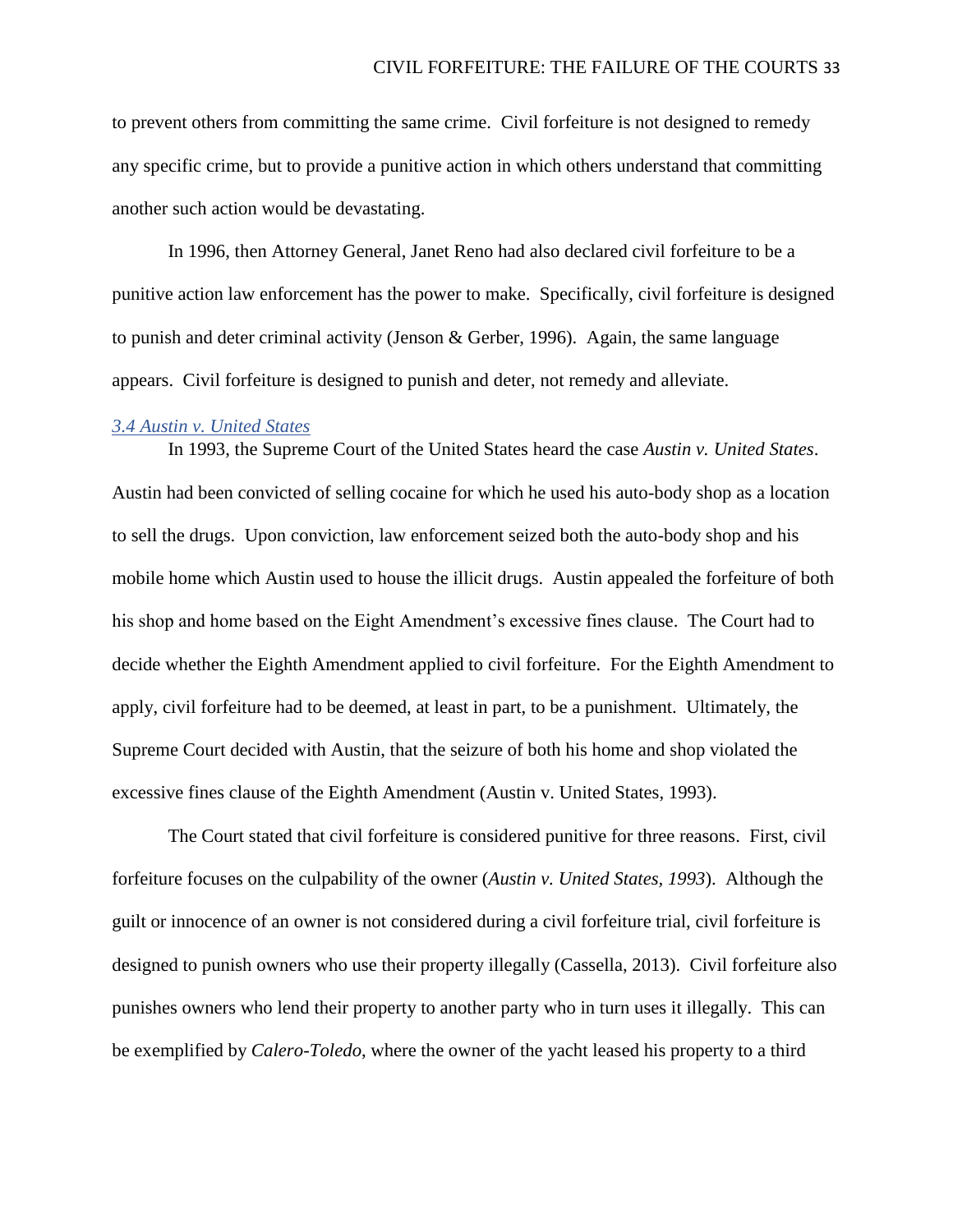to prevent others from committing the same crime. Civil forfeiture is not designed to remedy any specific crime, but to provide a punitive action in which others understand that committing another such action would be devastating.

In 1996, then Attorney General, Janet Reno had also declared civil forfeiture to be a punitive action law enforcement has the power to make. Specifically, civil forfeiture is designed to punish and deter criminal activity (Jenson & Gerber, 1996). Again, the same language appears. Civil forfeiture is designed to punish and deter, not remedy and alleviate.

#### <span id="page-33-0"></span>*3.4 Austin v. United States*

In 1993, the Supreme Court of the United States heard the case *Austin v. United States*. Austin had been convicted of selling cocaine for which he used his auto-body shop as a location to sell the drugs. Upon conviction, law enforcement seized both the auto-body shop and his mobile home which Austin used to house the illicit drugs. Austin appealed the forfeiture of both his shop and home based on the Eight Amendment's excessive fines clause. The Court had to decide whether the Eighth Amendment applied to civil forfeiture. For the Eighth Amendment to apply, civil forfeiture had to be deemed, at least in part, to be a punishment. Ultimately, the Supreme Court decided with Austin, that the seizure of both his home and shop violated the excessive fines clause of the Eighth Amendment (Austin v. United States, 1993).

The Court stated that civil forfeiture is considered punitive for three reasons. First, civil forfeiture focuses on the culpability of the owner (*Austin v. United States, 1993*). Although the guilt or innocence of an owner is not considered during a civil forfeiture trial, civil forfeiture is designed to punish owners who use their property illegally (Cassella, 2013). Civil forfeiture also punishes owners who lend their property to another party who in turn uses it illegally. This can be exemplified by *Calero-Toledo*, where the owner of the yacht leased his property to a third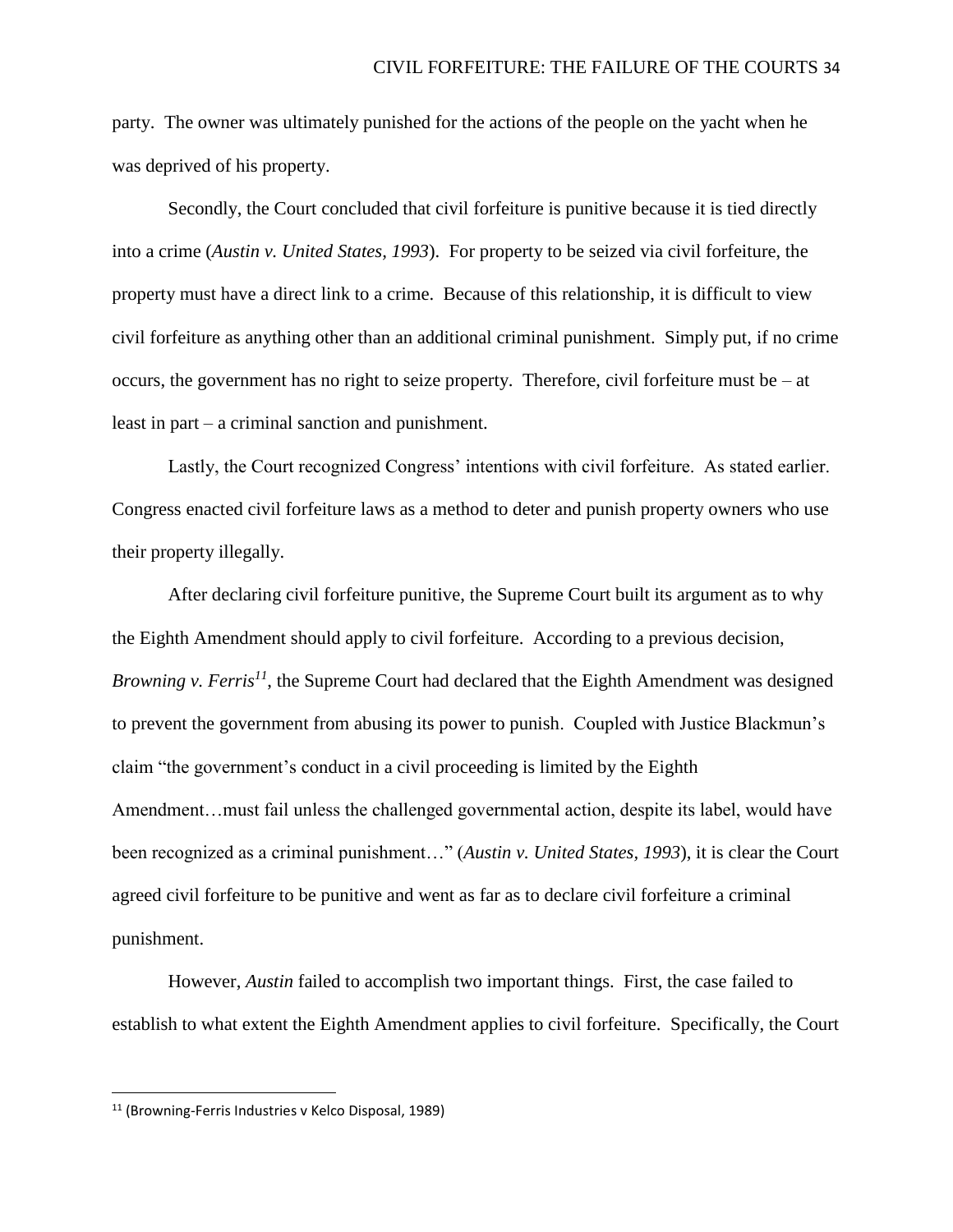party. The owner was ultimately punished for the actions of the people on the yacht when he was deprived of his property.

Secondly, the Court concluded that civil forfeiture is punitive because it is tied directly into a crime (*Austin v. United States, 1993*). For property to be seized via civil forfeiture, the property must have a direct link to a crime. Because of this relationship, it is difficult to view civil forfeiture as anything other than an additional criminal punishment. Simply put, if no crime occurs, the government has no right to seize property. Therefore, civil forfeiture must be – at least in part – a criminal sanction and punishment.

Lastly, the Court recognized Congress' intentions with civil forfeiture. As stated earlier. Congress enacted civil forfeiture laws as a method to deter and punish property owners who use their property illegally.

After declaring civil forfeiture punitive, the Supreme Court built its argument as to why the Eighth Amendment should apply to civil forfeiture. According to a previous decision, *Browning v. Ferris<sup>11</sup>*, the Supreme Court had declared that the Eighth Amendment was designed to prevent the government from abusing its power to punish. Coupled with Justice Blackmun's claim "the government's conduct in a civil proceeding is limited by the Eighth Amendment…must fail unless the challenged governmental action, despite its label, would have been recognized as a criminal punishment…" (*Austin v. United States, 1993*), it is clear the Court agreed civil forfeiture to be punitive and went as far as to declare civil forfeiture a criminal punishment.

However, *Austin* failed to accomplish two important things. First, the case failed to establish to what extent the Eighth Amendment applies to civil forfeiture. Specifically, the Court

 $\overline{\phantom{a}}$ 

<sup>11</sup> (Browning-Ferris Industries v Kelco Disposal, 1989)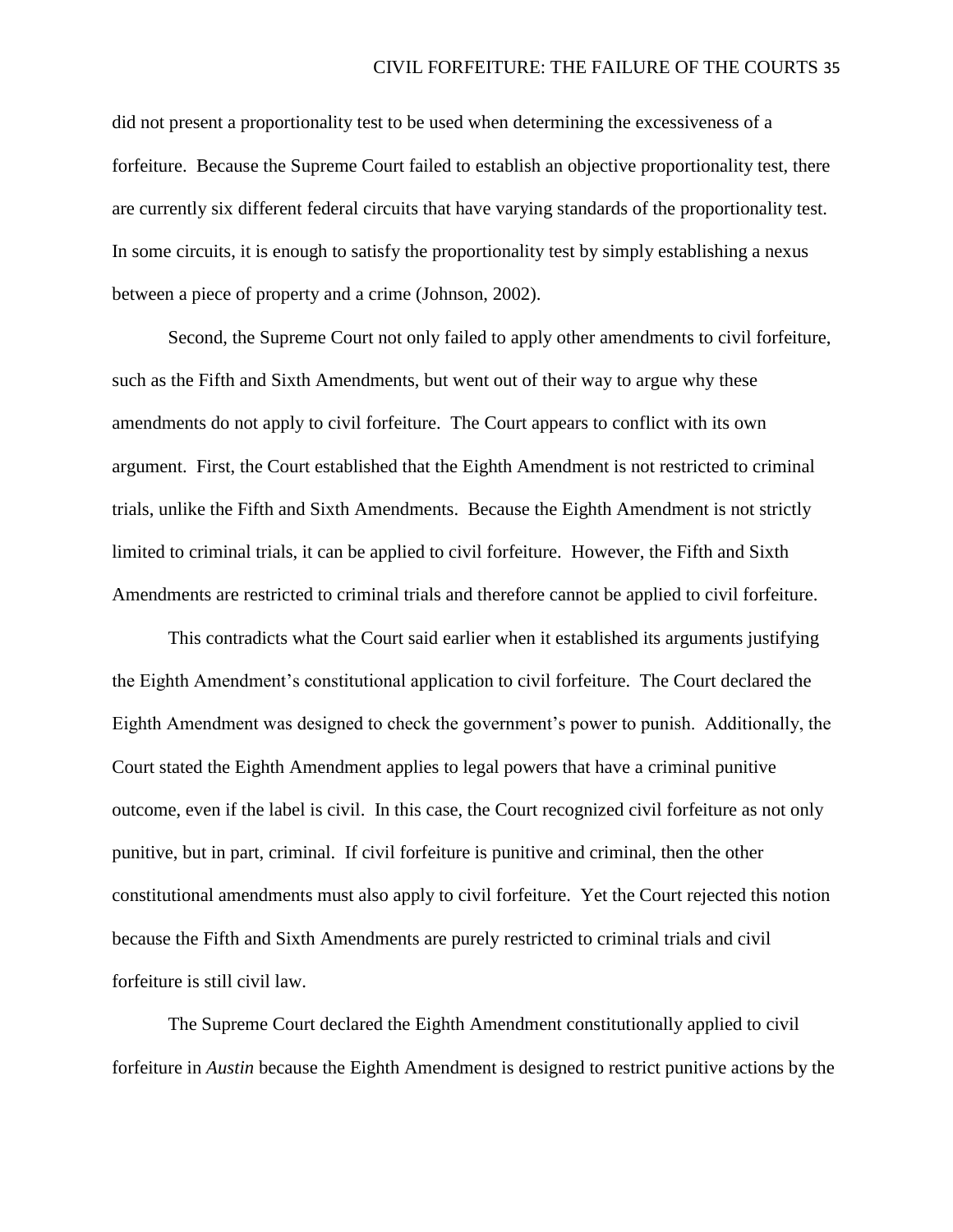did not present a proportionality test to be used when determining the excessiveness of a forfeiture. Because the Supreme Court failed to establish an objective proportionality test, there are currently six different federal circuits that have varying standards of the proportionality test. In some circuits, it is enough to satisfy the proportionality test by simply establishing a nexus between a piece of property and a crime (Johnson, 2002).

Second, the Supreme Court not only failed to apply other amendments to civil forfeiture, such as the Fifth and Sixth Amendments, but went out of their way to argue why these amendments do not apply to civil forfeiture. The Court appears to conflict with its own argument. First, the Court established that the Eighth Amendment is not restricted to criminal trials, unlike the Fifth and Sixth Amendments. Because the Eighth Amendment is not strictly limited to criminal trials, it can be applied to civil forfeiture. However, the Fifth and Sixth Amendments are restricted to criminal trials and therefore cannot be applied to civil forfeiture.

This contradicts what the Court said earlier when it established its arguments justifying the Eighth Amendment's constitutional application to civil forfeiture. The Court declared the Eighth Amendment was designed to check the government's power to punish. Additionally, the Court stated the Eighth Amendment applies to legal powers that have a criminal punitive outcome, even if the label is civil. In this case, the Court recognized civil forfeiture as not only punitive, but in part, criminal. If civil forfeiture is punitive and criminal, then the other constitutional amendments must also apply to civil forfeiture. Yet the Court rejected this notion because the Fifth and Sixth Amendments are purely restricted to criminal trials and civil forfeiture is still civil law.

The Supreme Court declared the Eighth Amendment constitutionally applied to civil forfeiture in *Austin* because the Eighth Amendment is designed to restrict punitive actions by the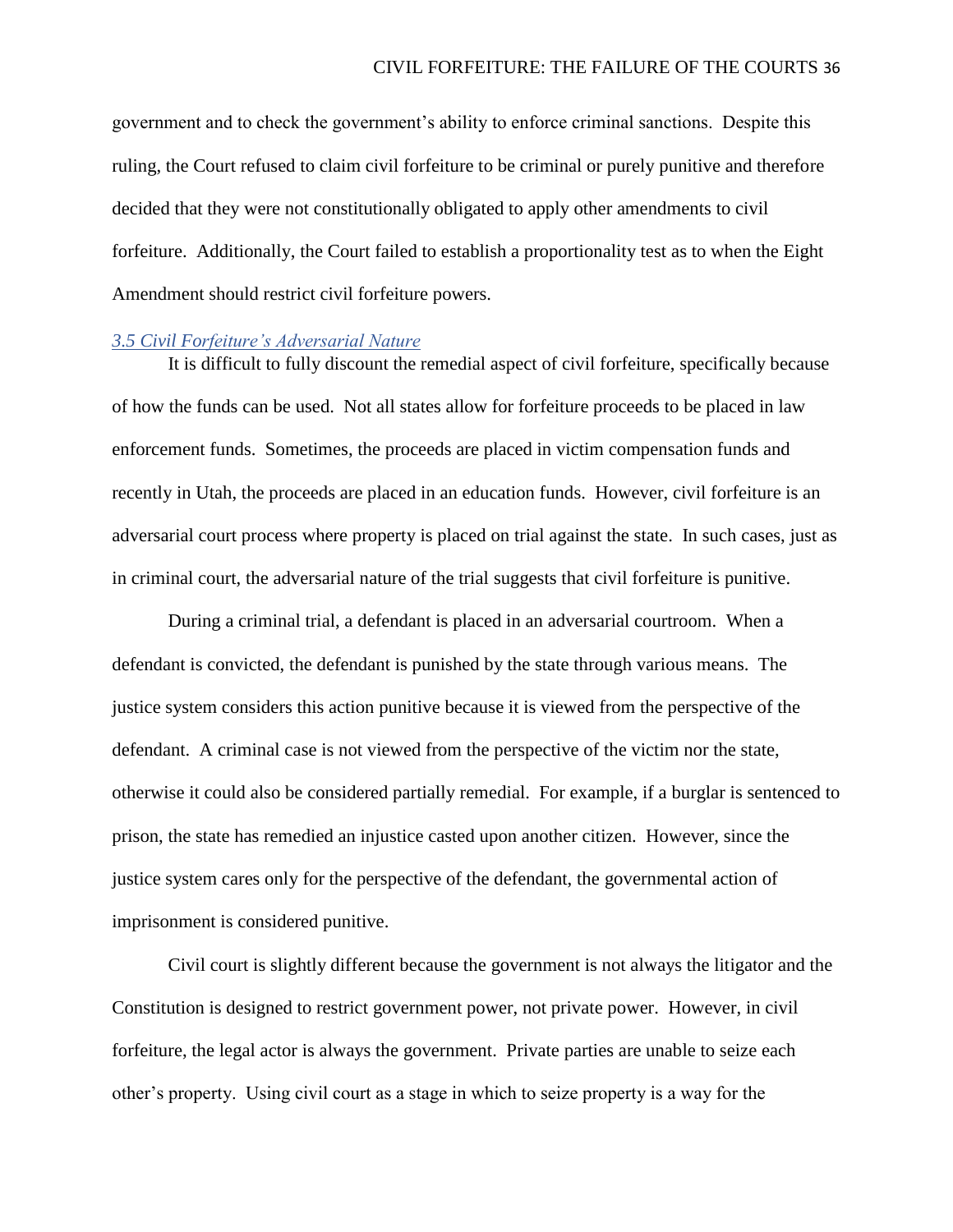government and to check the government's ability to enforce criminal sanctions. Despite this ruling, the Court refused to claim civil forfeiture to be criminal or purely punitive and therefore decided that they were not constitutionally obligated to apply other amendments to civil forfeiture. Additionally, the Court failed to establish a proportionality test as to when the Eight Amendment should restrict civil forfeiture powers.

# <span id="page-36-0"></span>*3.5 Civil Forfeiture's Adversarial Nature*

It is difficult to fully discount the remedial aspect of civil forfeiture, specifically because of how the funds can be used. Not all states allow for forfeiture proceeds to be placed in law enforcement funds. Sometimes, the proceeds are placed in victim compensation funds and recently in Utah, the proceeds are placed in an education funds. However, civil forfeiture is an adversarial court process where property is placed on trial against the state. In such cases, just as in criminal court, the adversarial nature of the trial suggests that civil forfeiture is punitive.

During a criminal trial, a defendant is placed in an adversarial courtroom. When a defendant is convicted, the defendant is punished by the state through various means. The justice system considers this action punitive because it is viewed from the perspective of the defendant. A criminal case is not viewed from the perspective of the victim nor the state, otherwise it could also be considered partially remedial. For example, if a burglar is sentenced to prison, the state has remedied an injustice casted upon another citizen. However, since the justice system cares only for the perspective of the defendant, the governmental action of imprisonment is considered punitive.

Civil court is slightly different because the government is not always the litigator and the Constitution is designed to restrict government power, not private power. However, in civil forfeiture, the legal actor is always the government. Private parties are unable to seize each other's property. Using civil court as a stage in which to seize property is a way for the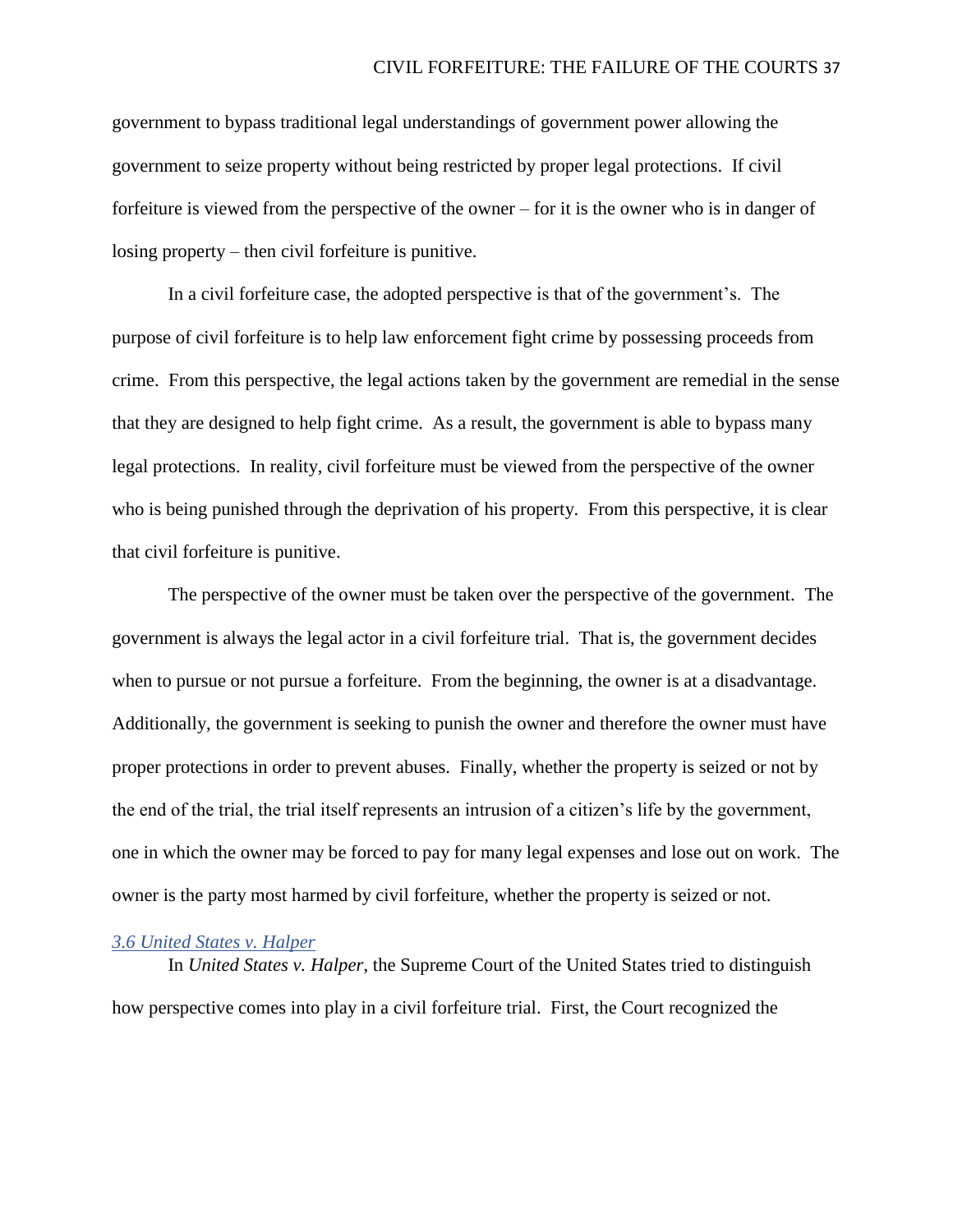government to bypass traditional legal understandings of government power allowing the government to seize property without being restricted by proper legal protections. If civil forfeiture is viewed from the perspective of the owner – for it is the owner who is in danger of losing property – then civil forfeiture is punitive.

In a civil forfeiture case, the adopted perspective is that of the government's. The purpose of civil forfeiture is to help law enforcement fight crime by possessing proceeds from crime. From this perspective, the legal actions taken by the government are remedial in the sense that they are designed to help fight crime. As a result, the government is able to bypass many legal protections. In reality, civil forfeiture must be viewed from the perspective of the owner who is being punished through the deprivation of his property. From this perspective, it is clear that civil forfeiture is punitive.

The perspective of the owner must be taken over the perspective of the government. The government is always the legal actor in a civil forfeiture trial. That is, the government decides when to pursue or not pursue a forfeiture. From the beginning, the owner is at a disadvantage. Additionally, the government is seeking to punish the owner and therefore the owner must have proper protections in order to prevent abuses. Finally, whether the property is seized or not by the end of the trial, the trial itself represents an intrusion of a citizen's life by the government, one in which the owner may be forced to pay for many legal expenses and lose out on work. The owner is the party most harmed by civil forfeiture, whether the property is seized or not.

# <span id="page-37-0"></span>*3.6 United States v. Halper*

In *United States v. Halper*, the Supreme Court of the United States tried to distinguish how perspective comes into play in a civil forfeiture trial. First, the Court recognized the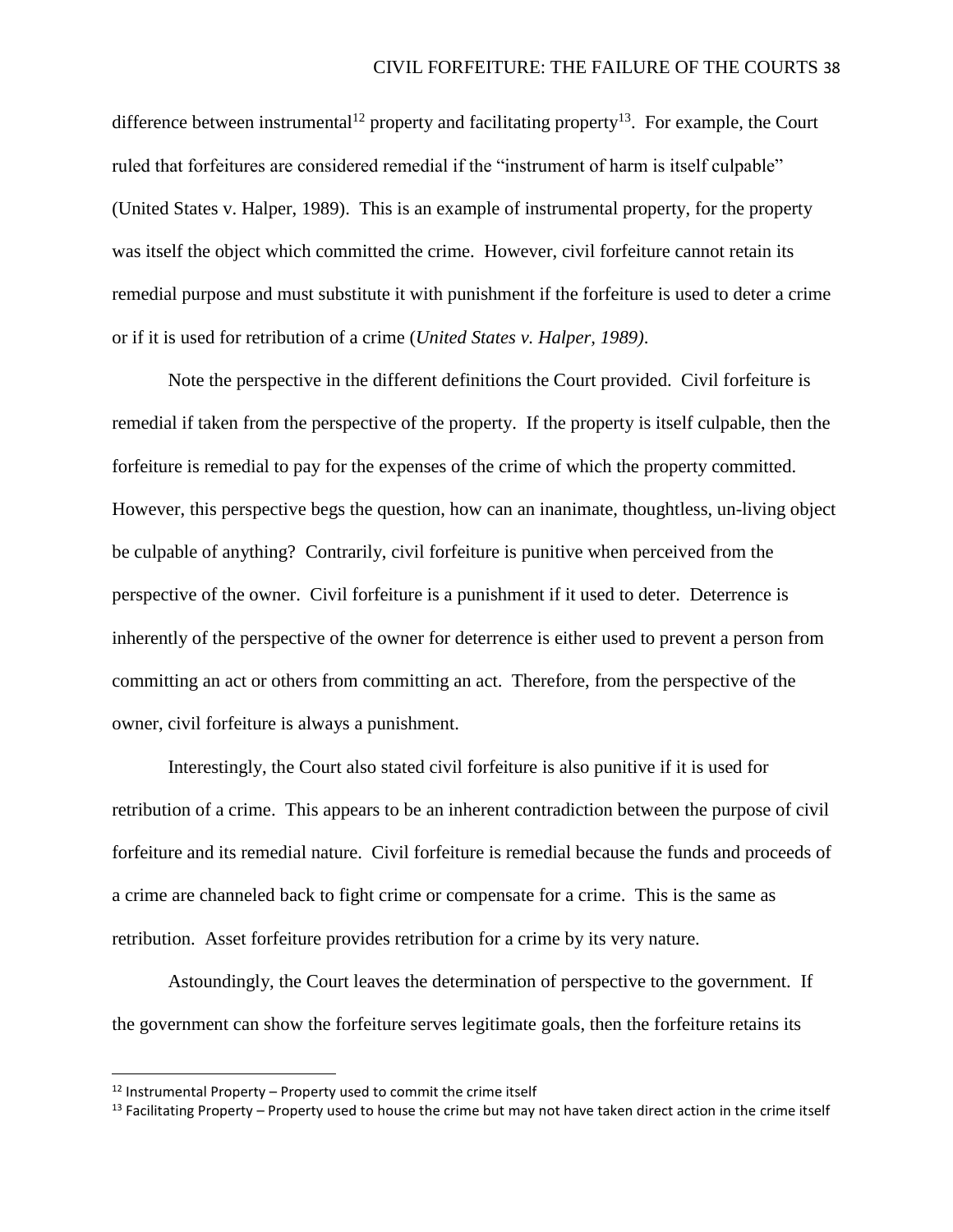difference between instrumental<sup>12</sup> property and facilitating property<sup>13</sup>. For example, the Court ruled that forfeitures are considered remedial if the "instrument of harm is itself culpable" (United States v. Halper, 1989). This is an example of instrumental property, for the property was itself the object which committed the crime. However, civil forfeiture cannot retain its remedial purpose and must substitute it with punishment if the forfeiture is used to deter a crime or if it is used for retribution of a crime (*United States v. Halper, 1989)*.

Note the perspective in the different definitions the Court provided. Civil forfeiture is remedial if taken from the perspective of the property. If the property is itself culpable, then the forfeiture is remedial to pay for the expenses of the crime of which the property committed. However, this perspective begs the question, how can an inanimate, thoughtless, un-living object be culpable of anything? Contrarily, civil forfeiture is punitive when perceived from the perspective of the owner. Civil forfeiture is a punishment if it used to deter. Deterrence is inherently of the perspective of the owner for deterrence is either used to prevent a person from committing an act or others from committing an act. Therefore, from the perspective of the owner, civil forfeiture is always a punishment.

Interestingly, the Court also stated civil forfeiture is also punitive if it is used for retribution of a crime. This appears to be an inherent contradiction between the purpose of civil forfeiture and its remedial nature. Civil forfeiture is remedial because the funds and proceeds of a crime are channeled back to fight crime or compensate for a crime. This is the same as retribution. Asset forfeiture provides retribution for a crime by its very nature.

Astoundingly, the Court leaves the determination of perspective to the government. If the government can show the forfeiture serves legitimate goals, then the forfeiture retains its

l

 $12$  Instrumental Property – Property used to commit the crime itself

 $13$  Facilitating Property – Property used to house the crime but may not have taken direct action in the crime itself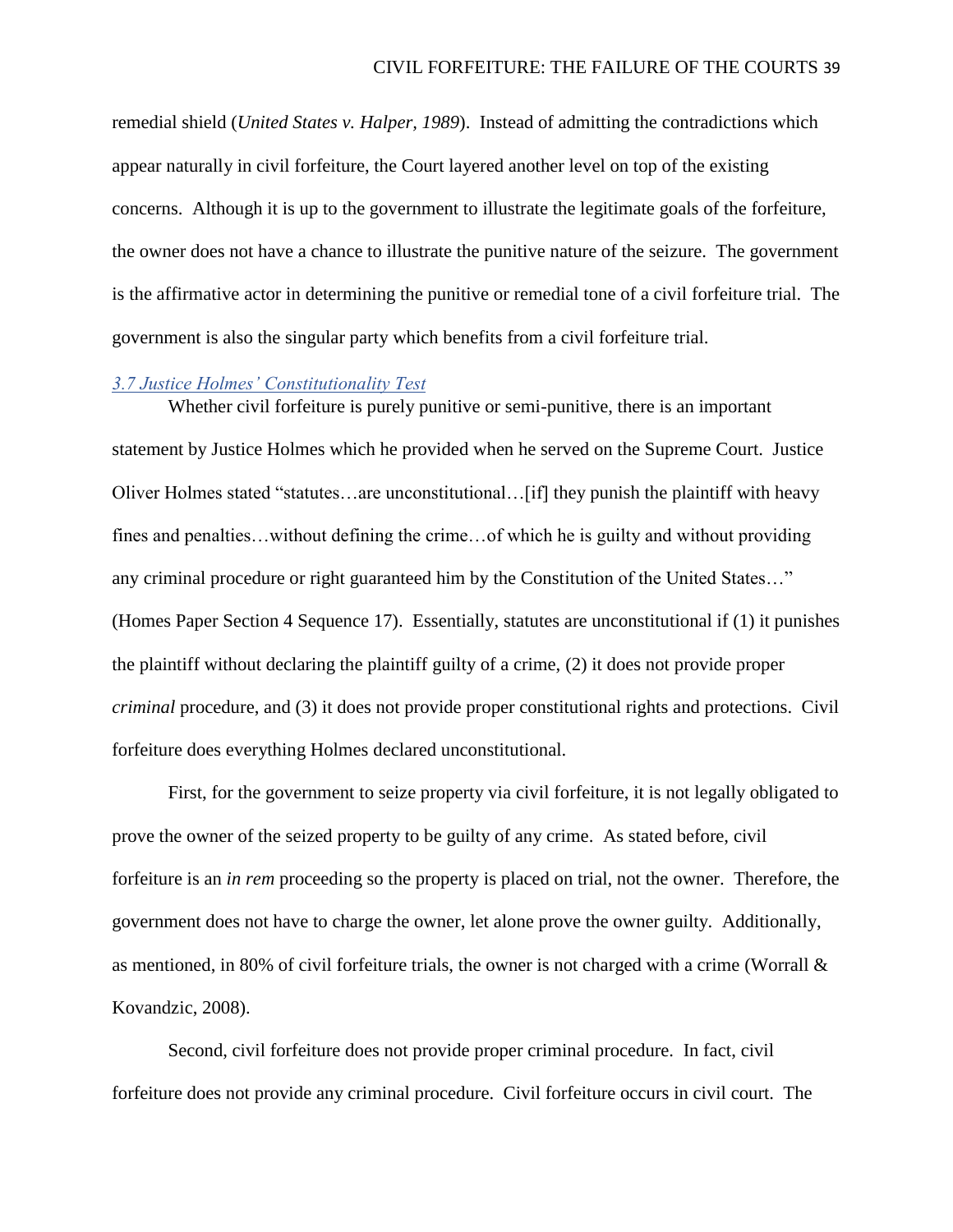remedial shield (*United States v. Halper, 1989*). Instead of admitting the contradictions which appear naturally in civil forfeiture, the Court layered another level on top of the existing concerns. Although it is up to the government to illustrate the legitimate goals of the forfeiture, the owner does not have a chance to illustrate the punitive nature of the seizure. The government is the affirmative actor in determining the punitive or remedial tone of a civil forfeiture trial. The government is also the singular party which benefits from a civil forfeiture trial.

# <span id="page-39-0"></span>*3.7 Justice Holmes' Constitutionality Test*

Whether civil forfeiture is purely punitive or semi-punitive, there is an important statement by Justice Holmes which he provided when he served on the Supreme Court. Justice Oliver Holmes stated "statutes…are unconstitutional…[if] they punish the plaintiff with heavy fines and penalties...without defining the crime...of which he is guilty and without providing any criminal procedure or right guaranteed him by the Constitution of the United States…" (Homes Paper Section 4 Sequence 17). Essentially, statutes are unconstitutional if (1) it punishes the plaintiff without declaring the plaintiff guilty of a crime, (2) it does not provide proper *criminal* procedure, and (3) it does not provide proper constitutional rights and protections. Civil forfeiture does everything Holmes declared unconstitutional.

First, for the government to seize property via civil forfeiture, it is not legally obligated to prove the owner of the seized property to be guilty of any crime. As stated before, civil forfeiture is an *in rem* proceeding so the property is placed on trial, not the owner. Therefore, the government does not have to charge the owner, let alone prove the owner guilty. Additionally, as mentioned, in 80% of civil forfeiture trials, the owner is not charged with a crime (Worrall  $\&$ Kovandzic, 2008).

Second, civil forfeiture does not provide proper criminal procedure. In fact, civil forfeiture does not provide any criminal procedure. Civil forfeiture occurs in civil court. The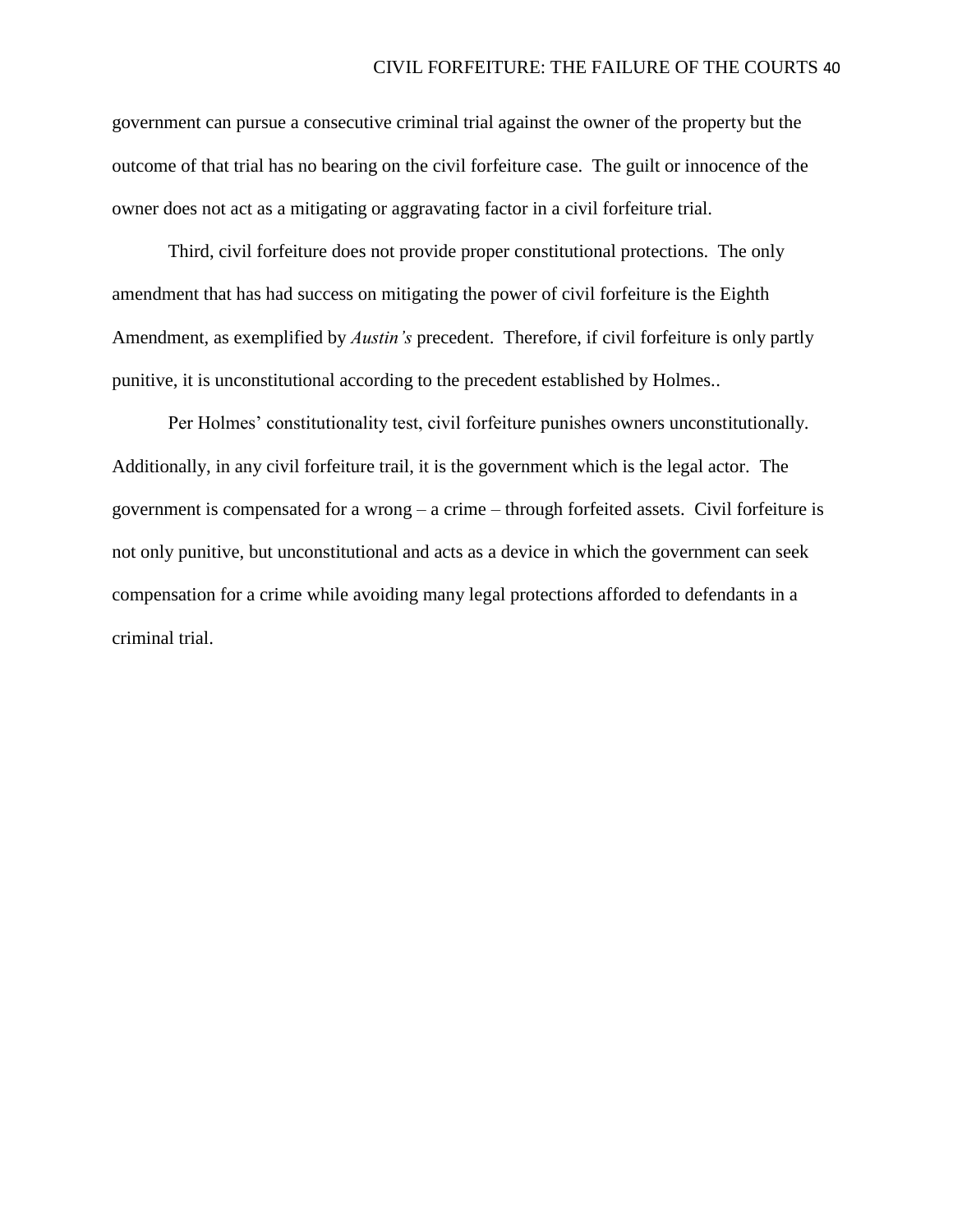government can pursue a consecutive criminal trial against the owner of the property but the outcome of that trial has no bearing on the civil forfeiture case. The guilt or innocence of the owner does not act as a mitigating or aggravating factor in a civil forfeiture trial.

Third, civil forfeiture does not provide proper constitutional protections. The only amendment that has had success on mitigating the power of civil forfeiture is the Eighth Amendment, as exemplified by *Austin's* precedent. Therefore, if civil forfeiture is only partly punitive, it is unconstitutional according to the precedent established by Holmes..

Per Holmes' constitutionality test, civil forfeiture punishes owners unconstitutionally. Additionally, in any civil forfeiture trail, it is the government which is the legal actor. The government is compensated for a wrong – a crime – through forfeited assets. Civil forfeiture is not only punitive, but unconstitutional and acts as a device in which the government can seek compensation for a crime while avoiding many legal protections afforded to defendants in a criminal trial.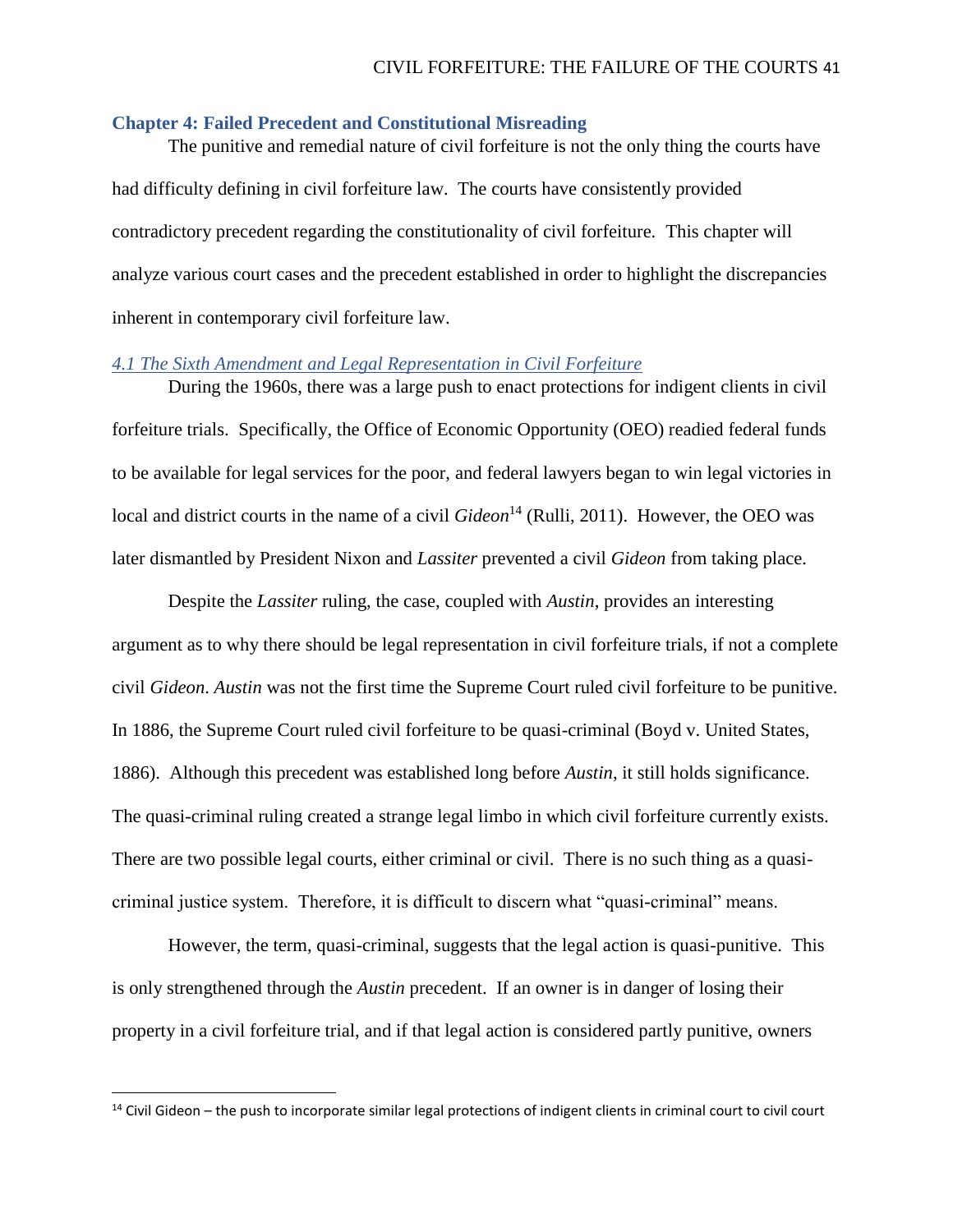#### <span id="page-41-0"></span>**Chapter 4: Failed Precedent and Constitutional Misreading**

The punitive and remedial nature of civil forfeiture is not the only thing the courts have had difficulty defining in civil forfeiture law. The courts have consistently provided contradictory precedent regarding the constitutionality of civil forfeiture. This chapter will analyze various court cases and the precedent established in order to highlight the discrepancies inherent in contemporary civil forfeiture law.

# <span id="page-41-1"></span>*4.1 The Sixth Amendment and Legal Representation in Civil Forfeiture*

During the 1960s, there was a large push to enact protections for indigent clients in civil forfeiture trials. Specifically, the Office of Economic Opportunity (OEO) readied federal funds to be available for legal services for the poor, and federal lawyers began to win legal victories in local and district courts in the name of a civil *Gideon*<sup>14</sup> (Rulli, 2011). However, the OEO was later dismantled by President Nixon and *Lassiter* prevented a civil *Gideon* from taking place.

Despite the *Lassiter* ruling, the case, coupled with *Austin*, provides an interesting argument as to why there should be legal representation in civil forfeiture trials, if not a complete civil *Gideon*. *Austin* was not the first time the Supreme Court ruled civil forfeiture to be punitive. In 1886, the Supreme Court ruled civil forfeiture to be quasi-criminal (Boyd v. United States, 1886). Although this precedent was established long before *Austin*, it still holds significance. The quasi-criminal ruling created a strange legal limbo in which civil forfeiture currently exists. There are two possible legal courts, either criminal or civil. There is no such thing as a quasicriminal justice system. Therefore, it is difficult to discern what "quasi-criminal" means.

However, the term, quasi-criminal, suggests that the legal action is quasi-punitive. This is only strengthened through the *Austin* precedent. If an owner is in danger of losing their property in a civil forfeiture trial, and if that legal action is considered partly punitive, owners

 $\overline{\phantom{a}}$ 

 $14$  Civil Gideon – the push to incorporate similar legal protections of indigent clients in criminal court to civil court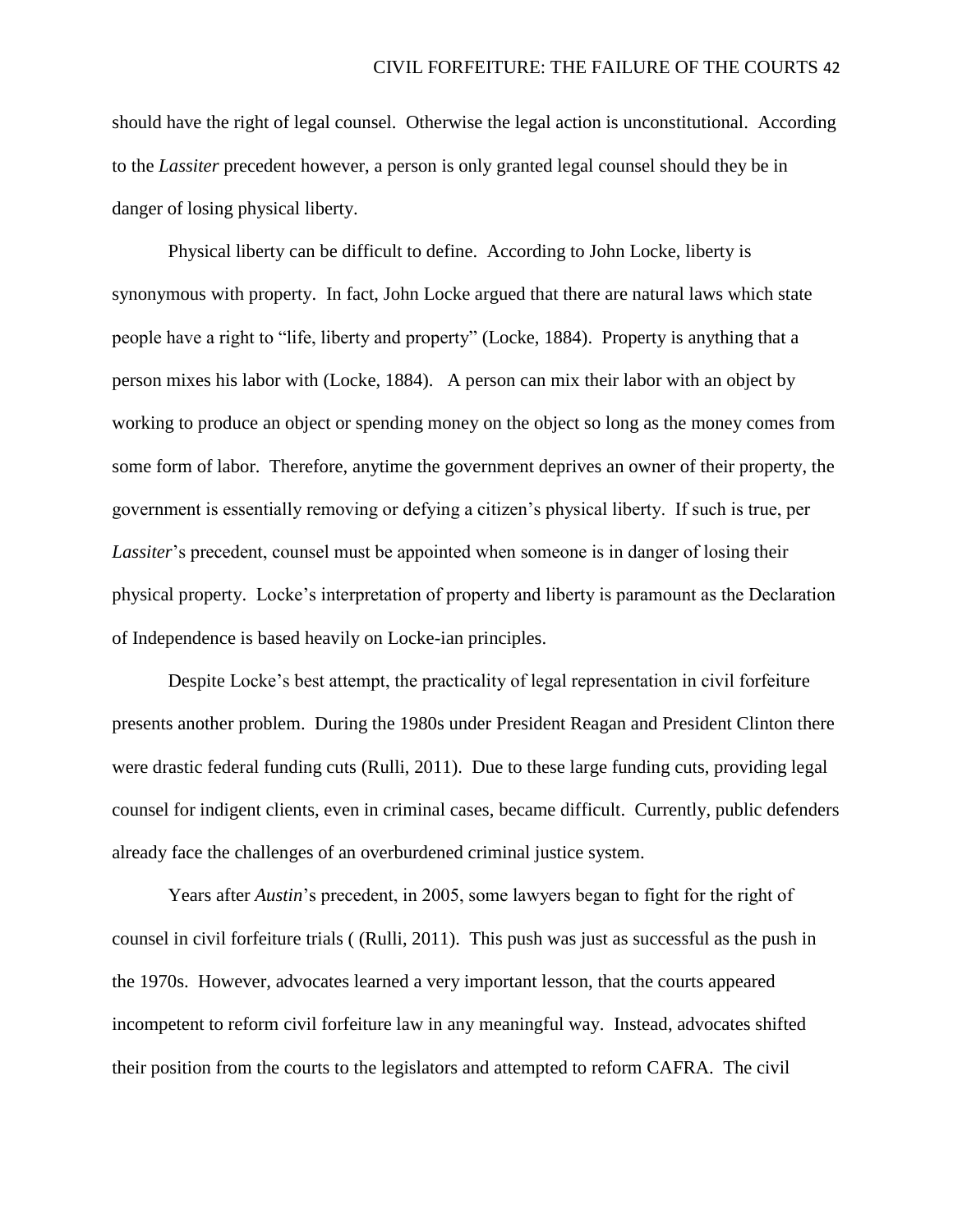should have the right of legal counsel. Otherwise the legal action is unconstitutional. According to the *Lassiter* precedent however, a person is only granted legal counsel should they be in danger of losing physical liberty.

Physical liberty can be difficult to define. According to John Locke, liberty is synonymous with property. In fact, John Locke argued that there are natural laws which state people have a right to "life, liberty and property" (Locke, 1884). Property is anything that a person mixes his labor with (Locke, 1884). A person can mix their labor with an object by working to produce an object or spending money on the object so long as the money comes from some form of labor. Therefore, anytime the government deprives an owner of their property, the government is essentially removing or defying a citizen's physical liberty. If such is true, per *Lassiter*'s precedent, counsel must be appointed when someone is in danger of losing their physical property. Locke's interpretation of property and liberty is paramount as the Declaration of Independence is based heavily on Locke-ian principles.

Despite Locke's best attempt, the practicality of legal representation in civil forfeiture presents another problem. During the 1980s under President Reagan and President Clinton there were drastic federal funding cuts (Rulli, 2011). Due to these large funding cuts, providing legal counsel for indigent clients, even in criminal cases, became difficult. Currently, public defenders already face the challenges of an overburdened criminal justice system.

Years after *Austin*'s precedent, in 2005, some lawyers began to fight for the right of counsel in civil forfeiture trials ( (Rulli, 2011). This push was just as successful as the push in the 1970s. However, advocates learned a very important lesson, that the courts appeared incompetent to reform civil forfeiture law in any meaningful way. Instead, advocates shifted their position from the courts to the legislators and attempted to reform CAFRA. The civil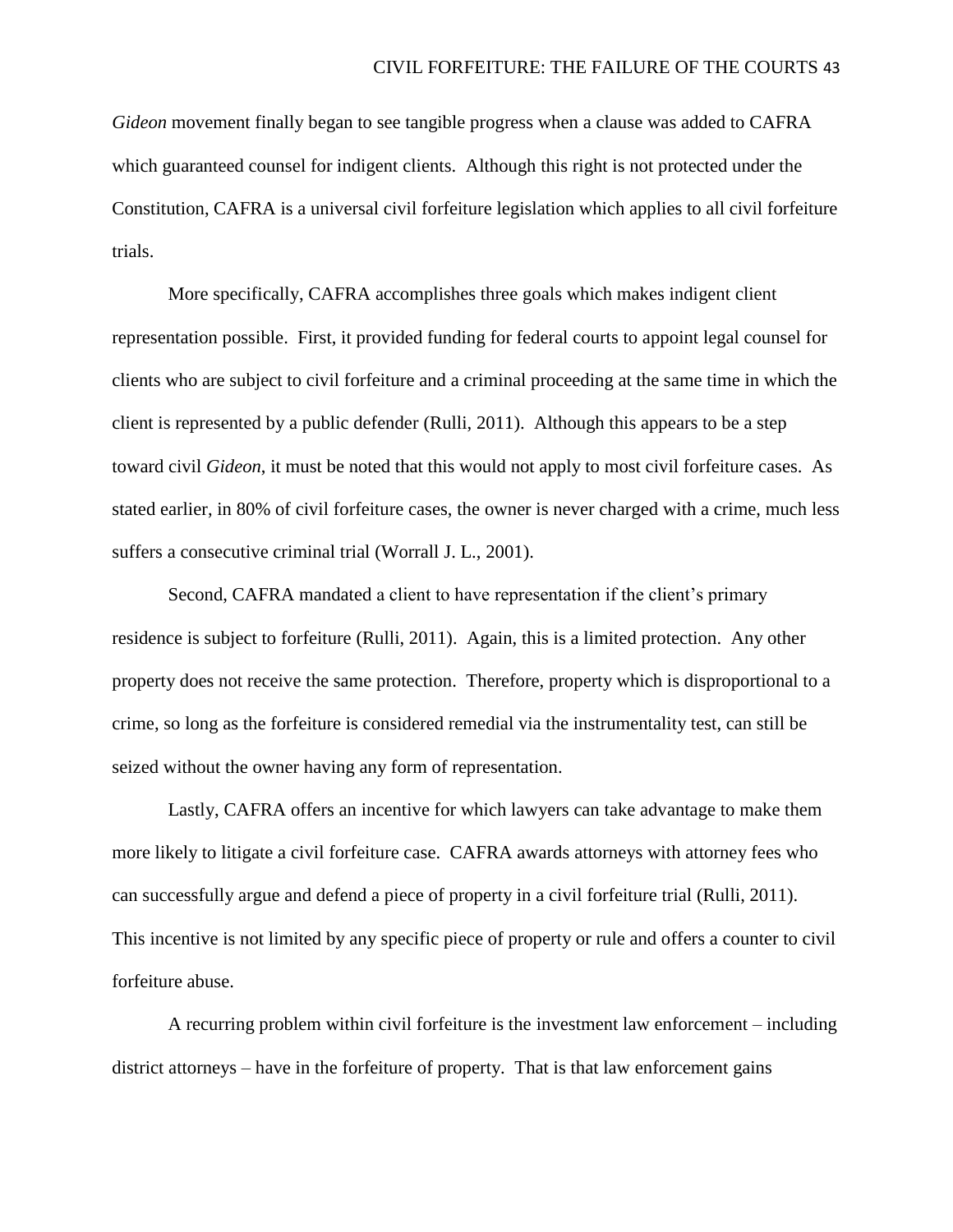*Gideon* movement finally began to see tangible progress when a clause was added to CAFRA which guaranteed counsel for indigent clients. Although this right is not protected under the Constitution, CAFRA is a universal civil forfeiture legislation which applies to all civil forfeiture trials.

More specifically, CAFRA accomplishes three goals which makes indigent client representation possible. First, it provided funding for federal courts to appoint legal counsel for clients who are subject to civil forfeiture and a criminal proceeding at the same time in which the client is represented by a public defender (Rulli, 2011). Although this appears to be a step toward civil *Gideon*, it must be noted that this would not apply to most civil forfeiture cases. As stated earlier, in 80% of civil forfeiture cases, the owner is never charged with a crime, much less suffers a consecutive criminal trial (Worrall J. L., 2001).

Second, CAFRA mandated a client to have representation if the client's primary residence is subject to forfeiture (Rulli, 2011). Again, this is a limited protection. Any other property does not receive the same protection. Therefore, property which is disproportional to a crime, so long as the forfeiture is considered remedial via the instrumentality test, can still be seized without the owner having any form of representation.

Lastly, CAFRA offers an incentive for which lawyers can take advantage to make them more likely to litigate a civil forfeiture case. CAFRA awards attorneys with attorney fees who can successfully argue and defend a piece of property in a civil forfeiture trial (Rulli, 2011). This incentive is not limited by any specific piece of property or rule and offers a counter to civil forfeiture abuse.

A recurring problem within civil forfeiture is the investment law enforcement – including district attorneys – have in the forfeiture of property. That is that law enforcement gains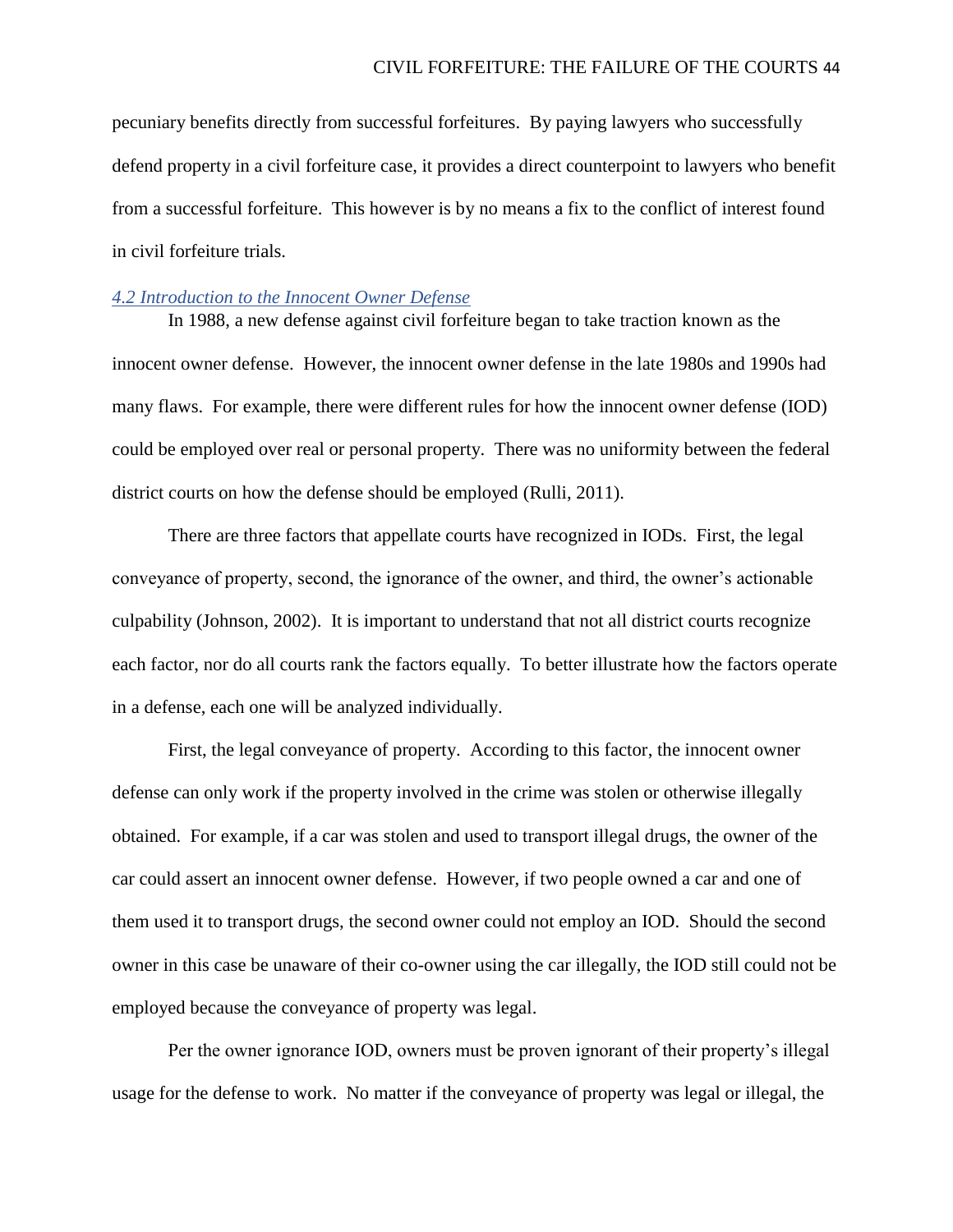pecuniary benefits directly from successful forfeitures. By paying lawyers who successfully defend property in a civil forfeiture case, it provides a direct counterpoint to lawyers who benefit from a successful forfeiture. This however is by no means a fix to the conflict of interest found in civil forfeiture trials.

# <span id="page-44-0"></span>*4.2 Introduction to the Innocent Owner Defense*

In 1988, a new defense against civil forfeiture began to take traction known as the innocent owner defense. However, the innocent owner defense in the late 1980s and 1990s had many flaws. For example, there were different rules for how the innocent owner defense (IOD) could be employed over real or personal property. There was no uniformity between the federal district courts on how the defense should be employed (Rulli, 2011).

There are three factors that appellate courts have recognized in IODs. First, the legal conveyance of property, second, the ignorance of the owner, and third, the owner's actionable culpability (Johnson, 2002). It is important to understand that not all district courts recognize each factor, nor do all courts rank the factors equally. To better illustrate how the factors operate in a defense, each one will be analyzed individually.

First, the legal conveyance of property. According to this factor, the innocent owner defense can only work if the property involved in the crime was stolen or otherwise illegally obtained. For example, if a car was stolen and used to transport illegal drugs, the owner of the car could assert an innocent owner defense. However, if two people owned a car and one of them used it to transport drugs, the second owner could not employ an IOD. Should the second owner in this case be unaware of their co-owner using the car illegally, the IOD still could not be employed because the conveyance of property was legal.

Per the owner ignorance IOD, owners must be proven ignorant of their property's illegal usage for the defense to work. No matter if the conveyance of property was legal or illegal, the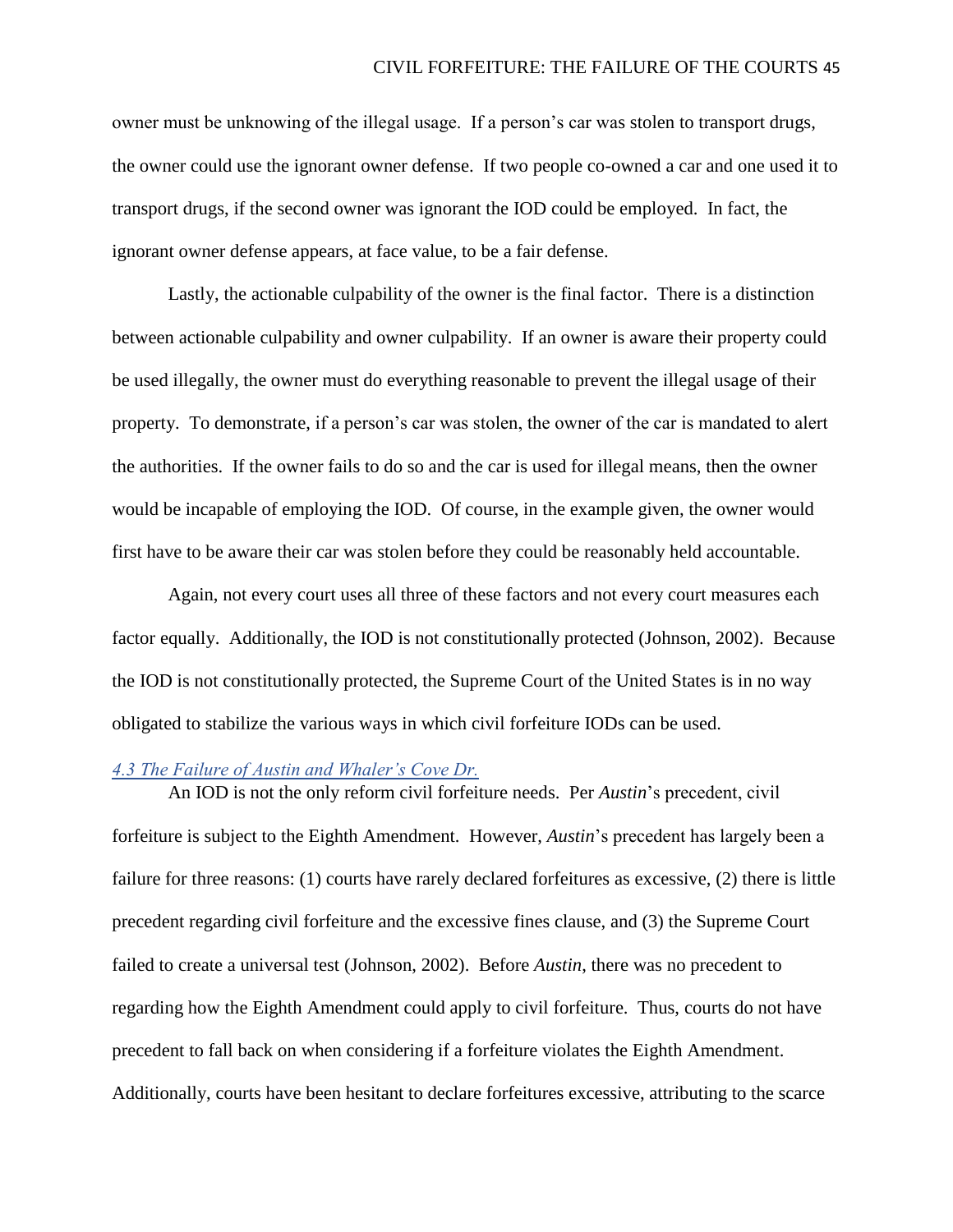owner must be unknowing of the illegal usage. If a person's car was stolen to transport drugs, the owner could use the ignorant owner defense. If two people co-owned a car and one used it to transport drugs, if the second owner was ignorant the IOD could be employed. In fact, the ignorant owner defense appears, at face value, to be a fair defense.

Lastly, the actionable culpability of the owner is the final factor. There is a distinction between actionable culpability and owner culpability. If an owner is aware their property could be used illegally, the owner must do everything reasonable to prevent the illegal usage of their property. To demonstrate, if a person's car was stolen, the owner of the car is mandated to alert the authorities. If the owner fails to do so and the car is used for illegal means, then the owner would be incapable of employing the IOD. Of course, in the example given, the owner would first have to be aware their car was stolen before they could be reasonably held accountable.

Again, not every court uses all three of these factors and not every court measures each factor equally. Additionally, the IOD is not constitutionally protected (Johnson, 2002). Because the IOD is not constitutionally protected, the Supreme Court of the United States is in no way obligated to stabilize the various ways in which civil forfeiture IODs can be used.

# <span id="page-45-0"></span>*4.3 The Failure of Austin and Whaler's Cove Dr.*

An IOD is not the only reform civil forfeiture needs. Per *Austin*'s precedent, civil forfeiture is subject to the Eighth Amendment. However, *Austin*'s precedent has largely been a failure for three reasons: (1) courts have rarely declared forfeitures as excessive, (2) there is little precedent regarding civil forfeiture and the excessive fines clause, and (3) the Supreme Court failed to create a universal test (Johnson, 2002). Before *Austin*, there was no precedent to regarding how the Eighth Amendment could apply to civil forfeiture. Thus, courts do not have precedent to fall back on when considering if a forfeiture violates the Eighth Amendment. Additionally, courts have been hesitant to declare forfeitures excessive, attributing to the scarce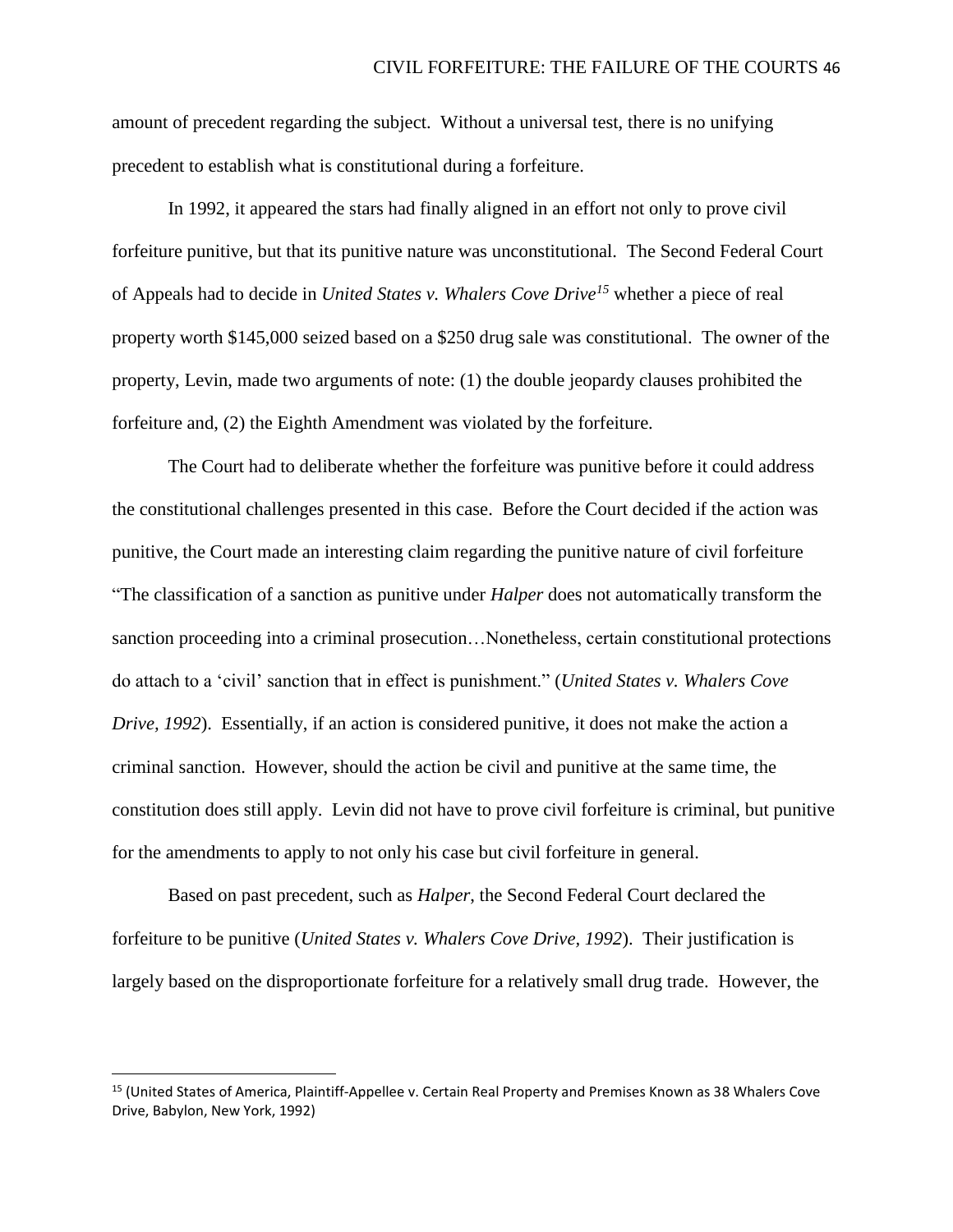amount of precedent regarding the subject. Without a universal test, there is no unifying precedent to establish what is constitutional during a forfeiture.

In 1992, it appeared the stars had finally aligned in an effort not only to prove civil forfeiture punitive, but that its punitive nature was unconstitutional. The Second Federal Court of Appeals had to decide in *United States v. Whalers Cove Drive<sup>15</sup>* whether a piece of real property worth \$145,000 seized based on a \$250 drug sale was constitutional. The owner of the property, Levin, made two arguments of note: (1) the double jeopardy clauses prohibited the forfeiture and, (2) the Eighth Amendment was violated by the forfeiture.

The Court had to deliberate whether the forfeiture was punitive before it could address the constitutional challenges presented in this case. Before the Court decided if the action was punitive, the Court made an interesting claim regarding the punitive nature of civil forfeiture "The classification of a sanction as punitive under *Halper* does not automatically transform the sanction proceeding into a criminal prosecution…Nonetheless, certain constitutional protections do attach to a 'civil' sanction that in effect is punishment." (*United States v. Whalers Cove Drive, 1992*). Essentially, if an action is considered punitive, it does not make the action a criminal sanction. However, should the action be civil and punitive at the same time, the constitution does still apply. Levin did not have to prove civil forfeiture is criminal, but punitive for the amendments to apply to not only his case but civil forfeiture in general.

Based on past precedent, such as *Halper*, the Second Federal Court declared the forfeiture to be punitive (*United States v. Whalers Cove Drive, 1992*). Their justification is largely based on the disproportionate forfeiture for a relatively small drug trade. However, the

l

<sup>15</sup> (United States of America, Plaintiff-Appellee v. Certain Real Property and Premises Known as 38 Whalers Cove Drive, Babylon, New York, 1992)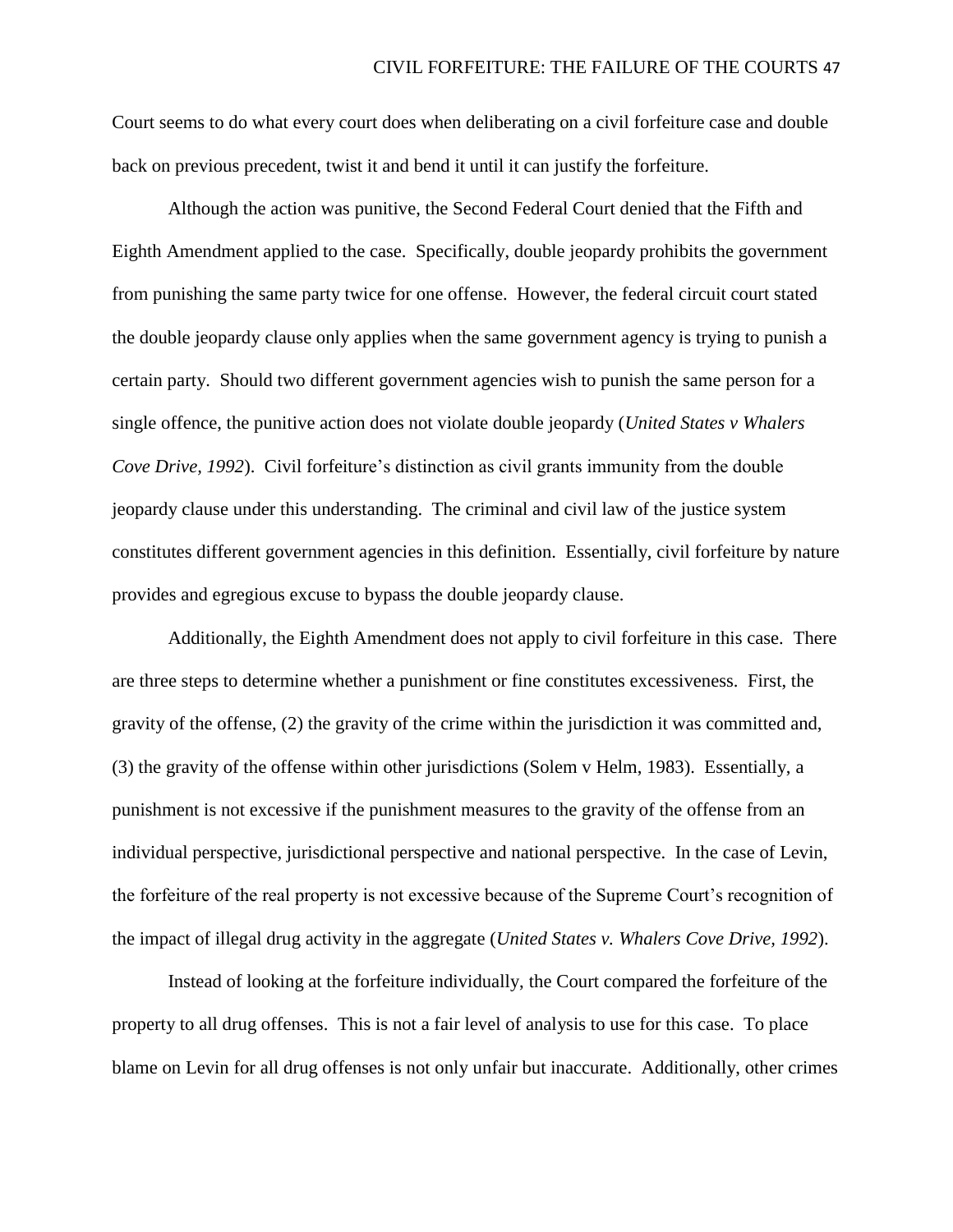Court seems to do what every court does when deliberating on a civil forfeiture case and double back on previous precedent, twist it and bend it until it can justify the forfeiture.

Although the action was punitive, the Second Federal Court denied that the Fifth and Eighth Amendment applied to the case. Specifically, double jeopardy prohibits the government from punishing the same party twice for one offense. However, the federal circuit court stated the double jeopardy clause only applies when the same government agency is trying to punish a certain party. Should two different government agencies wish to punish the same person for a single offence, the punitive action does not violate double jeopardy (*United States v Whalers Cove Drive, 1992*). Civil forfeiture's distinction as civil grants immunity from the double jeopardy clause under this understanding. The criminal and civil law of the justice system constitutes different government agencies in this definition. Essentially, civil forfeiture by nature provides and egregious excuse to bypass the double jeopardy clause.

Additionally, the Eighth Amendment does not apply to civil forfeiture in this case. There are three steps to determine whether a punishment or fine constitutes excessiveness. First, the gravity of the offense, (2) the gravity of the crime within the jurisdiction it was committed and, (3) the gravity of the offense within other jurisdictions (Solem v Helm, 1983). Essentially, a punishment is not excessive if the punishment measures to the gravity of the offense from an individual perspective, jurisdictional perspective and national perspective. In the case of Levin, the forfeiture of the real property is not excessive because of the Supreme Court's recognition of the impact of illegal drug activity in the aggregate (*United States v. Whalers Cove Drive, 1992*).

Instead of looking at the forfeiture individually, the Court compared the forfeiture of the

property to all drug offenses. This is not a fair level of analysis to use for this case. To place

blame on Levin for all drug offenses is not only unfair but inaccurate. Additionally, other crimes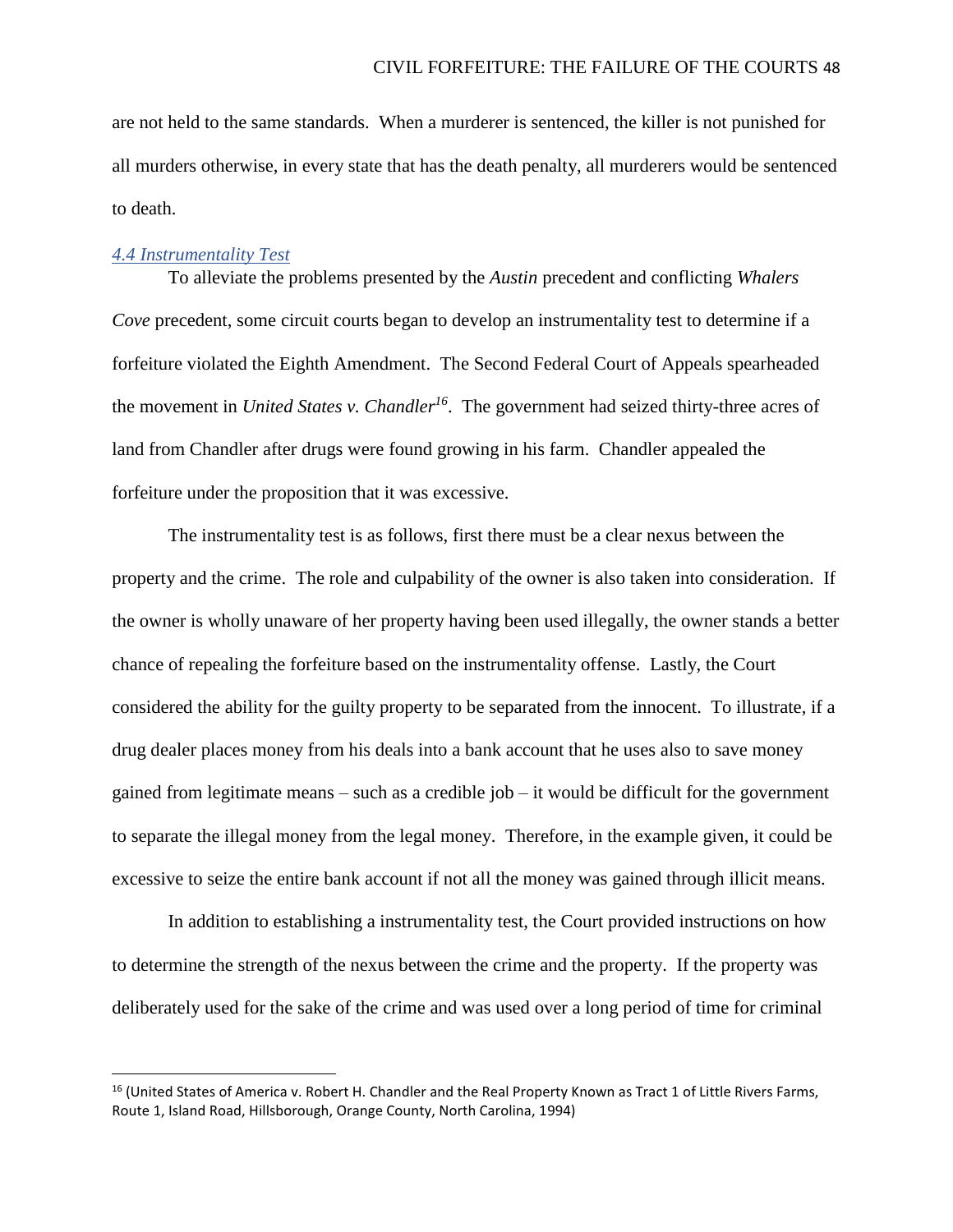are not held to the same standards. When a murderer is sentenced, the killer is not punished for all murders otherwise, in every state that has the death penalty, all murderers would be sentenced to death.

# <span id="page-48-0"></span>*4.4 Instrumentality Test*

l

To alleviate the problems presented by the *Austin* precedent and conflicting *Whalers Cove* precedent, some circuit courts began to develop an instrumentality test to determine if a forfeiture violated the Eighth Amendment. The Second Federal Court of Appeals spearheaded the movement in *United States v. Chandler<sup>16</sup>*. The government had seized thirty-three acres of land from Chandler after drugs were found growing in his farm. Chandler appealed the forfeiture under the proposition that it was excessive.

The instrumentality test is as follows, first there must be a clear nexus between the property and the crime. The role and culpability of the owner is also taken into consideration. If the owner is wholly unaware of her property having been used illegally, the owner stands a better chance of repealing the forfeiture based on the instrumentality offense. Lastly, the Court considered the ability for the guilty property to be separated from the innocent. To illustrate, if a drug dealer places money from his deals into a bank account that he uses also to save money gained from legitimate means  $-$  such as a credible job  $-$  it would be difficult for the government to separate the illegal money from the legal money. Therefore, in the example given, it could be excessive to seize the entire bank account if not all the money was gained through illicit means.

In addition to establishing a instrumentality test, the Court provided instructions on how to determine the strength of the nexus between the crime and the property. If the property was deliberately used for the sake of the crime and was used over a long period of time for criminal

<sup>&</sup>lt;sup>16</sup> (United States of America v. Robert H. Chandler and the Real Property Known as Tract 1 of Little Rivers Farms, Route 1, Island Road, Hillsborough, Orange County, North Carolina, 1994)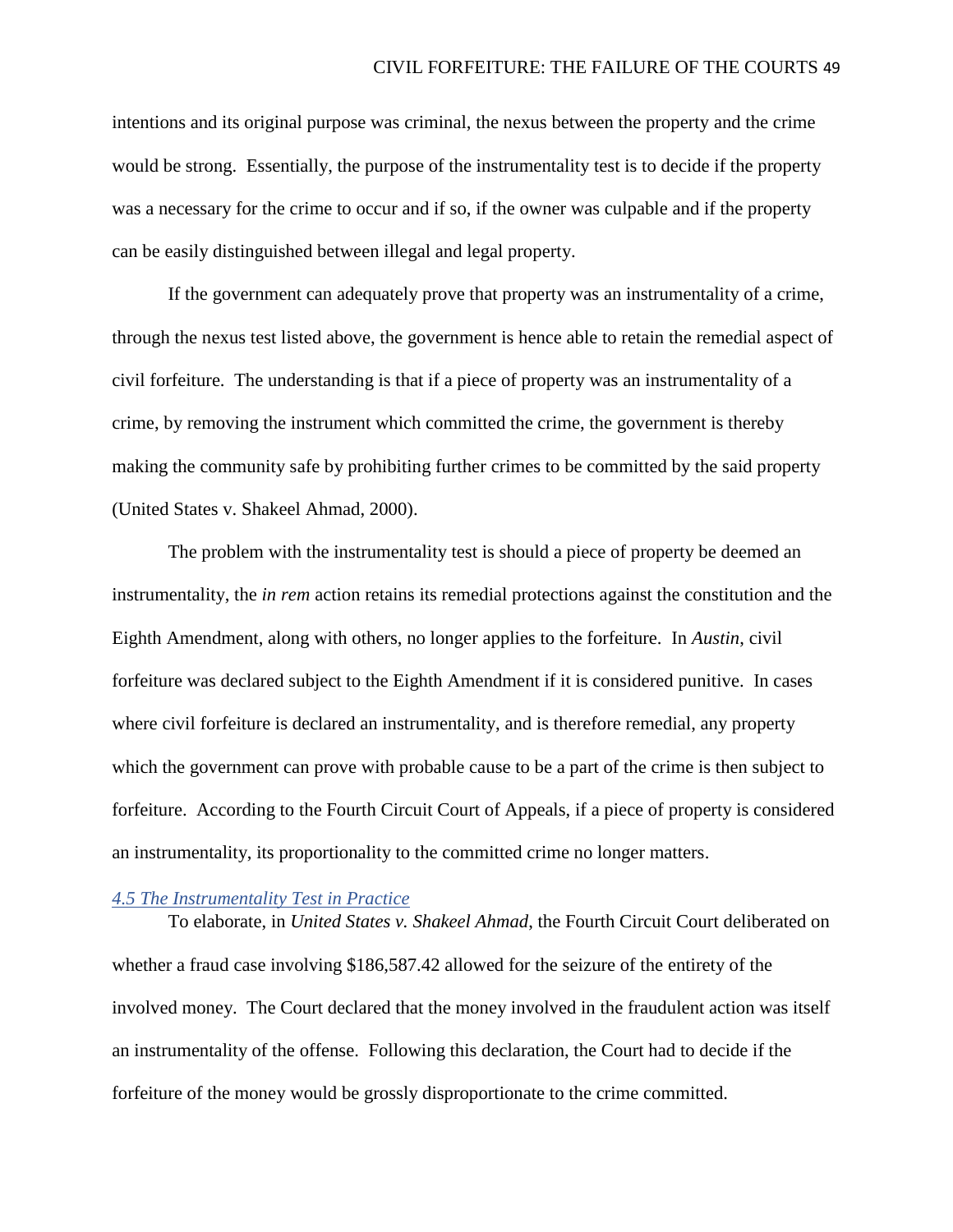intentions and its original purpose was criminal, the nexus between the property and the crime would be strong. Essentially, the purpose of the instrumentality test is to decide if the property was a necessary for the crime to occur and if so, if the owner was culpable and if the property can be easily distinguished between illegal and legal property.

If the government can adequately prove that property was an instrumentality of a crime, through the nexus test listed above, the government is hence able to retain the remedial aspect of civil forfeiture. The understanding is that if a piece of property was an instrumentality of a crime, by removing the instrument which committed the crime, the government is thereby making the community safe by prohibiting further crimes to be committed by the said property (United States v. Shakeel Ahmad, 2000).

The problem with the instrumentality test is should a piece of property be deemed an instrumentality, the *in rem* action retains its remedial protections against the constitution and the Eighth Amendment, along with others, no longer applies to the forfeiture. In *Austin*, civil forfeiture was declared subject to the Eighth Amendment if it is considered punitive. In cases where civil forfeiture is declared an instrumentality, and is therefore remedial, any property which the government can prove with probable cause to be a part of the crime is then subject to forfeiture. According to the Fourth Circuit Court of Appeals, if a piece of property is considered an instrumentality, its proportionality to the committed crime no longer matters.

#### <span id="page-49-0"></span>*4.5 The Instrumentality Test in Practice*

To elaborate, in *United States v. Shakeel Ahmad*, the Fourth Circuit Court deliberated on whether a fraud case involving \$186,587.42 allowed for the seizure of the entirety of the involved money. The Court declared that the money involved in the fraudulent action was itself an instrumentality of the offense. Following this declaration, the Court had to decide if the forfeiture of the money would be grossly disproportionate to the crime committed.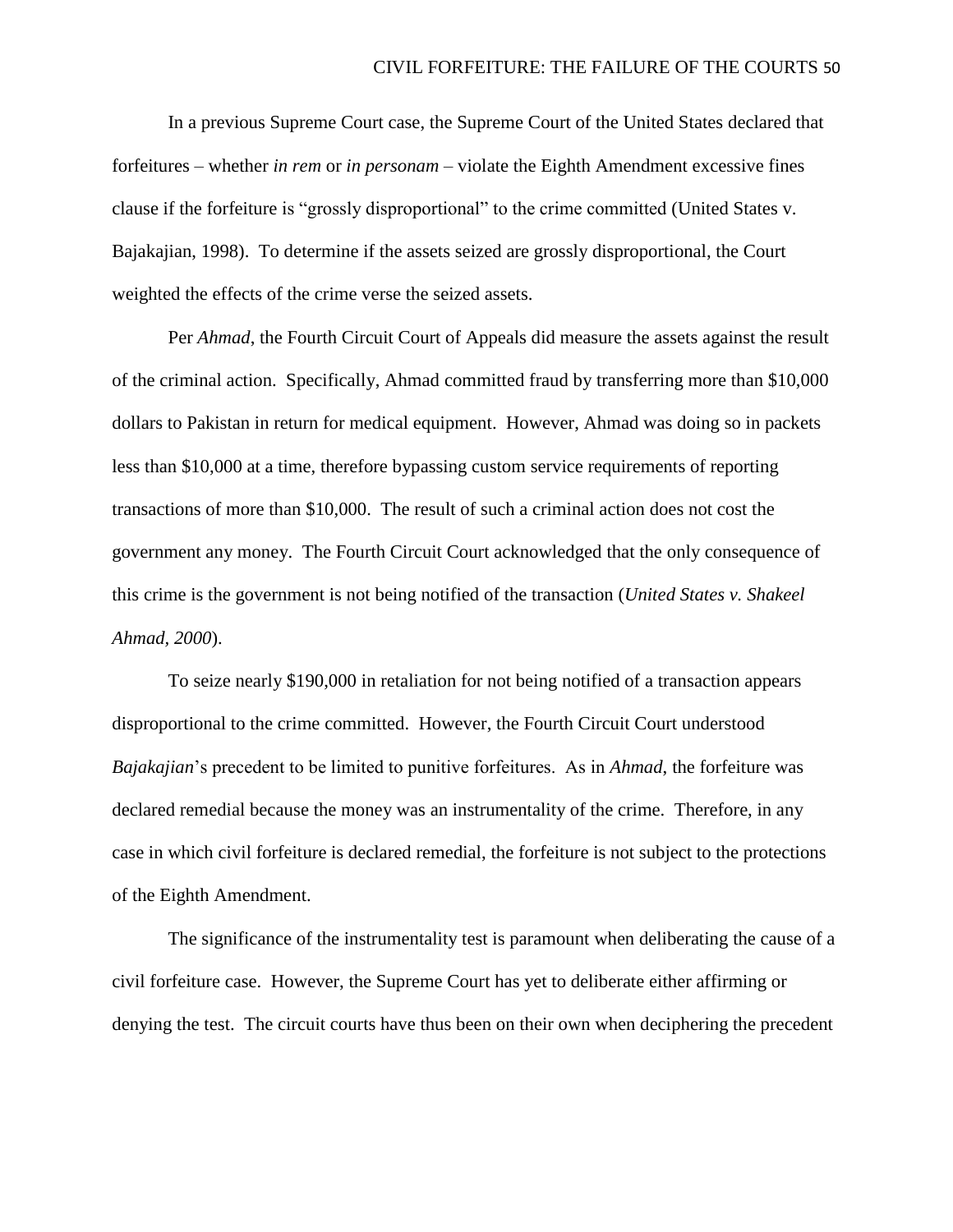In a previous Supreme Court case, the Supreme Court of the United States declared that forfeitures – whether *in rem* or *in personam* – violate the Eighth Amendment excessive fines clause if the forfeiture is "grossly disproportional" to the crime committed (United States v. Bajakajian, 1998). To determine if the assets seized are grossly disproportional, the Court weighted the effects of the crime verse the seized assets.

Per *Ahmad*, the Fourth Circuit Court of Appeals did measure the assets against the result of the criminal action. Specifically, Ahmad committed fraud by transferring more than \$10,000 dollars to Pakistan in return for medical equipment. However, Ahmad was doing so in packets less than \$10,000 at a time, therefore bypassing custom service requirements of reporting transactions of more than \$10,000. The result of such a criminal action does not cost the government any money. The Fourth Circuit Court acknowledged that the only consequence of this crime is the government is not being notified of the transaction (*United States v. Shakeel Ahmad, 2000*).

To seize nearly \$190,000 in retaliation for not being notified of a transaction appears disproportional to the crime committed. However, the Fourth Circuit Court understood *Bajakajian*'s precedent to be limited to punitive forfeitures. As in *Ahmad*, the forfeiture was declared remedial because the money was an instrumentality of the crime. Therefore, in any case in which civil forfeiture is declared remedial, the forfeiture is not subject to the protections of the Eighth Amendment.

The significance of the instrumentality test is paramount when deliberating the cause of a civil forfeiture case. However, the Supreme Court has yet to deliberate either affirming or denying the test. The circuit courts have thus been on their own when deciphering the precedent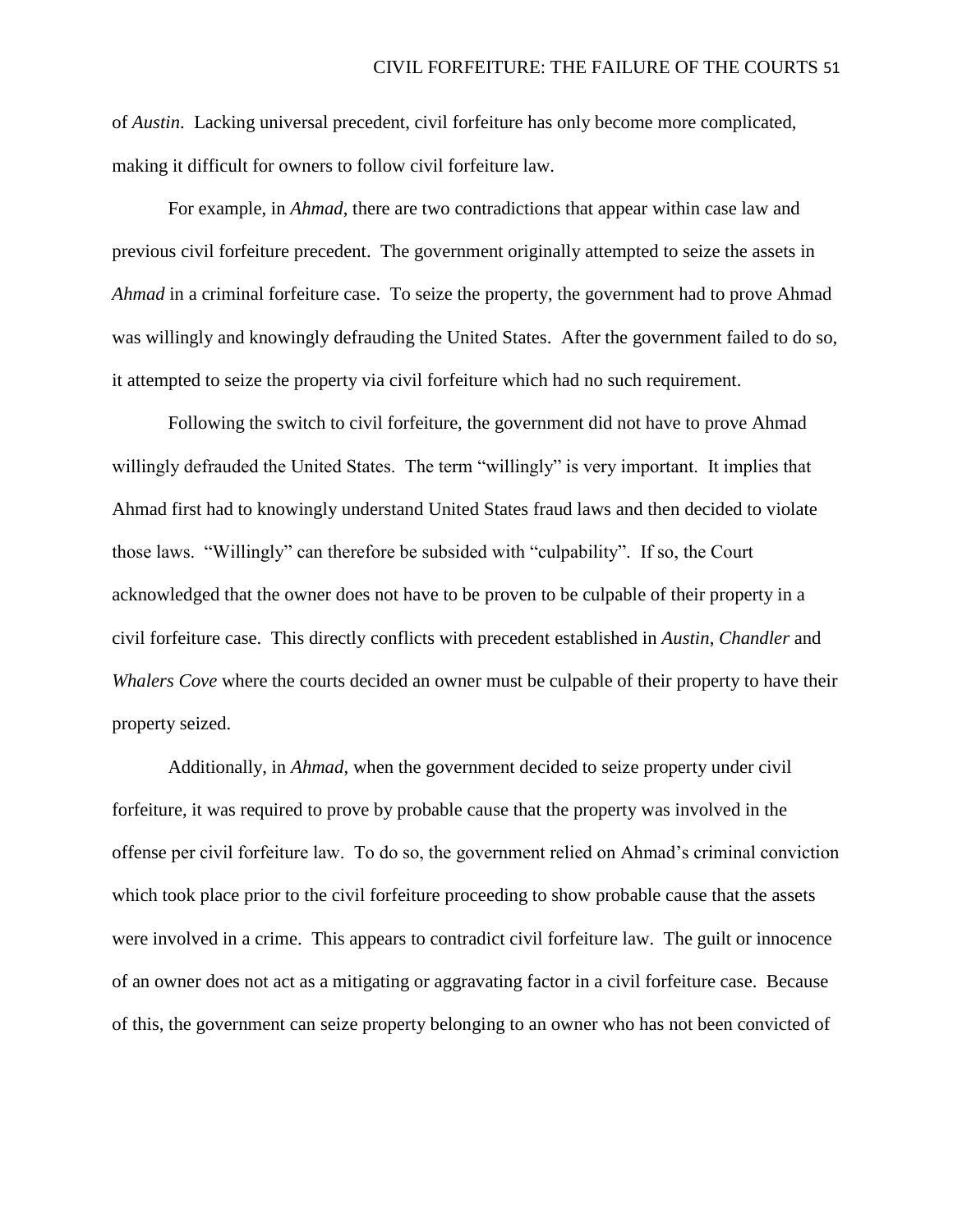of *Austin*. Lacking universal precedent, civil forfeiture has only become more complicated, making it difficult for owners to follow civil forfeiture law.

For example, in *Ahmad*, there are two contradictions that appear within case law and previous civil forfeiture precedent. The government originally attempted to seize the assets in *Ahmad* in a criminal forfeiture case. To seize the property, the government had to prove Ahmad was willingly and knowingly defrauding the United States. After the government failed to do so, it attempted to seize the property via civil forfeiture which had no such requirement.

Following the switch to civil forfeiture, the government did not have to prove Ahmad willingly defrauded the United States. The term "willingly" is very important. It implies that Ahmad first had to knowingly understand United States fraud laws and then decided to violate those laws. "Willingly" can therefore be subsided with "culpability". If so, the Court acknowledged that the owner does not have to be proven to be culpable of their property in a civil forfeiture case. This directly conflicts with precedent established in *Austin*, *Chandler* and *Whalers Cove* where the courts decided an owner must be culpable of their property to have their property seized.

Additionally, in *Ahmad*, when the government decided to seize property under civil forfeiture, it was required to prove by probable cause that the property was involved in the offense per civil forfeiture law. To do so, the government relied on Ahmad's criminal conviction which took place prior to the civil forfeiture proceeding to show probable cause that the assets were involved in a crime. This appears to contradict civil forfeiture law. The guilt or innocence of an owner does not act as a mitigating or aggravating factor in a civil forfeiture case. Because of this, the government can seize property belonging to an owner who has not been convicted of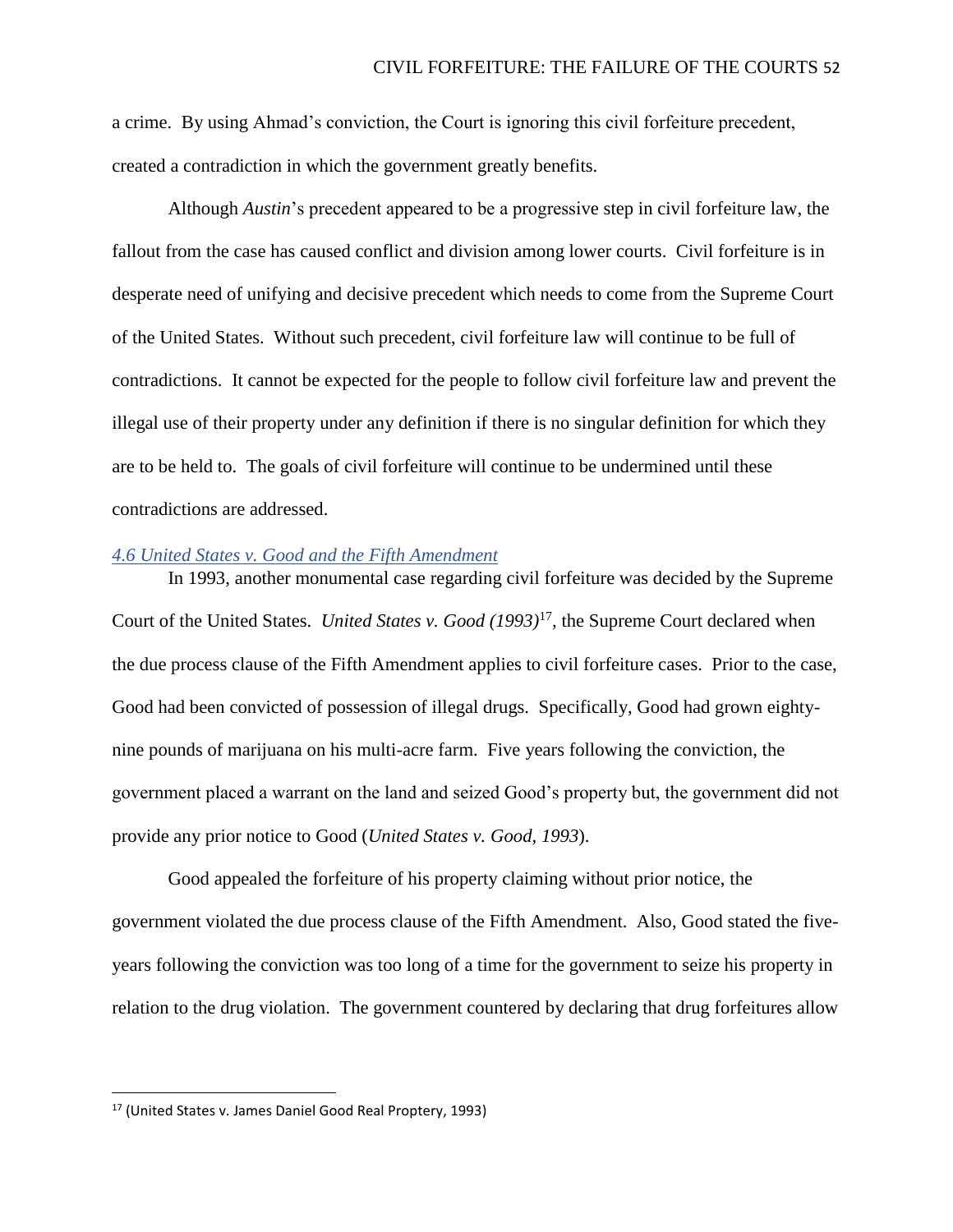a crime. By using Ahmad's conviction, the Court is ignoring this civil forfeiture precedent, created a contradiction in which the government greatly benefits.

Although *Austin*'s precedent appeared to be a progressive step in civil forfeiture law, the fallout from the case has caused conflict and division among lower courts. Civil forfeiture is in desperate need of unifying and decisive precedent which needs to come from the Supreme Court of the United States. Without such precedent, civil forfeiture law will continue to be full of contradictions. It cannot be expected for the people to follow civil forfeiture law and prevent the illegal use of their property under any definition if there is no singular definition for which they are to be held to. The goals of civil forfeiture will continue to be undermined until these contradictions are addressed.

# <span id="page-52-0"></span>*4.6 United States v. Good and the Fifth Amendment*

In 1993, another monumental case regarding civil forfeiture was decided by the Supreme Court of the United States. *United States v. Good (1993)*<sup>17</sup> *,* the Supreme Court declared when the due process clause of the Fifth Amendment applies to civil forfeiture cases. Prior to the case, Good had been convicted of possession of illegal drugs. Specifically, Good had grown eightynine pounds of marijuana on his multi-acre farm. Five years following the conviction, the government placed a warrant on the land and seized Good's property but, the government did not provide any prior notice to Good (*United States v. Good, 1993*).

Good appealed the forfeiture of his property claiming without prior notice, the government violated the due process clause of the Fifth Amendment. Also, Good stated the fiveyears following the conviction was too long of a time for the government to seize his property in relation to the drug violation. The government countered by declaring that drug forfeitures allow

 $\overline{\phantom{a}}$ 

<sup>17</sup> (United States v. James Daniel Good Real Proptery, 1993)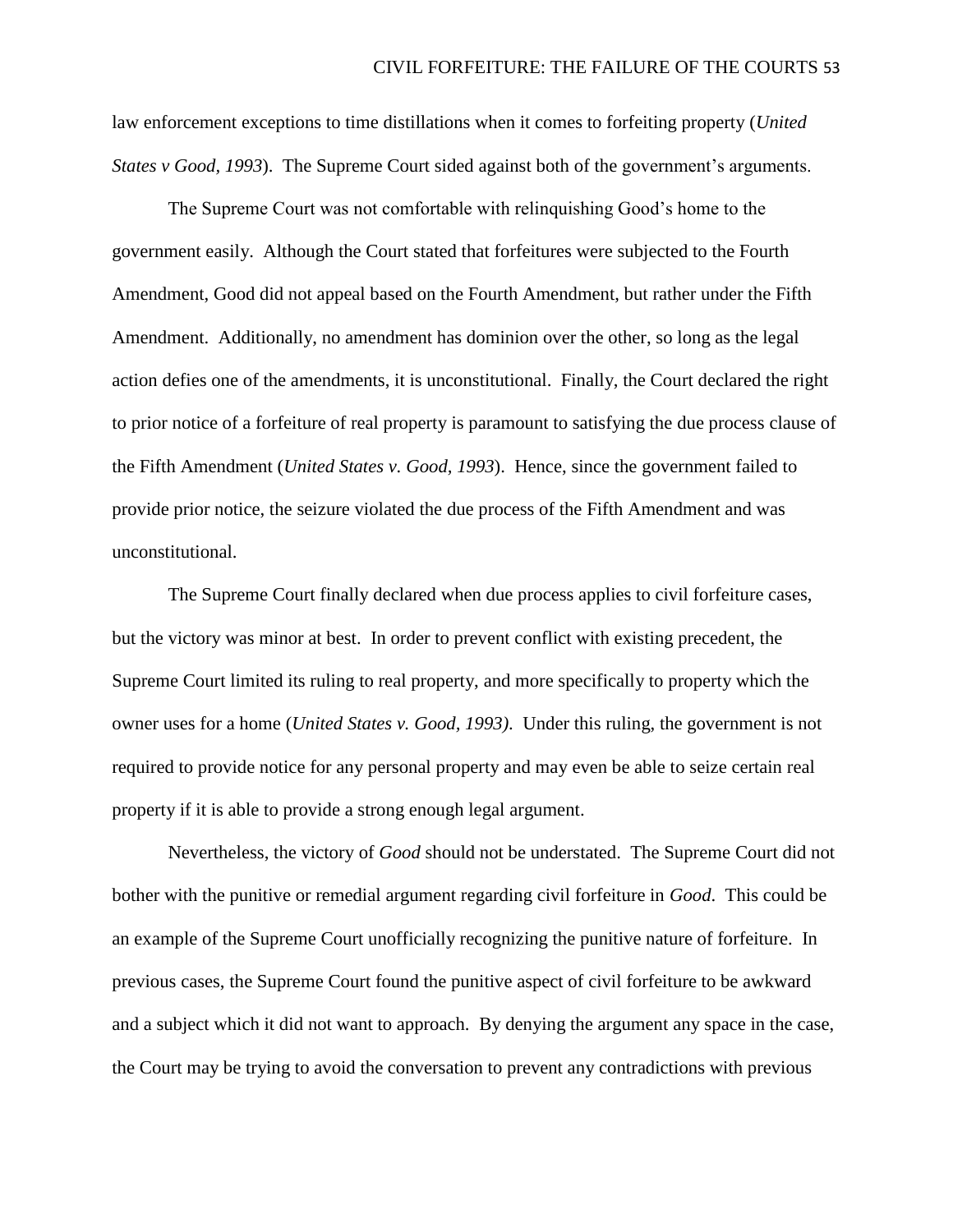law enforcement exceptions to time distillations when it comes to forfeiting property (*United States v Good, 1993*). The Supreme Court sided against both of the government's arguments.

The Supreme Court was not comfortable with relinquishing Good's home to the government easily. Although the Court stated that forfeitures were subjected to the Fourth Amendment, Good did not appeal based on the Fourth Amendment, but rather under the Fifth Amendment. Additionally, no amendment has dominion over the other, so long as the legal action defies one of the amendments, it is unconstitutional. Finally, the Court declared the right to prior notice of a forfeiture of real property is paramount to satisfying the due process clause of the Fifth Amendment (*United States v. Good, 1993*). Hence, since the government failed to provide prior notice, the seizure violated the due process of the Fifth Amendment and was unconstitutional.

The Supreme Court finally declared when due process applies to civil forfeiture cases, but the victory was minor at best. In order to prevent conflict with existing precedent, the Supreme Court limited its ruling to real property, and more specifically to property which the owner uses for a home (*United States v. Good, 1993)*. Under this ruling, the government is not required to provide notice for any personal property and may even be able to seize certain real property if it is able to provide a strong enough legal argument.

Nevertheless, the victory of *Good* should not be understated. The Supreme Court did not bother with the punitive or remedial argument regarding civil forfeiture in *Good*. This could be an example of the Supreme Court unofficially recognizing the punitive nature of forfeiture. In previous cases, the Supreme Court found the punitive aspect of civil forfeiture to be awkward and a subject which it did not want to approach. By denying the argument any space in the case, the Court may be trying to avoid the conversation to prevent any contradictions with previous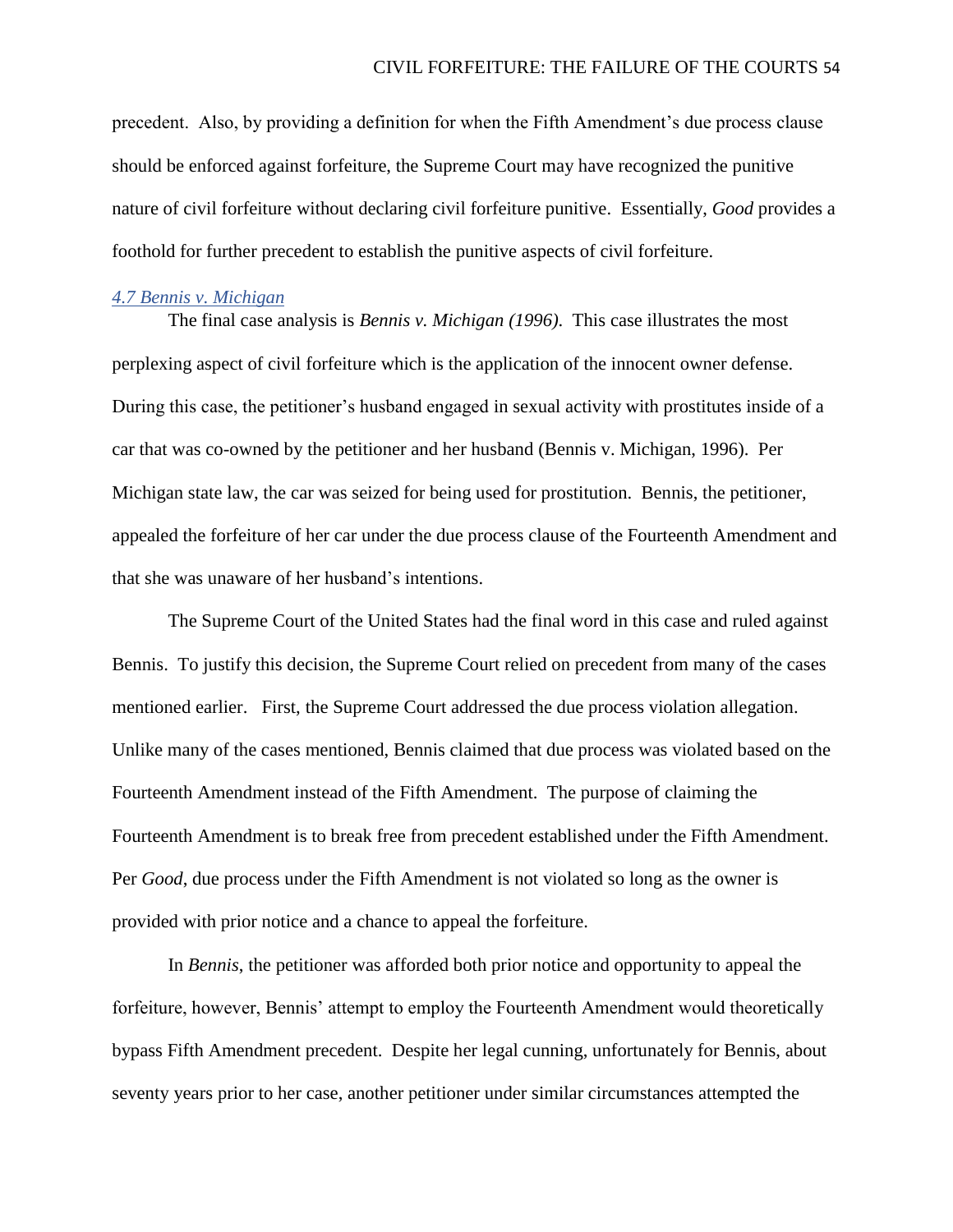precedent. Also, by providing a definition for when the Fifth Amendment's due process clause should be enforced against forfeiture, the Supreme Court may have recognized the punitive nature of civil forfeiture without declaring civil forfeiture punitive. Essentially, *Good* provides a foothold for further precedent to establish the punitive aspects of civil forfeiture.

# <span id="page-54-0"></span>*4.7 Bennis v. Michigan*

The final case analysis is *Bennis v. Michigan (1996)*. This case illustrates the most perplexing aspect of civil forfeiture which is the application of the innocent owner defense. During this case, the petitioner's husband engaged in sexual activity with prostitutes inside of a car that was co-owned by the petitioner and her husband (Bennis v. Michigan, 1996). Per Michigan state law, the car was seized for being used for prostitution. Bennis, the petitioner, appealed the forfeiture of her car under the due process clause of the Fourteenth Amendment and that she was unaware of her husband's intentions.

The Supreme Court of the United States had the final word in this case and ruled against Bennis. To justify this decision, the Supreme Court relied on precedent from many of the cases mentioned earlier. First, the Supreme Court addressed the due process violation allegation. Unlike many of the cases mentioned, Bennis claimed that due process was violated based on the Fourteenth Amendment instead of the Fifth Amendment. The purpose of claiming the Fourteenth Amendment is to break free from precedent established under the Fifth Amendment. Per *Good*, due process under the Fifth Amendment is not violated so long as the owner is provided with prior notice and a chance to appeal the forfeiture.

In *Bennis*, the petitioner was afforded both prior notice and opportunity to appeal the forfeiture, however, Bennis' attempt to employ the Fourteenth Amendment would theoretically bypass Fifth Amendment precedent. Despite her legal cunning, unfortunately for Bennis, about seventy years prior to her case, another petitioner under similar circumstances attempted the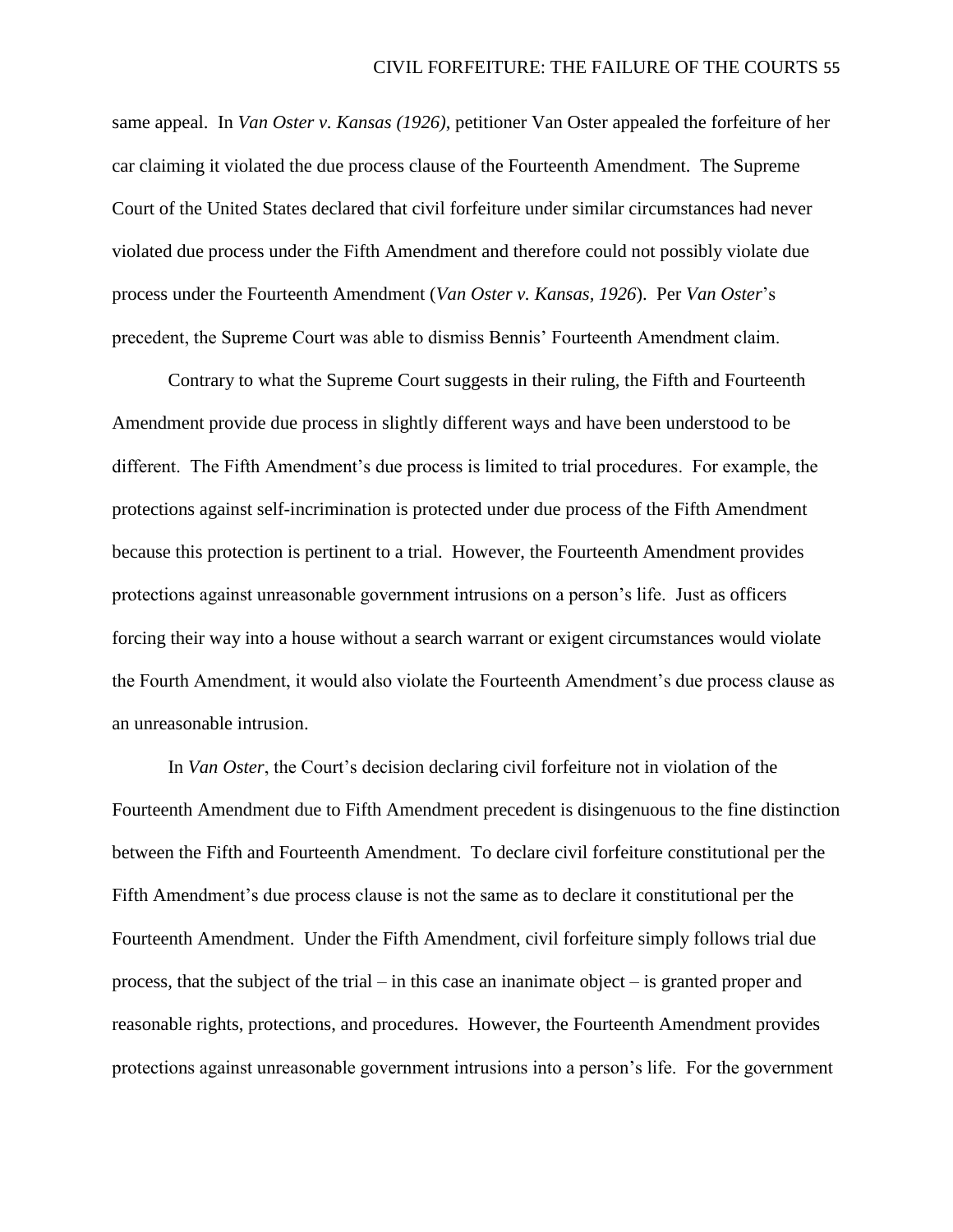same appeal. In *Van Oster v. Kansas (1926)*, petitioner Van Oster appealed the forfeiture of her car claiming it violated the due process clause of the Fourteenth Amendment. The Supreme Court of the United States declared that civil forfeiture under similar circumstances had never violated due process under the Fifth Amendment and therefore could not possibly violate due process under the Fourteenth Amendment (*Van Oster v. Kansas, 1926*). Per *Van Oster*'s precedent, the Supreme Court was able to dismiss Bennis' Fourteenth Amendment claim.

Contrary to what the Supreme Court suggests in their ruling, the Fifth and Fourteenth Amendment provide due process in slightly different ways and have been understood to be different. The Fifth Amendment's due process is limited to trial procedures. For example, the protections against self-incrimination is protected under due process of the Fifth Amendment because this protection is pertinent to a trial. However, the Fourteenth Amendment provides protections against unreasonable government intrusions on a person's life. Just as officers forcing their way into a house without a search warrant or exigent circumstances would violate the Fourth Amendment, it would also violate the Fourteenth Amendment's due process clause as an unreasonable intrusion.

In *Van Oster*, the Court's decision declaring civil forfeiture not in violation of the Fourteenth Amendment due to Fifth Amendment precedent is disingenuous to the fine distinction between the Fifth and Fourteenth Amendment. To declare civil forfeiture constitutional per the Fifth Amendment's due process clause is not the same as to declare it constitutional per the Fourteenth Amendment. Under the Fifth Amendment, civil forfeiture simply follows trial due process, that the subject of the trial – in this case an inanimate object – is granted proper and reasonable rights, protections, and procedures. However, the Fourteenth Amendment provides protections against unreasonable government intrusions into a person's life. For the government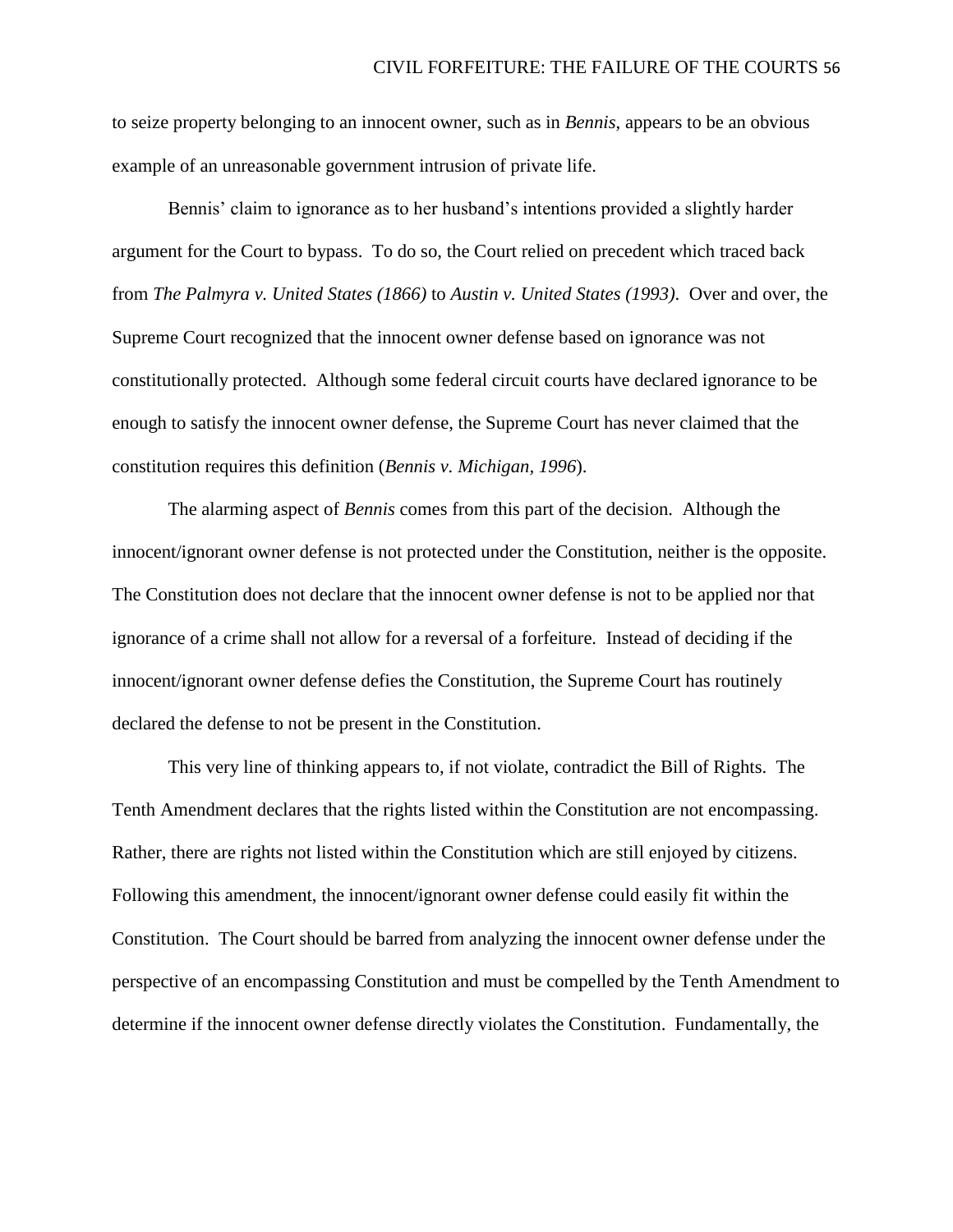to seize property belonging to an innocent owner, such as in *Bennis*, appears to be an obvious example of an unreasonable government intrusion of private life.

Bennis' claim to ignorance as to her husband's intentions provided a slightly harder argument for the Court to bypass. To do so, the Court relied on precedent which traced back from *The Palmyra v. United States (1866)* to *Austin v. United States (1993)*. Over and over, the Supreme Court recognized that the innocent owner defense based on ignorance was not constitutionally protected. Although some federal circuit courts have declared ignorance to be enough to satisfy the innocent owner defense, the Supreme Court has never claimed that the constitution requires this definition (*Bennis v. Michigan, 1996*).

The alarming aspect of *Bennis* comes from this part of the decision. Although the innocent/ignorant owner defense is not protected under the Constitution, neither is the opposite. The Constitution does not declare that the innocent owner defense is not to be applied nor that ignorance of a crime shall not allow for a reversal of a forfeiture. Instead of deciding if the innocent/ignorant owner defense defies the Constitution, the Supreme Court has routinely declared the defense to not be present in the Constitution.

This very line of thinking appears to, if not violate, contradict the Bill of Rights. The Tenth Amendment declares that the rights listed within the Constitution are not encompassing. Rather, there are rights not listed within the Constitution which are still enjoyed by citizens. Following this amendment, the innocent/ignorant owner defense could easily fit within the Constitution. The Court should be barred from analyzing the innocent owner defense under the perspective of an encompassing Constitution and must be compelled by the Tenth Amendment to determine if the innocent owner defense directly violates the Constitution. Fundamentally, the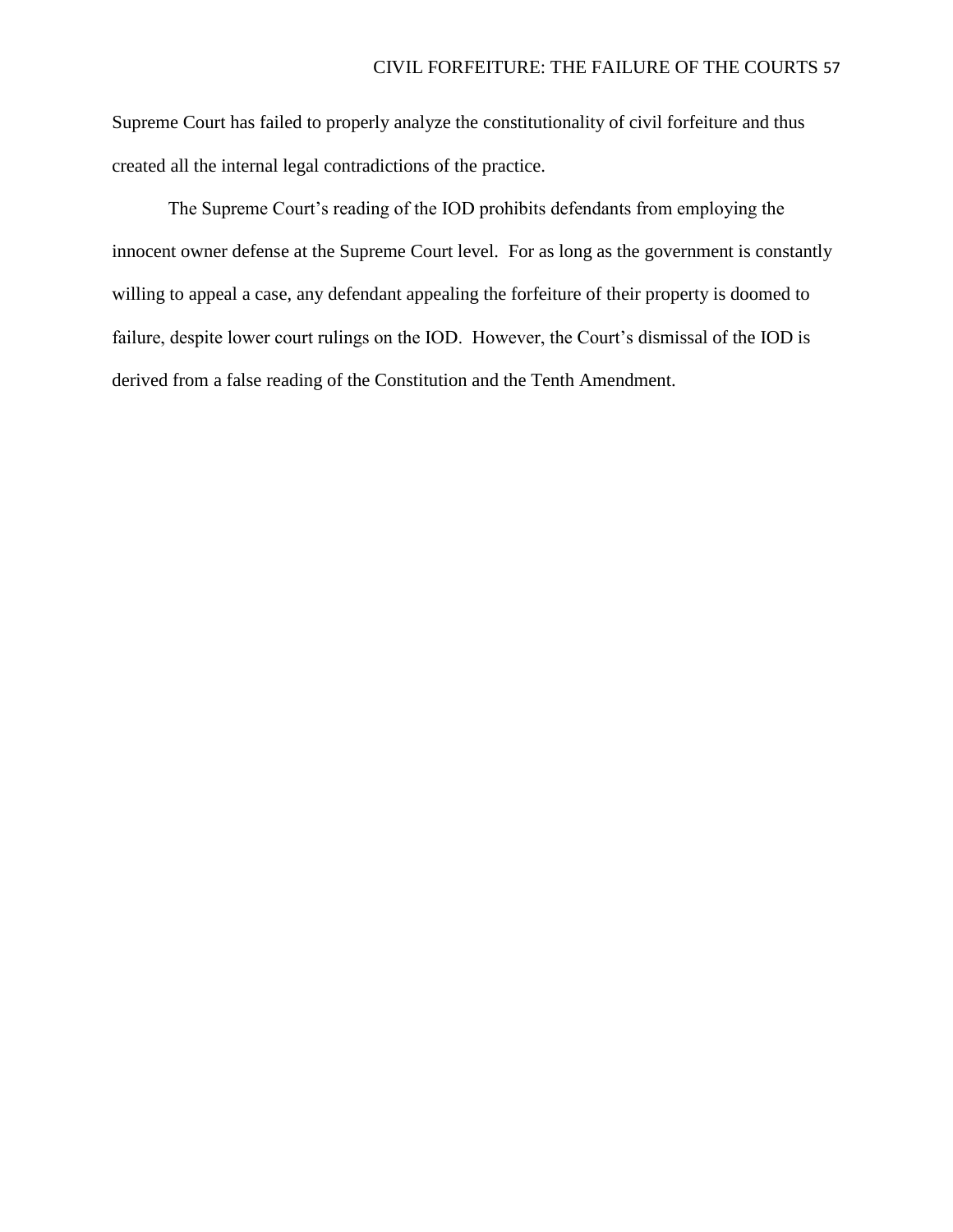Supreme Court has failed to properly analyze the constitutionality of civil forfeiture and thus created all the internal legal contradictions of the practice.

The Supreme Court's reading of the IOD prohibits defendants from employing the innocent owner defense at the Supreme Court level. For as long as the government is constantly willing to appeal a case, any defendant appealing the forfeiture of their property is doomed to failure, despite lower court rulings on the IOD. However, the Court's dismissal of the IOD is derived from a false reading of the Constitution and the Tenth Amendment.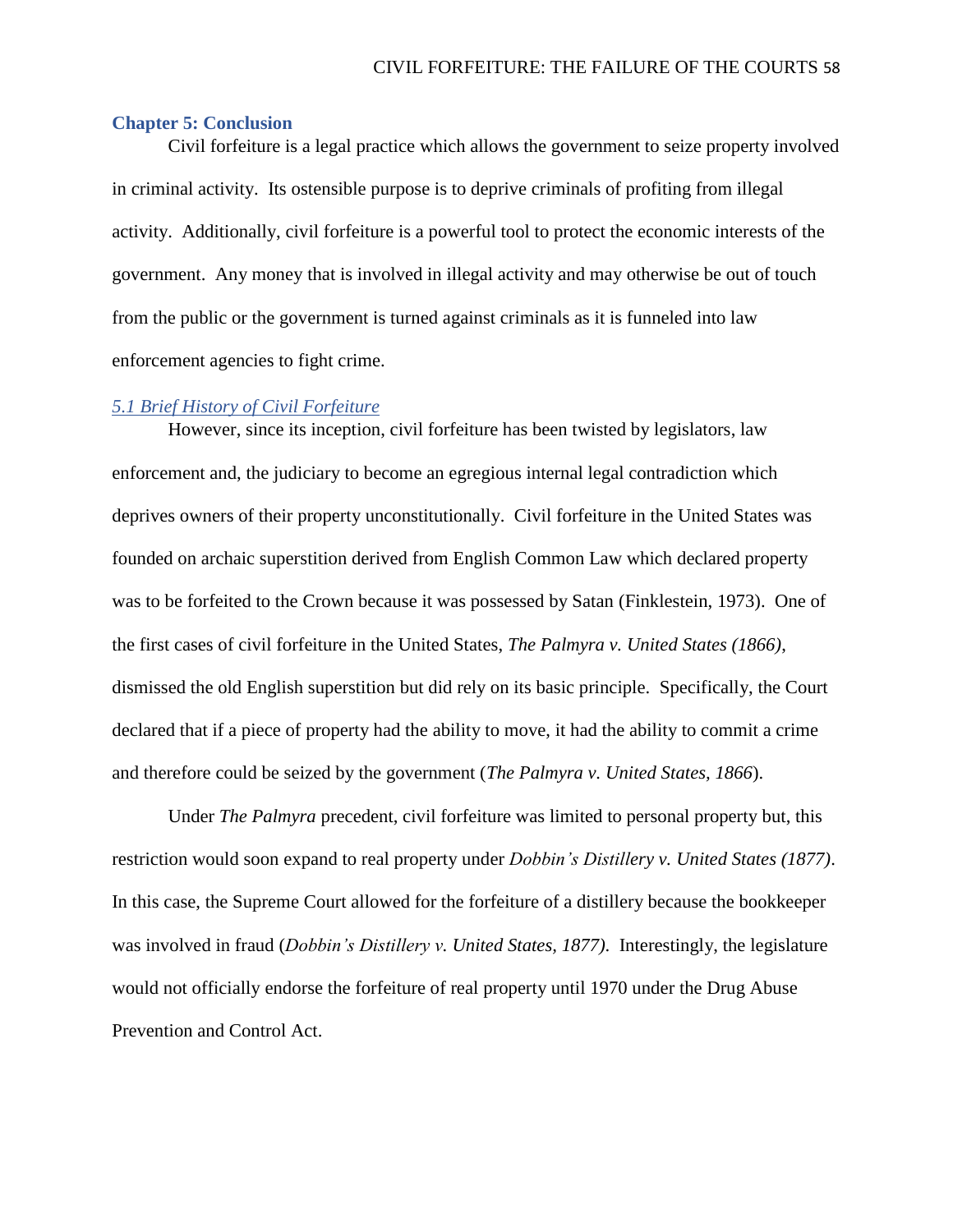# <span id="page-58-0"></span>**Chapter 5: Conclusion**

Civil forfeiture is a legal practice which allows the government to seize property involved in criminal activity. Its ostensible purpose is to deprive criminals of profiting from illegal activity. Additionally, civil forfeiture is a powerful tool to protect the economic interests of the government. Any money that is involved in illegal activity and may otherwise be out of touch from the public or the government is turned against criminals as it is funneled into law enforcement agencies to fight crime.

# <span id="page-58-1"></span>*5.1 Brief History of Civil Forfeiture*

However, since its inception, civil forfeiture has been twisted by legislators, law enforcement and, the judiciary to become an egregious internal legal contradiction which deprives owners of their property unconstitutionally. Civil forfeiture in the United States was founded on archaic superstition derived from English Common Law which declared property was to be forfeited to the Crown because it was possessed by Satan (Finklestein, 1973). One of the first cases of civil forfeiture in the United States, *The Palmyra v. United States (1866)*, dismissed the old English superstition but did rely on its basic principle. Specifically, the Court declared that if a piece of property had the ability to move, it had the ability to commit a crime and therefore could be seized by the government (*The Palmyra v. United States, 1866*).

Under *The Palmyra* precedent, civil forfeiture was limited to personal property but, this restriction would soon expand to real property under *Dobbin's Distillery v. United States (1877)*. In this case, the Supreme Court allowed for the forfeiture of a distillery because the bookkeeper was involved in fraud (*Dobbin's Distillery v. United States, 1877)*. Interestingly, the legislature would not officially endorse the forfeiture of real property until 1970 under the Drug Abuse Prevention and Control Act.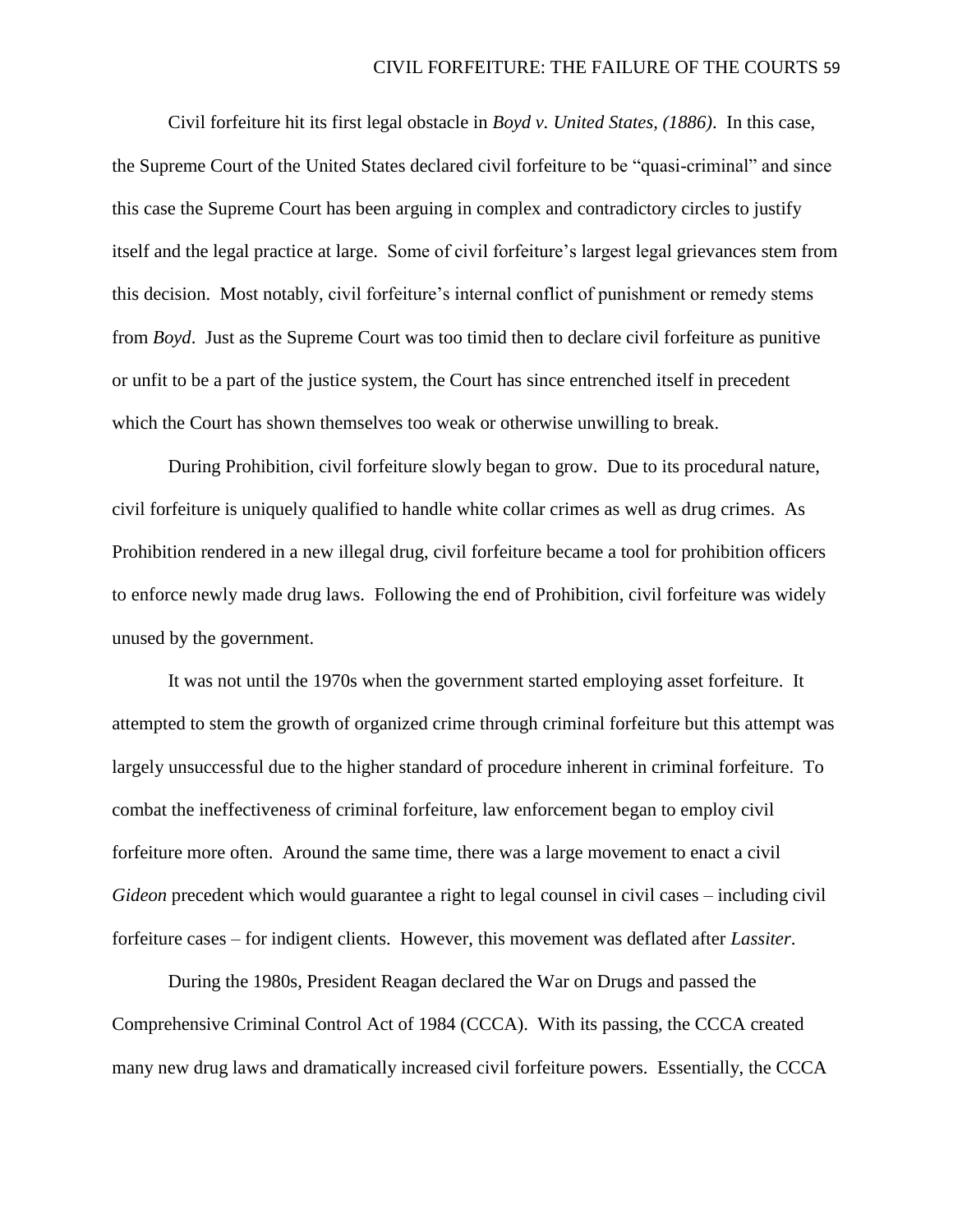# CIVIL FORFEITURE: THE FAILURE OF THE COURTS 59

Civil forfeiture hit its first legal obstacle in *Boyd v. United States, (1886)*. In this case, the Supreme Court of the United States declared civil forfeiture to be "quasi-criminal" and since this case the Supreme Court has been arguing in complex and contradictory circles to justify itself and the legal practice at large. Some of civil forfeiture's largest legal grievances stem from this decision. Most notably, civil forfeiture's internal conflict of punishment or remedy stems from *Boyd*. Just as the Supreme Court was too timid then to declare civil forfeiture as punitive or unfit to be a part of the justice system, the Court has since entrenched itself in precedent which the Court has shown themselves too weak or otherwise unwilling to break.

During Prohibition, civil forfeiture slowly began to grow. Due to its procedural nature, civil forfeiture is uniquely qualified to handle white collar crimes as well as drug crimes. As Prohibition rendered in a new illegal drug, civil forfeiture became a tool for prohibition officers to enforce newly made drug laws. Following the end of Prohibition, civil forfeiture was widely unused by the government.

It was not until the 1970s when the government started employing asset forfeiture. It attempted to stem the growth of organized crime through criminal forfeiture but this attempt was largely unsuccessful due to the higher standard of procedure inherent in criminal forfeiture. To combat the ineffectiveness of criminal forfeiture, law enforcement began to employ civil forfeiture more often. Around the same time, there was a large movement to enact a civil *Gideon* precedent which would guarantee a right to legal counsel in civil cases – including civil forfeiture cases – for indigent clients. However, this movement was deflated after *Lassiter*.

During the 1980s, President Reagan declared the War on Drugs and passed the Comprehensive Criminal Control Act of 1984 (CCCA). With its passing, the CCCA created many new drug laws and dramatically increased civil forfeiture powers. Essentially, the CCCA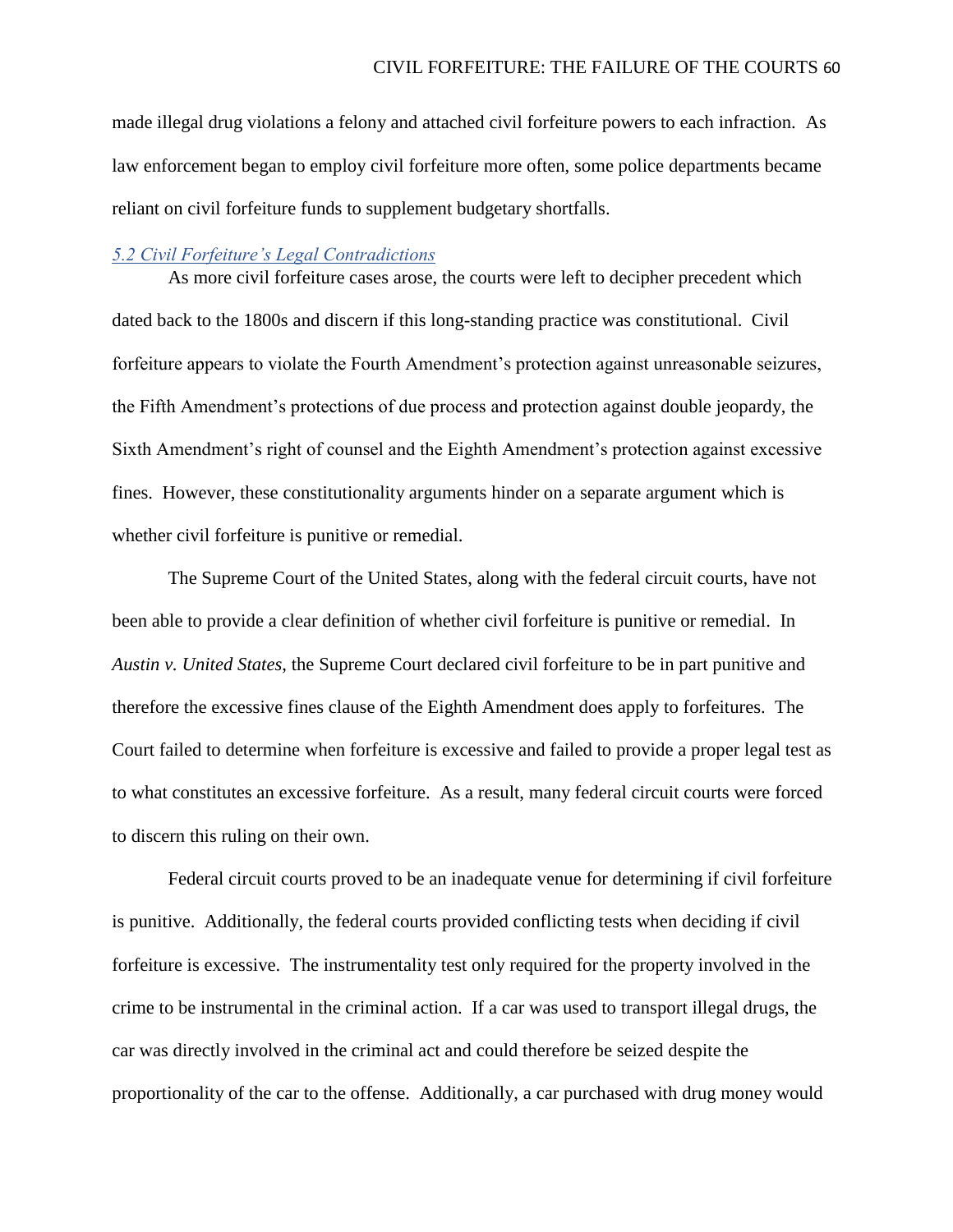made illegal drug violations a felony and attached civil forfeiture powers to each infraction. As law enforcement began to employ civil forfeiture more often, some police departments became reliant on civil forfeiture funds to supplement budgetary shortfalls.

#### <span id="page-60-0"></span>*5.2 Civil Forfeiture's Legal Contradictions*

As more civil forfeiture cases arose, the courts were left to decipher precedent which dated back to the 1800s and discern if this long-standing practice was constitutional. Civil forfeiture appears to violate the Fourth Amendment's protection against unreasonable seizures, the Fifth Amendment's protections of due process and protection against double jeopardy, the Sixth Amendment's right of counsel and the Eighth Amendment's protection against excessive fines. However, these constitutionality arguments hinder on a separate argument which is whether civil forfeiture is punitive or remedial.

The Supreme Court of the United States, along with the federal circuit courts, have not been able to provide a clear definition of whether civil forfeiture is punitive or remedial. In *Austin v. United States*, the Supreme Court declared civil forfeiture to be in part punitive and therefore the excessive fines clause of the Eighth Amendment does apply to forfeitures. The Court failed to determine when forfeiture is excessive and failed to provide a proper legal test as to what constitutes an excessive forfeiture. As a result, many federal circuit courts were forced to discern this ruling on their own.

Federal circuit courts proved to be an inadequate venue for determining if civil forfeiture is punitive. Additionally, the federal courts provided conflicting tests when deciding if civil forfeiture is excessive. The instrumentality test only required for the property involved in the crime to be instrumental in the criminal action. If a car was used to transport illegal drugs, the car was directly involved in the criminal act and could therefore be seized despite the proportionality of the car to the offense. Additionally, a car purchased with drug money would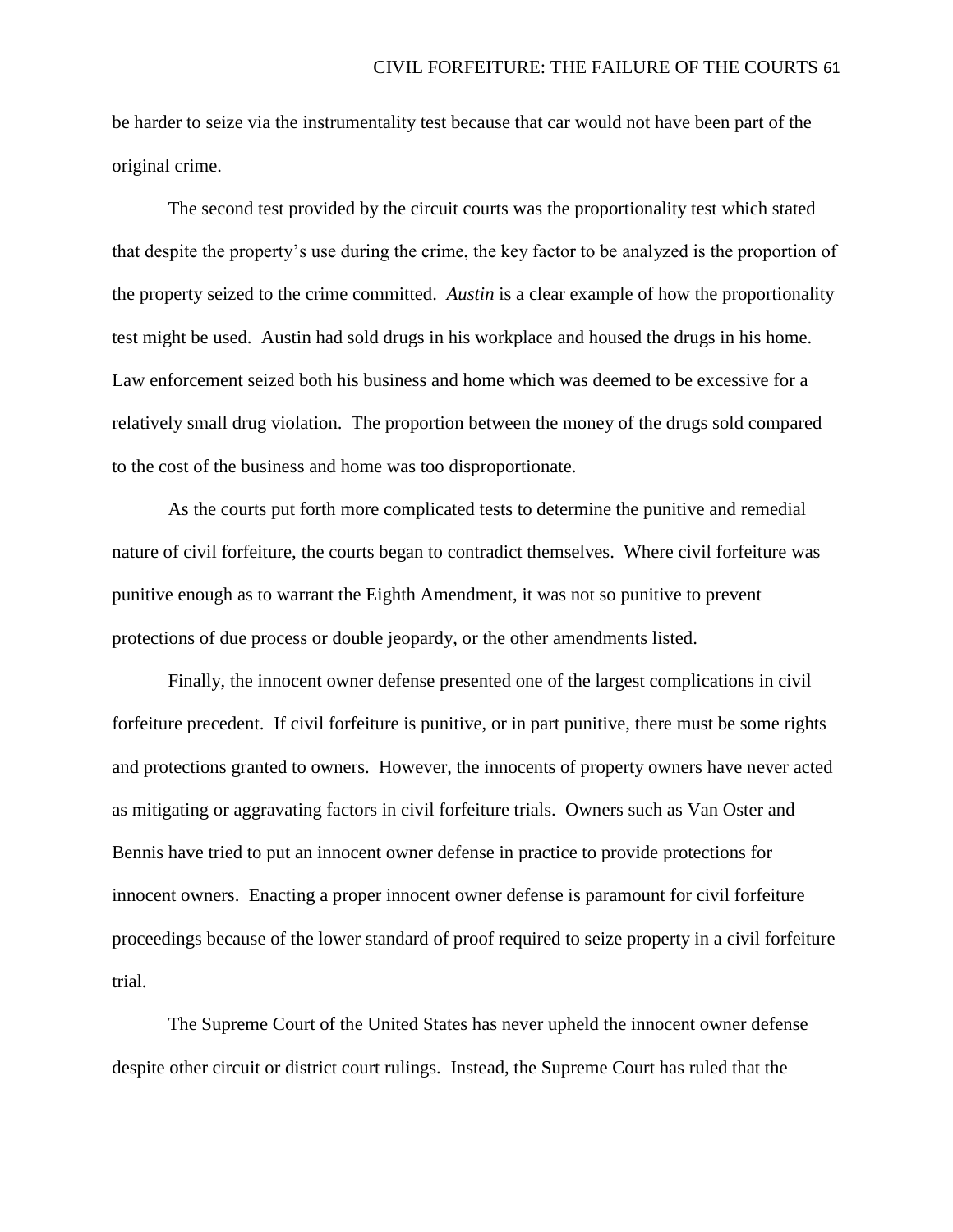be harder to seize via the instrumentality test because that car would not have been part of the original crime.

The second test provided by the circuit courts was the proportionality test which stated that despite the property's use during the crime, the key factor to be analyzed is the proportion of the property seized to the crime committed. *Austin* is a clear example of how the proportionality test might be used. Austin had sold drugs in his workplace and housed the drugs in his home. Law enforcement seized both his business and home which was deemed to be excessive for a relatively small drug violation. The proportion between the money of the drugs sold compared to the cost of the business and home was too disproportionate.

As the courts put forth more complicated tests to determine the punitive and remedial nature of civil forfeiture, the courts began to contradict themselves. Where civil forfeiture was punitive enough as to warrant the Eighth Amendment, it was not so punitive to prevent protections of due process or double jeopardy, or the other amendments listed.

Finally, the innocent owner defense presented one of the largest complications in civil forfeiture precedent. If civil forfeiture is punitive, or in part punitive, there must be some rights and protections granted to owners. However, the innocents of property owners have never acted as mitigating or aggravating factors in civil forfeiture trials. Owners such as Van Oster and Bennis have tried to put an innocent owner defense in practice to provide protections for innocent owners. Enacting a proper innocent owner defense is paramount for civil forfeiture proceedings because of the lower standard of proof required to seize property in a civil forfeiture trial.

The Supreme Court of the United States has never upheld the innocent owner defense despite other circuit or district court rulings. Instead, the Supreme Court has ruled that the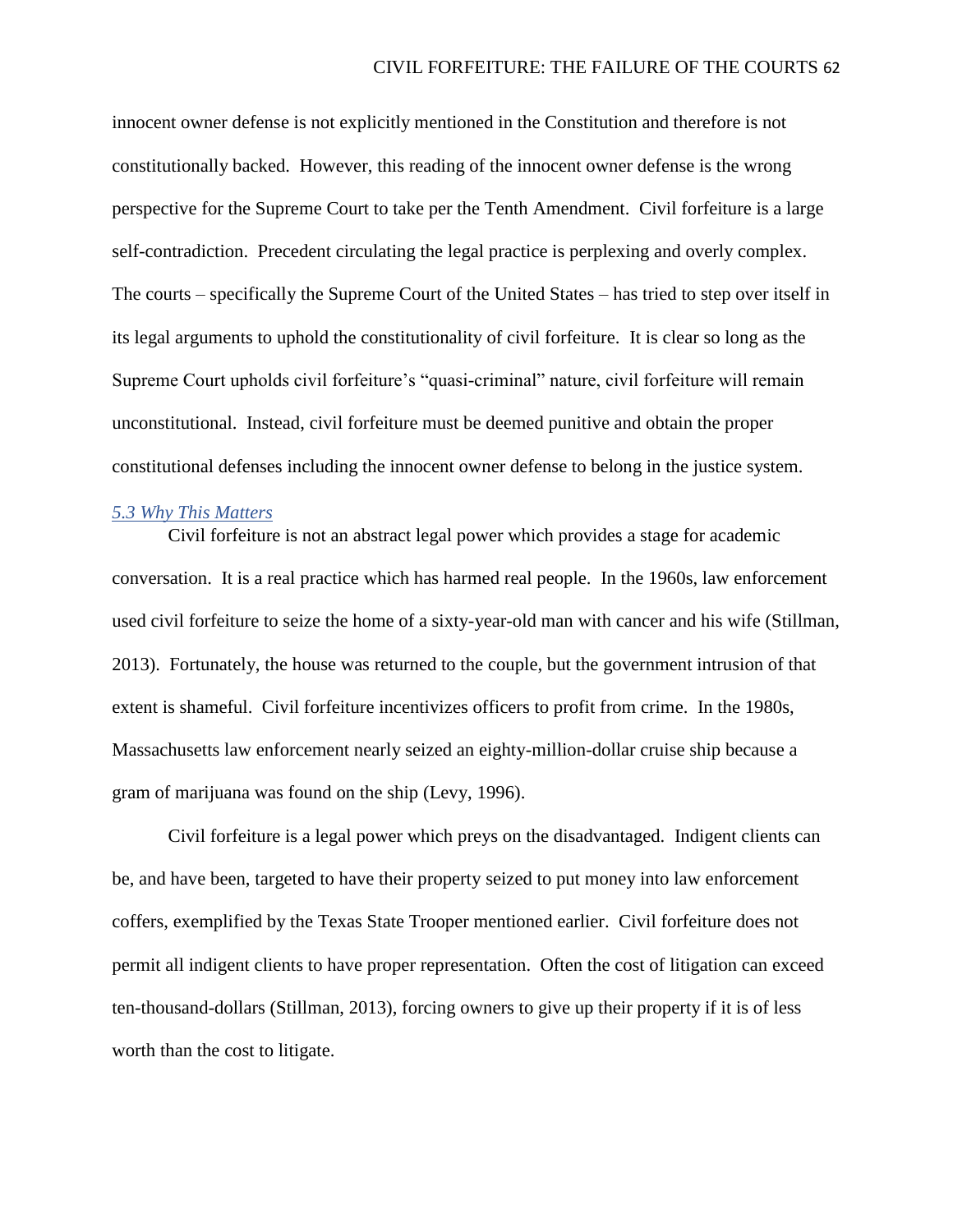innocent owner defense is not explicitly mentioned in the Constitution and therefore is not constitutionally backed. However, this reading of the innocent owner defense is the wrong perspective for the Supreme Court to take per the Tenth Amendment. Civil forfeiture is a large self-contradiction. Precedent circulating the legal practice is perplexing and overly complex. The courts – specifically the Supreme Court of the United States – has tried to step over itself in its legal arguments to uphold the constitutionality of civil forfeiture. It is clear so long as the Supreme Court upholds civil forfeiture's "quasi-criminal" nature, civil forfeiture will remain unconstitutional. Instead, civil forfeiture must be deemed punitive and obtain the proper constitutional defenses including the innocent owner defense to belong in the justice system.

# <span id="page-62-0"></span>*5.3 Why This Matters*

Civil forfeiture is not an abstract legal power which provides a stage for academic conversation. It is a real practice which has harmed real people. In the 1960s, law enforcement used civil forfeiture to seize the home of a sixty-year-old man with cancer and his wife (Stillman, 2013). Fortunately, the house was returned to the couple, but the government intrusion of that extent is shameful. Civil forfeiture incentivizes officers to profit from crime. In the 1980s, Massachusetts law enforcement nearly seized an eighty-million-dollar cruise ship because a gram of marijuana was found on the ship (Levy, 1996).

Civil forfeiture is a legal power which preys on the disadvantaged. Indigent clients can be, and have been, targeted to have their property seized to put money into law enforcement coffers, exemplified by the Texas State Trooper mentioned earlier. Civil forfeiture does not permit all indigent clients to have proper representation. Often the cost of litigation can exceed ten-thousand-dollars (Stillman, 2013), forcing owners to give up their property if it is of less worth than the cost to litigate.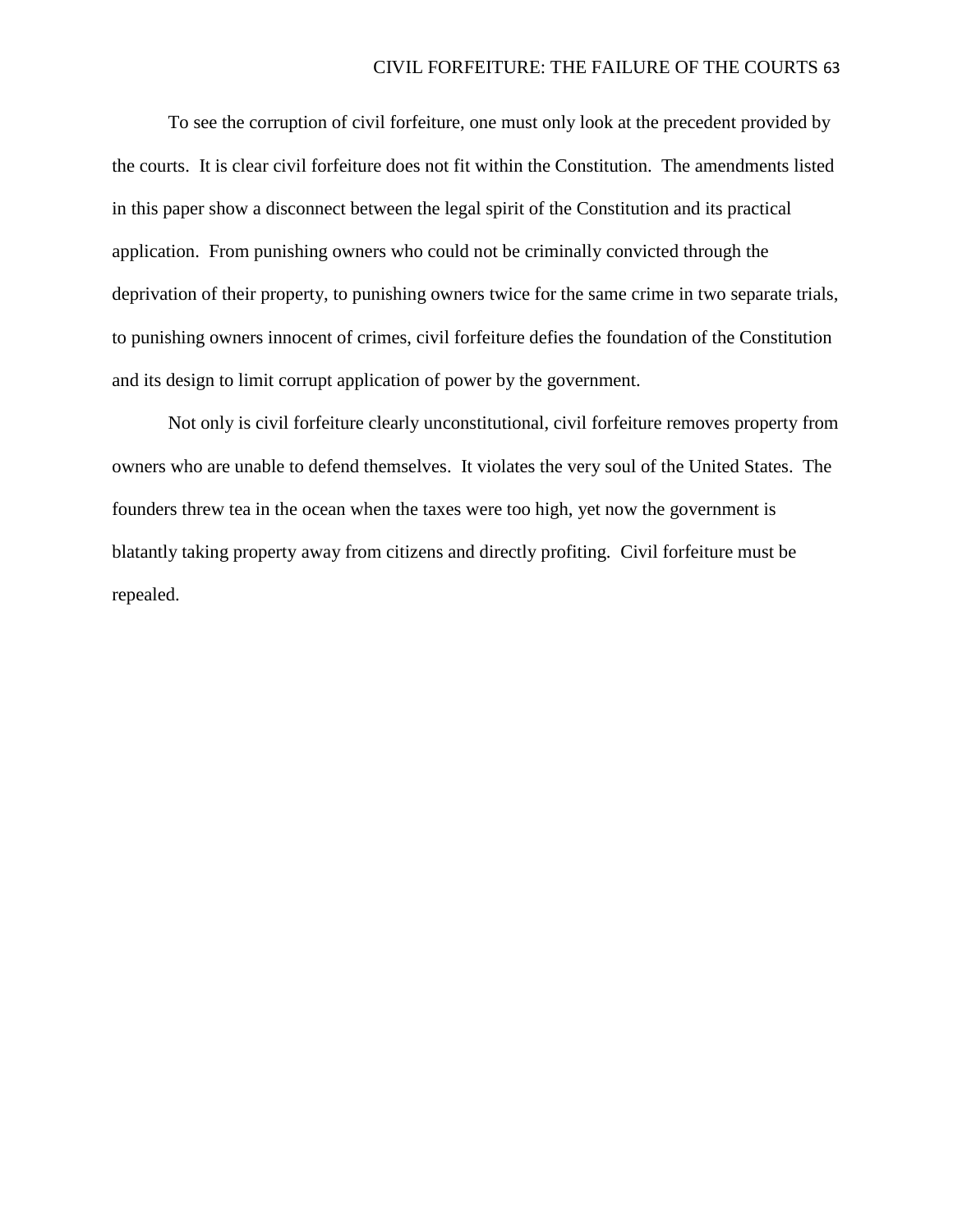To see the corruption of civil forfeiture, one must only look at the precedent provided by the courts. It is clear civil forfeiture does not fit within the Constitution. The amendments listed in this paper show a disconnect between the legal spirit of the Constitution and its practical application. From punishing owners who could not be criminally convicted through the deprivation of their property, to punishing owners twice for the same crime in two separate trials, to punishing owners innocent of crimes, civil forfeiture defies the foundation of the Constitution and its design to limit corrupt application of power by the government.

Not only is civil forfeiture clearly unconstitutional, civil forfeiture removes property from owners who are unable to defend themselves. It violates the very soul of the United States. The founders threw tea in the ocean when the taxes were too high, yet now the government is blatantly taking property away from citizens and directly profiting. Civil forfeiture must be repealed.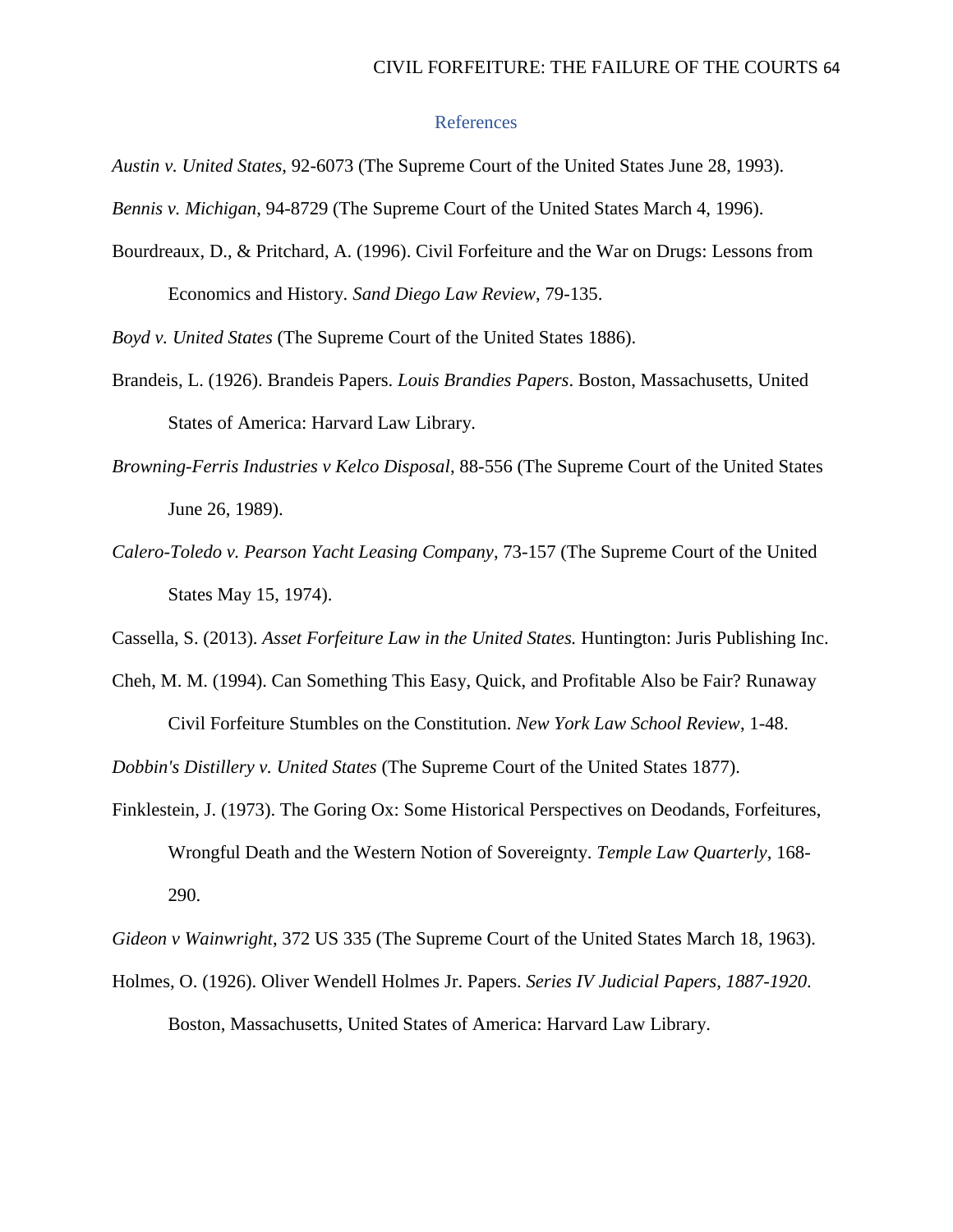#### <span id="page-64-0"></span>References

*Austin v. United States*, 92-6073 (The Supreme Court of the United States June 28, 1993).

*Bennis v. Michigan*, 94-8729 (The Supreme Court of the United States March 4, 1996).

Bourdreaux, D., & Pritchard, A. (1996). Civil Forfeiture and the War on Drugs: Lessons from Economics and History. *Sand Diego Law Review*, 79-135.

*Boyd v. United States* (The Supreme Court of the United States 1886).

- Brandeis, L. (1926). Brandeis Papers. *Louis Brandies Papers*. Boston, Massachusetts, United States of America: Harvard Law Library.
- *Browning-Ferris Industries v Kelco Disposal*, 88-556 (The Supreme Court of the United States June 26, 1989).
- *Calero-Toledo v. Pearson Yacht Leasing Company*, 73-157 (The Supreme Court of the United States May 15, 1974).

Cassella, S. (2013). *Asset Forfeiture Law in the United States.* Huntington: Juris Publishing Inc.

Cheh, M. M. (1994). Can Something This Easy, Quick, and Profitable Also be Fair? Runaway Civil Forfeiture Stumbles on the Constitution. *New York Law School Review*, 1-48.

*Dobbin's Distillery v. United States* (The Supreme Court of the United States 1877).

Finklestein, J. (1973). The Goring Ox: Some Historical Perspectives on Deodands, Forfeitures, Wrongful Death and the Western Notion of Sovereignty. *Temple Law Quarterly*, 168- 290.

*Gideon v Wainwright*, 372 US 335 (The Supreme Court of the United States March 18, 1963).

Holmes, O. (1926). Oliver Wendell Holmes Jr. Papers. *Series IV Judicial Papers, 1887-1920*. Boston, Massachusetts, United States of America: Harvard Law Library.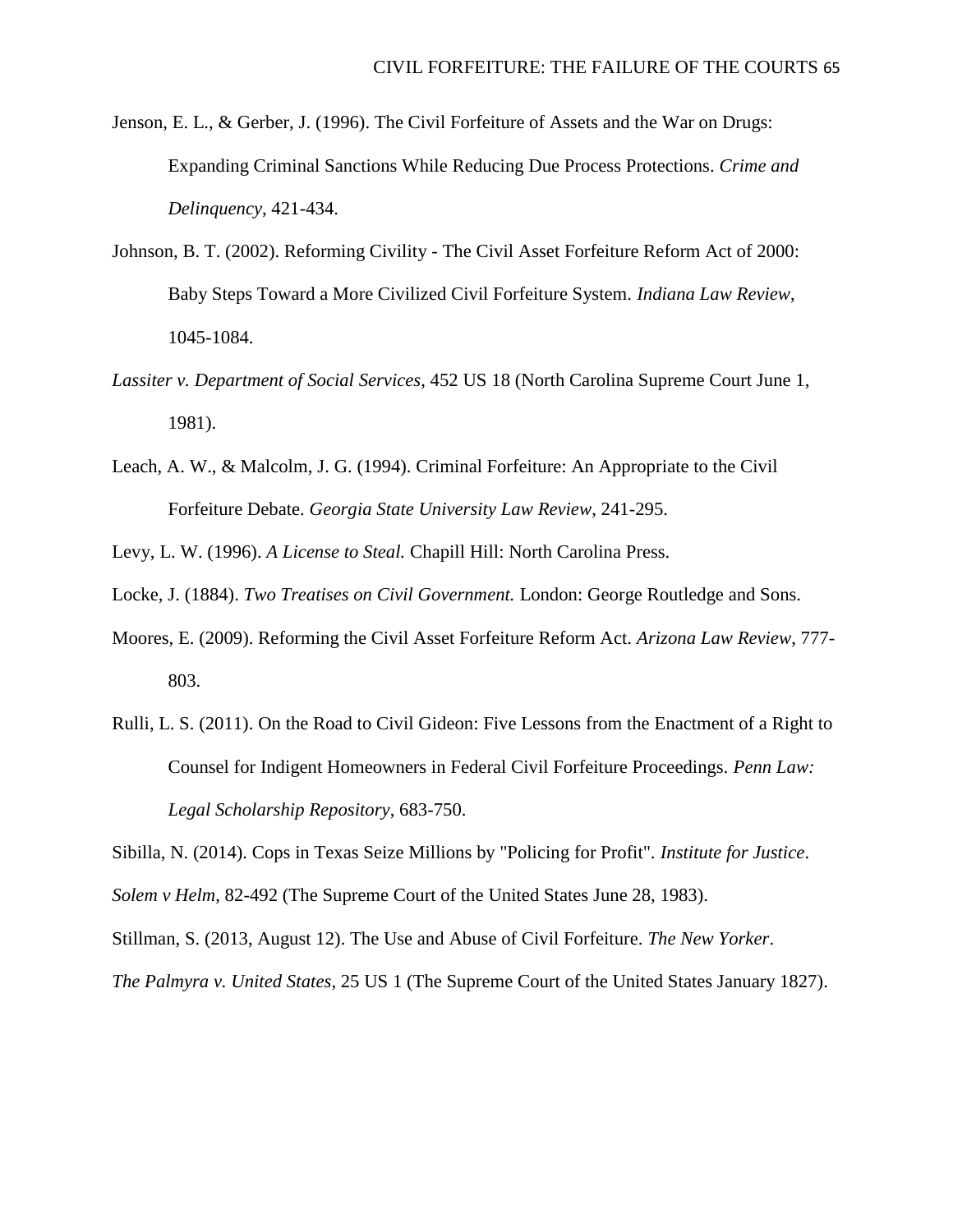- Jenson, E. L., & Gerber, J. (1996). The Civil Forfeiture of Assets and the War on Drugs: Expanding Criminal Sanctions While Reducing Due Process Protections. *Crime and Delinquency*, 421-434.
- Johnson, B. T. (2002). Reforming Civility The Civil Asset Forfeiture Reform Act of 2000: Baby Steps Toward a More Civilized Civil Forfeiture System. *Indiana Law Review*, 1045-1084.
- *Lassiter v. Department of Social Services*, 452 US 18 (North Carolina Supreme Court June 1, 1981).
- Leach, A. W., & Malcolm, J. G. (1994). Criminal Forfeiture: An Appropriate to the Civil Forfeiture Debate. *Georgia State University Law Review*, 241-295.
- Levy, L. W. (1996). *A License to Steal.* Chapill Hill: North Carolina Press.
- Locke, J. (1884). *Two Treatises on Civil Government.* London: George Routledge and Sons.
- Moores, E. (2009). Reforming the Civil Asset Forfeiture Reform Act. *Arizona Law Review*, 777- 803.
- Rulli, L. S. (2011). On the Road to Civil Gideon: Five Lessons from the Enactment of a Right to Counsel for Indigent Homeowners in Federal Civil Forfeiture Proceedings. *Penn Law: Legal Scholarship Repository*, 683-750.

Sibilla, N. (2014). Cops in Texas Seize Millions by "Policing for Profit". *Institute for Justice*.

*Solem v Helm*, 82-492 (The Supreme Court of the United States June 28, 1983).

Stillman, S. (2013, August 12). The Use and Abuse of Civil Forfeiture. *The New Yorker*.

*The Palmyra v. United States*, 25 US 1 (The Supreme Court of the United States January 1827).